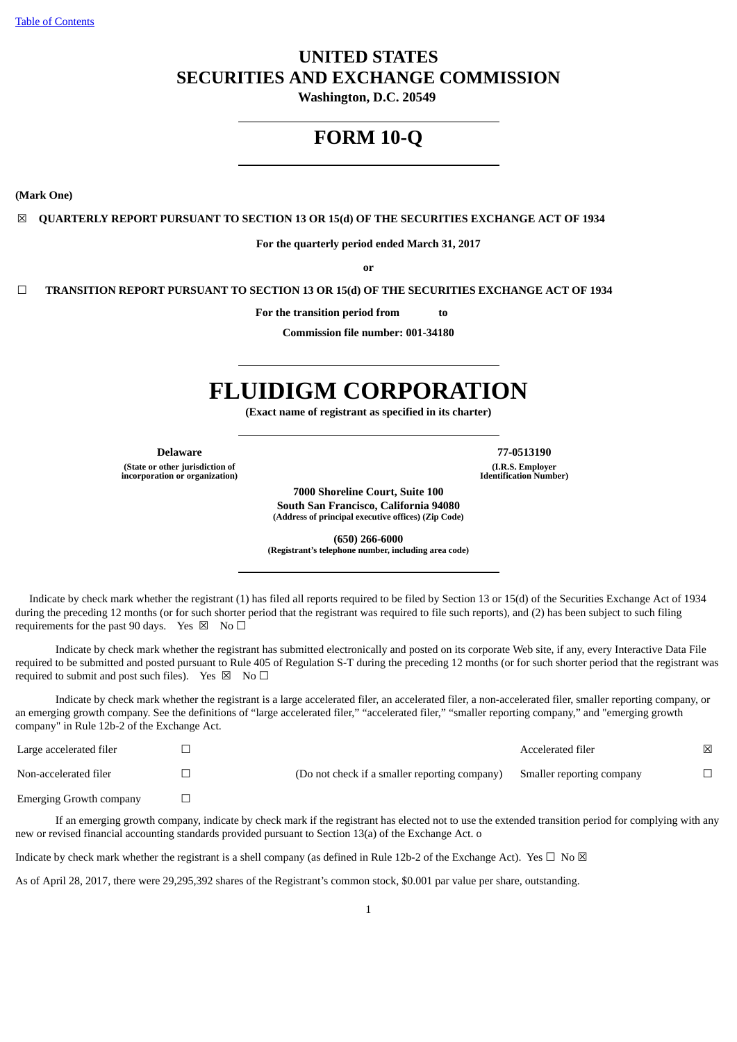# **UNITED STATES SECURITIES AND EXCHANGE COMMISSION**

**Washington, D.C. 20549**

# **FORM 10-Q**

**(Mark One)**

☒ **QUARTERLY REPORT PURSUANT TO SECTION 13 OR 15(d) OF THE SECURITIES EXCHANGE ACT OF 1934**

**For the quarterly period ended March 31, 2017**

**or**

☐ **TRANSITION REPORT PURSUANT TO SECTION 13 OR 15(d) OF THE SECURITIES EXCHANGE ACT OF 1934**

**For the transition period from to**

**Commission file number: 001-34180**

# **FLUIDIGM CORPORATION**

**(Exact name of registrant as specified in its charter)**

**(State or other jurisdiction of incorporation or organization)**

**Delaware 77-0513190**

**(I.R.S. Employer Identification Number)**

**7000 Shoreline Court, Suite 100 South San Francisco, California 94080 (Address of principal executive offices) (Zip Code)**

**(650) 266-6000 (Registrant's telephone number, including area code)**

Indicate by check mark whether the registrant (1) has filed all reports required to be filed by Section 13 or 15(d) of the Securities Exchange Act of 1934 during the preceding 12 months (or for such shorter period that the registrant was required to file such reports), and (2) has been subject to such filing requirements for the past 90 days. Yes  $\boxtimes$  No  $\Box$ 

Indicate by check mark whether the registrant has submitted electronically and posted on its corporate Web site, if any, every Interactive Data File required to be submitted and posted pursuant to Rule 405 of Regulation S-T during the preceding 12 months (or for such shorter period that the registrant was required to submit and post such files). Yes  $\boxtimes$  No  $\Box$ 

Indicate by check mark whether the registrant is a large accelerated filer, an accelerated filer, a non-accelerated filer, smaller reporting company, or an emerging growth company. See the definitions of "large accelerated filer," "accelerated filer," "smaller reporting company," and "emerging growth company" in Rule 12b-2 of the Exchange Act.

| Large accelerated filer        |                                               | Accelerated filer         | ⊠ |
|--------------------------------|-----------------------------------------------|---------------------------|---|
| Non-accelerated filer          | (Do not check if a smaller reporting company) | Smaller reporting company |   |
| <b>Emerging Growth company</b> |                                               |                           |   |

If an emerging growth company, indicate by check mark if the registrant has elected not to use the extended transition period for complying with any new or revised financial accounting standards provided pursuant to Section 13(a) of the Exchange Act. o

Indicate by check mark whether the registrant is a shell company (as defined in Rule 12b-2 of the Exchange Act). Yes  $\Box$  No  $\boxtimes$ 

As of April 28, 2017, there were 29,295,392 shares of the Registrant's common stock, \$0.001 par value per share, outstanding.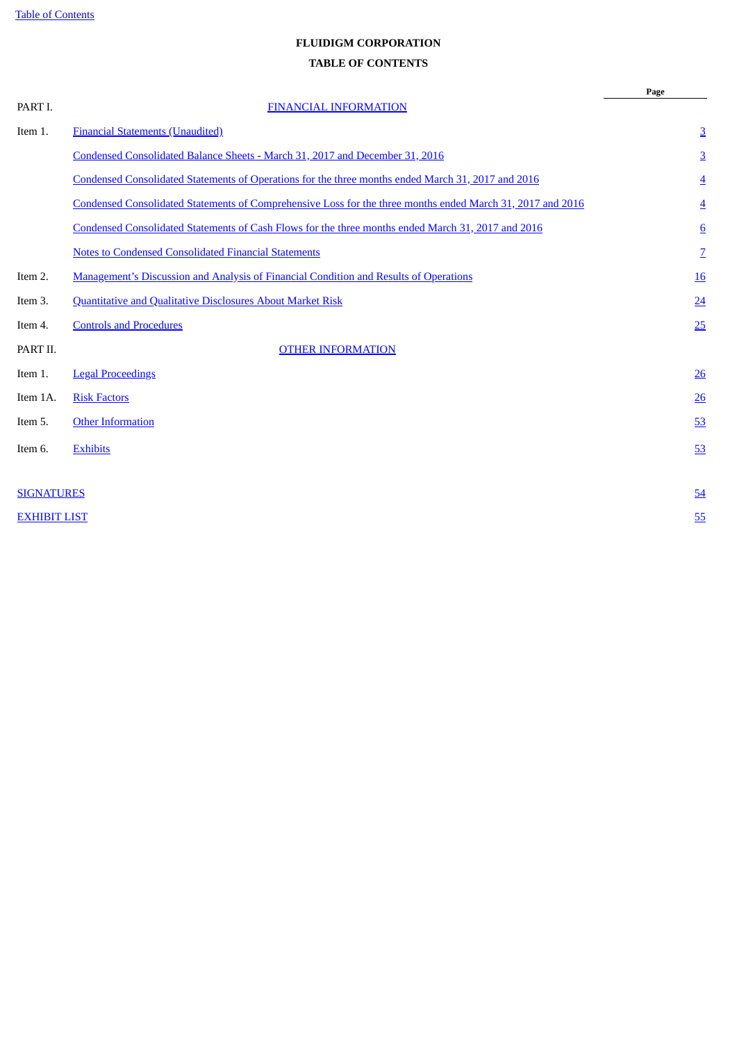# **FLUIDIGM CORPORATION**

# **TABLE OF CONTENTS**

<span id="page-1-0"></span>

|                     |                                                                                                            | Page             |
|---------------------|------------------------------------------------------------------------------------------------------------|------------------|
| PART I.             | <b>FINANCIAL INFORMATION</b>                                                                               |                  |
| Item 1.             | <b>Financial Statements (Unaudited)</b>                                                                    | $\overline{3}$   |
|                     | Condensed Consolidated Balance Sheets - March 31, 2017 and December 31, 2016                               | $\overline{3}$   |
|                     | Condensed Consolidated Statements of Operations for the three months ended March 31, 2017 and 2016         | $\overline{4}$   |
|                     | Condensed Consolidated Statements of Comprehensive Loss for the three months ended March 31, 2017 and 2016 | $\overline{4}$   |
|                     | Condensed Consolidated Statements of Cash Flows for the three months ended March 31, 2017 and 2016         | $6\overline{6}$  |
|                     | <b>Notes to Condensed Consolidated Financial Statements</b>                                                | $\overline{2}$   |
| Item 2.             | Management's Discussion and Analysis of Financial Condition and Results of Operations                      | <u>16</u>        |
| Item 3.             | <b>Quantitative and Qualitative Disclosures About Market Risk</b>                                          | 24               |
| Item 4.             | <b>Controls and Procedures</b>                                                                             | 25               |
| PART II.            | <b>OTHER INFORMATION</b>                                                                                   |                  |
| Item 1.             | <b>Legal Proceedings</b>                                                                                   | $\underline{26}$ |
| Item 1A.            | <b>Risk Factors</b>                                                                                        | 26               |
| Item 5.             | <b>Other Information</b>                                                                                   | 53               |
| Item 6.             | <b>Exhibits</b>                                                                                            | 53               |
|                     |                                                                                                            |                  |
| <b>SIGNATURES</b>   |                                                                                                            | 54               |
| <b>EXHIBIT LIST</b> |                                                                                                            | 55               |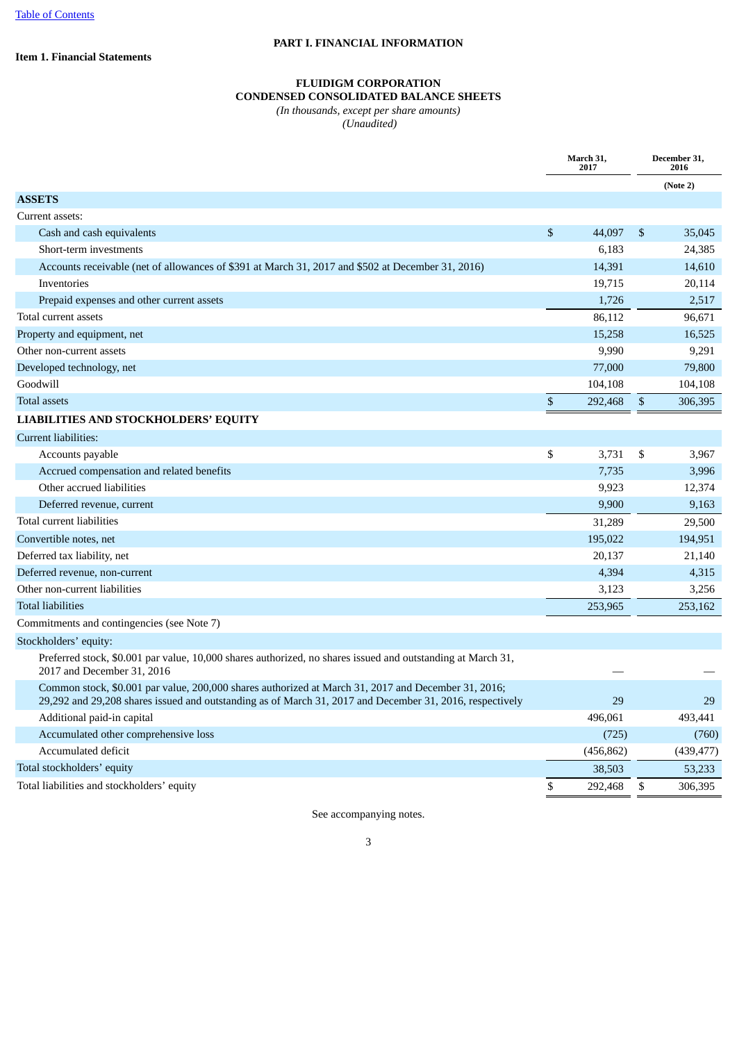### **PART I. FINANCIAL INFORMATION**

<span id="page-2-1"></span><span id="page-2-0"></span>**Item 1. Financial Statements**

#### **FLUIDIGM CORPORATION CONDENSED CONSOLIDATED BALANCE SHEETS**

*(In thousands, except per share amounts) (Unaudited)*

**March 31, 2017 December 31, 2016 (Note 2) ASSETS** Current assets: Cash and cash equivalents  $\frac{1}{2}$  35,045 Short-term investments 6,183 24,385 Accounts receivable (net of allowances of \$391 at March 31, 2017 and \$502 at December 31, 2016) 14,391 14,610  $I$ nventories  $19,715$  20,114 Prepaid expenses and other current assets 1,726 2,517 Total current assets 86,112 96,671 Property and equipment, net 15,258 16,525 16,525 16,525 16,525 16,525 16,525 16,525 16,525 16,525 16,525 16,525 16,525 16,525 16,525 16,525 16,525 16,525 16,525 16,525 16,525 16,525 16,525 16,525 16,525 16,525 16,525 16,52 Other non-current assets 80,990 9,291 Developed technology, net 77,000 79,800 Goodwill 104,108 104,108 104,108 104,108 104,108 104,108 104,108 104,108 104,108 104,108 104,108 104,108 104,108 Total assets \$ 292,468 \$ 306,395 **LIABILITIES AND STOCKHOLDERS' EQUITY** Current liabilities: Accounts payable 3,967 3,967 3,967 3,967 3,967 3,967 3,967 3,967 3,967 3,967 3,967 3,967 3,967 3,967 3,967 3,967 3,967 3,967 3,967 3,967 3,967 3,967 3,967 3,967 3,967 3,967 3,967 3,967 3,967 3,967 3,967 3,967 3,967 3,967 3 Accrued compensation and related benefits **7,735** 3,996 Other accrued liabilities **9,923** 12,374 Deferred revenue, current 9,900 9,163 Total current liabilities 29,500 Convertible notes, net 195,022 194,951 Deferred tax liability, net 20,137 21,140 Deferred revenue, non-current 4,394 4,315 Other non-current liabilities 3,256 Total liabilities 253,965 253,162 Commitments and contingencies (see Note 7) Stockholders' equity:

Preferred stock, \$0.001 par value, 10,000 shares authorized, no shares issued and outstanding at March 31, 2017 and December 31, 2016

| Common stock, \$0.001 par value, 200,000 shares authorized at March 31, 2017 and December 31, 2016;      |            |            |
|----------------------------------------------------------------------------------------------------------|------------|------------|
| 29,292 and 29,208 shares issued and outstanding as of March 31, 2017 and December 31, 2016, respectively | 29         | 29         |
| Additional paid-in capital                                                                               | 496.061    | 493,441    |
| Accumulated other comprehensive loss                                                                     | (725)      | (760)      |
| Accumulated deficit                                                                                      | (456, 862) | (439, 477) |
| Total stockholders' equity                                                                               | 38,503     | 53,233     |
| Total liabilities and stockholders' equity                                                               | 292,468    | 306.395    |
|                                                                                                          |            |            |

See accompanying notes.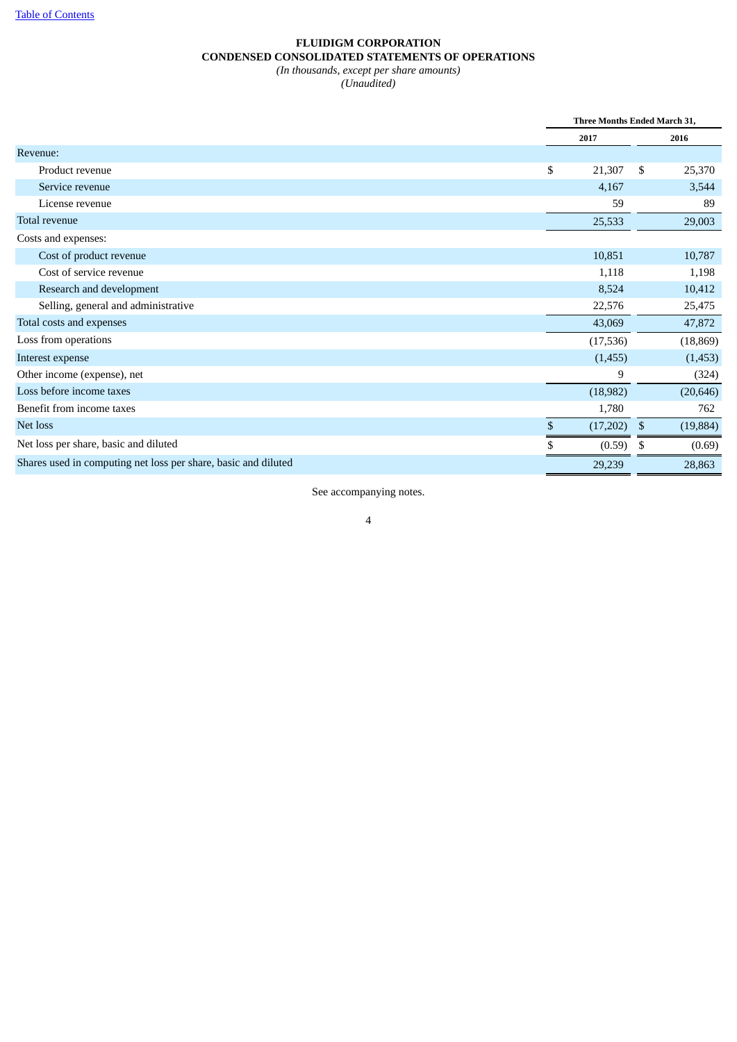# **FLUIDIGM CORPORATION CONDENSED CONSOLIDATED STATEMENTS OF OPERATIONS** *(In thousands, except per share amounts)*

*(Unaudited)*

<span id="page-3-0"></span>

|                                                                | Three Months Ended March 31, |           |    |           |
|----------------------------------------------------------------|------------------------------|-----------|----|-----------|
|                                                                |                              | 2017      |    | 2016      |
| Revenue:                                                       |                              |           |    |           |
| Product revenue                                                | \$                           | 21,307    | S  | 25,370    |
| Service revenue                                                |                              | 4,167     |    | 3,544     |
| License revenue                                                |                              | 59        |    | 89        |
| Total revenue                                                  |                              | 25,533    |    | 29,003    |
| Costs and expenses:                                            |                              |           |    |           |
| Cost of product revenue                                        |                              | 10,851    |    | 10,787    |
| Cost of service revenue                                        |                              | 1,118     |    | 1,198     |
| Research and development                                       |                              | 8,524     |    | 10,412    |
| Selling, general and administrative                            |                              | 22,576    |    | 25,475    |
| Total costs and expenses                                       |                              | 43,069    |    | 47,872    |
| Loss from operations                                           |                              | (17, 536) |    | (18, 869) |
| Interest expense                                               |                              | (1,455)   |    | (1, 453)  |
| Other income (expense), net                                    |                              | 9         |    | (324)     |
| Loss before income taxes                                       |                              | (18,982)  |    | (20, 646) |
| Benefit from income taxes                                      |                              | 1,780     |    | 762       |
| Net loss                                                       | \$                           | (17,202)  | \$ | (19, 884) |
| Net loss per share, basic and diluted                          | \$                           | (0.59)    | \$ | (0.69)    |
| Shares used in computing net loss per share, basic and diluted |                              | 29,239    |    | 28,863    |

See accompanying notes.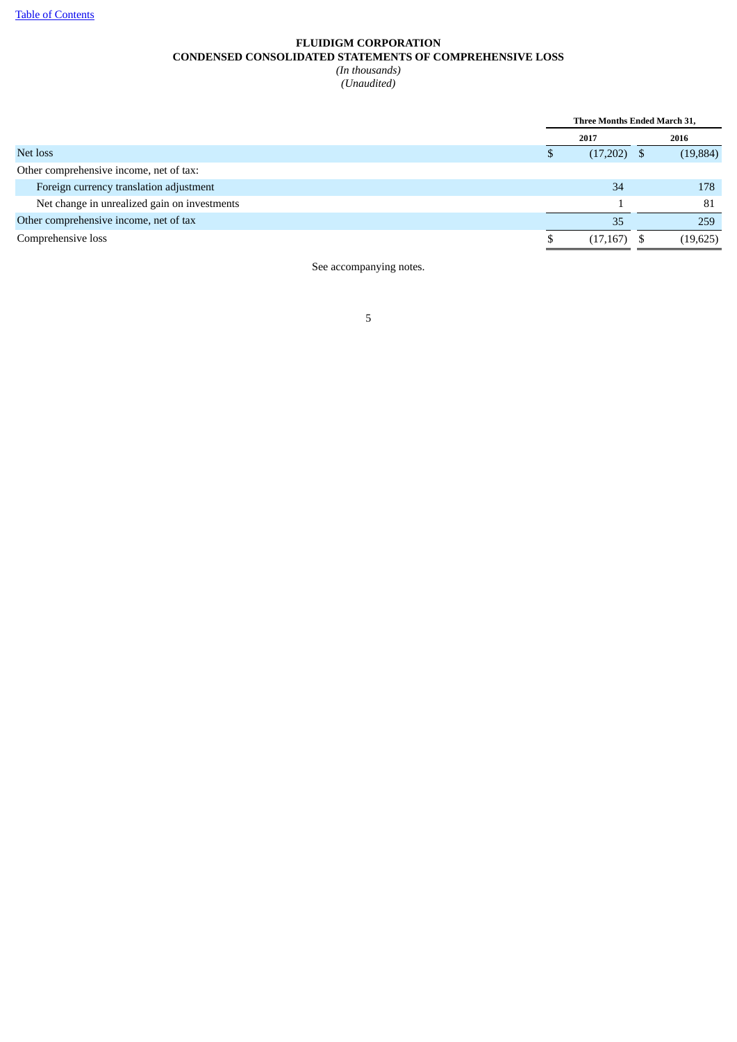# **FLUIDIGM CORPORATION CONDENSED CONSOLIDATED STATEMENTS OF COMPREHENSIVE LOSS** *(In thousands) (Unaudited)*

|                                              | Three Months Ended March 31, |               |  |           |
|----------------------------------------------|------------------------------|---------------|--|-----------|
|                                              |                              | 2017          |  | 2016      |
| Net loss                                     |                              | $(17,202)$ \$ |  | (19, 884) |
| Other comprehensive income, net of tax:      |                              |               |  |           |
| Foreign currency translation adjustment      |                              | 34            |  | 178       |
| Net change in unrealized gain on investments |                              |               |  | 81        |
| Other comprehensive income, net of tax       |                              | 35            |  | 259       |
| Comprehensive loss                           |                              | $(17,167)$ \$ |  | (19,625)  |
|                                              |                              |               |  |           |

See accompanying notes.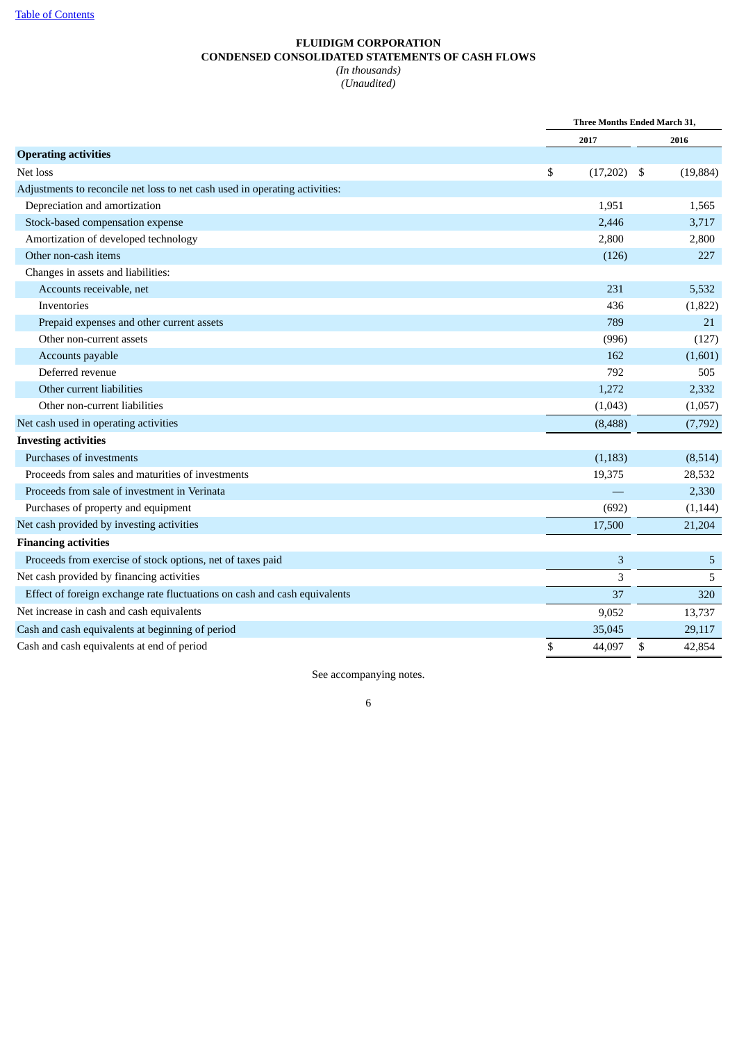## **FLUIDIGM CORPORATION CONDENSED CONSOLIDATED STATEMENTS OF CASH FLOWS** *(In thousands) (Unaudited)*

<span id="page-5-0"></span>

|                                                                             | Three Months Ended March 31, |    |           |
|-----------------------------------------------------------------------------|------------------------------|----|-----------|
|                                                                             | 2017                         |    | 2016      |
| <b>Operating activities</b>                                                 |                              |    |           |
| Net loss                                                                    | \$<br>(17,202)               | \$ | (19, 884) |
| Adjustments to reconcile net loss to net cash used in operating activities: |                              |    |           |
| Depreciation and amortization                                               | 1,951                        |    | 1,565     |
| Stock-based compensation expense                                            | 2,446                        |    | 3,717     |
| Amortization of developed technology                                        | 2,800                        |    | 2,800     |
| Other non-cash items                                                        | (126)                        |    | 227       |
| Changes in assets and liabilities:                                          |                              |    |           |
| Accounts receivable, net                                                    | 231                          |    | 5,532     |
| Inventories                                                                 | 436                          |    | (1,822)   |
| Prepaid expenses and other current assets                                   | 789                          |    | 21        |
| Other non-current assets                                                    | (996)                        |    | (127)     |
| Accounts payable                                                            | 162                          |    | (1,601)   |
| Deferred revenue                                                            | 792                          |    | 505       |
| Other current liabilities                                                   | 1,272                        |    | 2,332     |
| Other non-current liabilities                                               | (1,043)                      |    | (1,057)   |
| Net cash used in operating activities                                       | (8,488)                      |    | (7, 792)  |
| <b>Investing activities</b>                                                 |                              |    |           |
| Purchases of investments                                                    | (1, 183)                     |    | (8,514)   |
| Proceeds from sales and maturities of investments                           | 19,375                       |    | 28,532    |
| Proceeds from sale of investment in Verinata                                |                              |    | 2,330     |
| Purchases of property and equipment                                         | (692)                        |    | (1, 144)  |
| Net cash provided by investing activities                                   | 17,500                       |    | 21,204    |
| <b>Financing activities</b>                                                 |                              |    |           |
| Proceeds from exercise of stock options, net of taxes paid                  | 3                            |    | 5         |
| Net cash provided by financing activities                                   | 3                            |    | 5         |
| Effect of foreign exchange rate fluctuations on cash and cash equivalents   | 37                           |    | 320       |
| Net increase in cash and cash equivalents                                   | 9,052                        |    | 13,737    |
| Cash and cash equivalents at beginning of period                            | 35,045                       |    | 29,117    |
| Cash and cash equivalents at end of period                                  | \$<br>44,097                 | \$ | 42,854    |

See accompanying notes.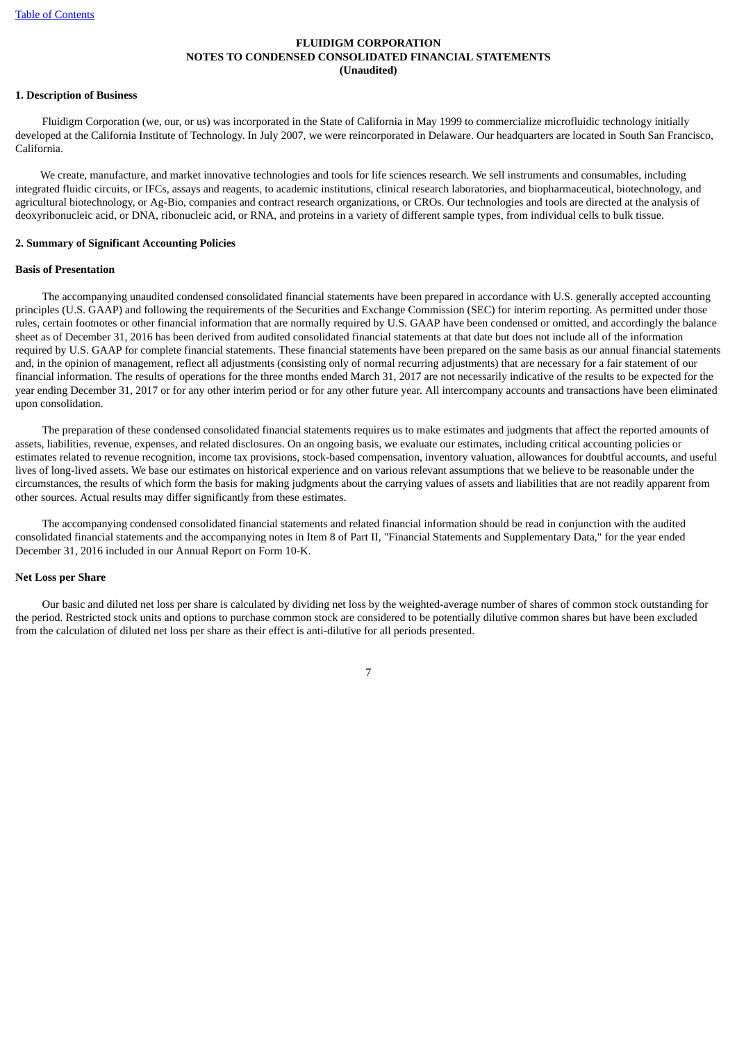# <span id="page-6-0"></span>**1. Description of Business**

Fluidigm Corporation (we, our, or us) was incorporated in the State of California in May 1999 to commercialize microfluidic technology initially developed at the California Institute of Technology. In July 2007, we were reincorporated in Delaware. Our headquarters are located in South San Francisco, California.

We create, manufacture, and market innovative technologies and tools for life sciences research. We sell instruments and consumables, including integrated fluidic circuits, or IFCs, assays and reagents, to academic institutions, clinical research laboratories, and biopharmaceutical, biotechnology, and agricultural biotechnology, or Ag-Bio, companies and contract research organizations, or CROs. Our technologies and tools are directed at the analysis of deoxyribonucleic acid, or DNA, ribonucleic acid, or RNA, and proteins in a variety of different sample types, from individual cells to bulk tissue.

# **2. Summary of Significant Accounting Policies**

# **Basis of Presentation**

The accompanying unaudited condensed consolidated financial statements have been prepared in accordance with U.S. generally accepted accounting principles (U.S. GAAP) and following the requirements of the Securities and Exchange Commission (SEC) for interim reporting. As permitted under those rules, certain footnotes or other financial information that are normally required by U.S. GAAP have been condensed or omitted, and accordingly the balance sheet as of December 31, 2016 has been derived from audited consolidated financial statements at that date but does not include all of the information required by U.S. GAAP for complete financial statements. These financial statements have been prepared on the same basis as our annual financial statements and, in the opinion of management, reflect all adjustments (consisting only of normal recurring adjustments) that are necessary for a fair statement of our financial information. The results of operations for the three months ended March 31, 2017 are not necessarily indicative of the results to be expected for the year ending December 31, 2017 or for any other interim period or for any other future year. All intercompany accounts and transactions have been eliminated upon consolidation.

The preparation of these condensed consolidated financial statements requires us to make estimates and judgments that affect the reported amounts of assets, liabilities, revenue, expenses, and related disclosures. On an ongoing basis, we evaluate our estimates, including critical accounting policies or estimates related to revenue recognition, income tax provisions, stock-based compensation, inventory valuation, allowances for doubtful accounts, and useful lives of long-lived assets. We base our estimates on historical experience and on various relevant assumptions that we believe to be reasonable under the circumstances, the results of which form the basis for making judgments about the carrying values of assets and liabilities that are not readily apparent from other sources. Actual results may differ significantly from these estimates.

The accompanying condensed consolidated financial statements and related financial information should be read in conjunction with the audited consolidated financial statements and the accompanying notes in Item 8 of Part II, "Financial Statements and Supplementary Data," for the year ended December 31, 2016 included in our Annual Report on Form 10-K.

## **Net Loss per Share**

Our basic and diluted net loss per share is calculated by dividing net loss by the weighted-average number of shares of common stock outstanding for the period. Restricted stock units and options to purchase common stock are considered to be potentially dilutive common shares but have been excluded from the calculation of diluted net loss per share as their effect is anti-dilutive for all periods presented.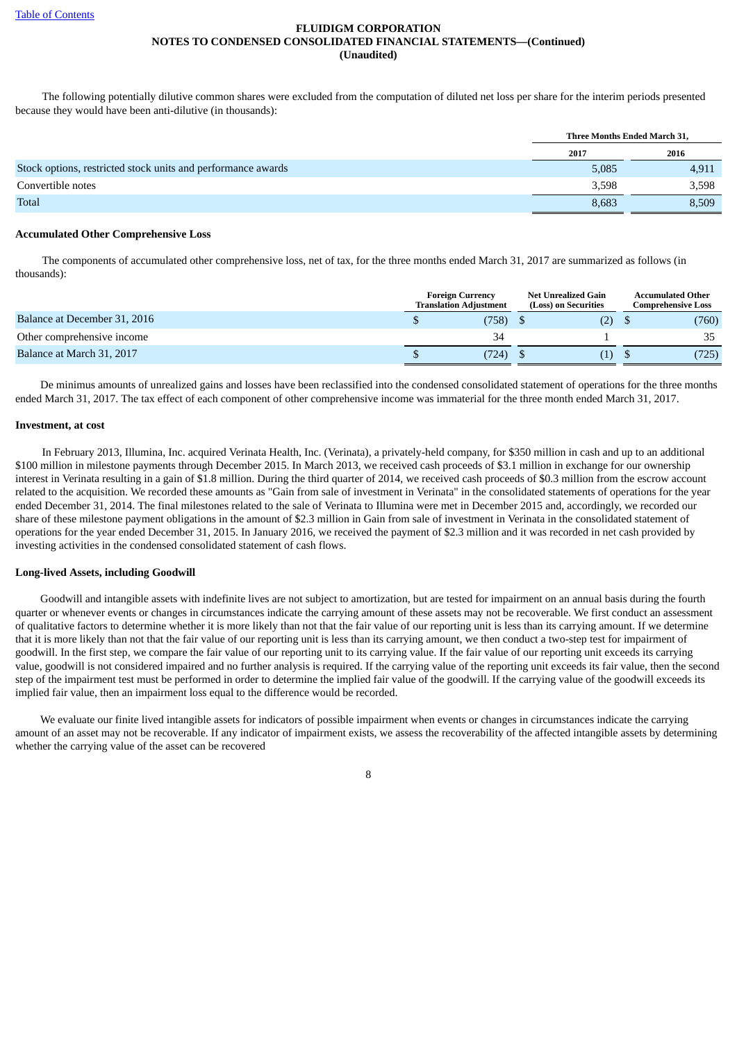The following potentially dilutive common shares were excluded from the computation of diluted net loss per share for the interim periods presented because they would have been anti-dilutive (in thousands):

|                                                              | Three Months Ended March 31, |       |
|--------------------------------------------------------------|------------------------------|-------|
|                                                              | 2017                         | 2016  |
| Stock options, restricted stock units and performance awards | 5,085                        | 4,911 |
| Convertible notes                                            | 3,598                        | 3,598 |
| Total                                                        | 8,683                        | 8,509 |

#### **Accumulated Other Comprehensive Loss**

The components of accumulated other comprehensive loss, net of tax, for the three months ended March 31, 2017 are summarized as follows (in thousands):

|                              | <b>Foreign Currency</b><br><b>Translation Adiustment</b> | Net Unrealized Gain<br>(Loss) on Securities | <b>Accumulated Other</b><br>Comprehensive Loss |       |  |
|------------------------------|----------------------------------------------------------|---------------------------------------------|------------------------------------------------|-------|--|
| Balance at December 31, 2016 | (758).                                                   | (2)                                         |                                                | (760) |  |
| Other comprehensive income   | 34                                                       |                                             |                                                | 35    |  |
| Balance at March 31, 2017    | (724)                                                    |                                             |                                                | (725) |  |

De minimus amounts of unrealized gains and losses have been reclassified into the condensed consolidated statement of operations for the three months ended March 31, 2017. The tax effect of each component of other comprehensive income was immaterial for the three month ended March 31, 2017.

#### **Investment, at cost**

In February 2013, Illumina, Inc. acquired Verinata Health, Inc. (Verinata), a privately-held company, for \$350 million in cash and up to an additional \$100 million in milestone payments through December 2015. In March 2013, we received cash proceeds of \$3.1 million in exchange for our ownership interest in Verinata resulting in a gain of \$1.8 million. During the third quarter of 2014, we received cash proceeds of \$0.3 million from the escrow account related to the acquisition. We recorded these amounts as "Gain from sale of investment in Verinata" in the consolidated statements of operations for the year ended December 31, 2014. The final milestones related to the sale of Verinata to Illumina were met in December 2015 and, accordingly, we recorded our share of these milestone payment obligations in the amount of \$2.3 million in Gain from sale of investment in Verinata in the consolidated statement of operations for the year ended December 31, 2015. In January 2016, we received the payment of \$2.3 million and it was recorded in net cash provided by investing activities in the condensed consolidated statement of cash flows.

#### **Long-lived Assets, including Goodwill**

Goodwill and intangible assets with indefinite lives are not subject to amortization, but are tested for impairment on an annual basis during the fourth quarter or whenever events or changes in circumstances indicate the carrying amount of these assets may not be recoverable. We first conduct an assessment of qualitative factors to determine whether it is more likely than not that the fair value of our reporting unit is less than its carrying amount. If we determine that it is more likely than not that the fair value of our reporting unit is less than its carrying amount, we then conduct a two-step test for impairment of goodwill. In the first step, we compare the fair value of our reporting unit to its carrying value. If the fair value of our reporting unit exceeds its carrying value, goodwill is not considered impaired and no further analysis is required. If the carrying value of the reporting unit exceeds its fair value, then the second step of the impairment test must be performed in order to determine the implied fair value of the goodwill. If the carrying value of the goodwill exceeds its implied fair value, then an impairment loss equal to the difference would be recorded.

We evaluate our finite lived intangible assets for indicators of possible impairment when events or changes in circumstances indicate the carrying amount of an asset may not be recoverable. If any indicator of impairment exists, we assess the recoverability of the affected intangible assets by determining whether the carrying value of the asset can be recovered

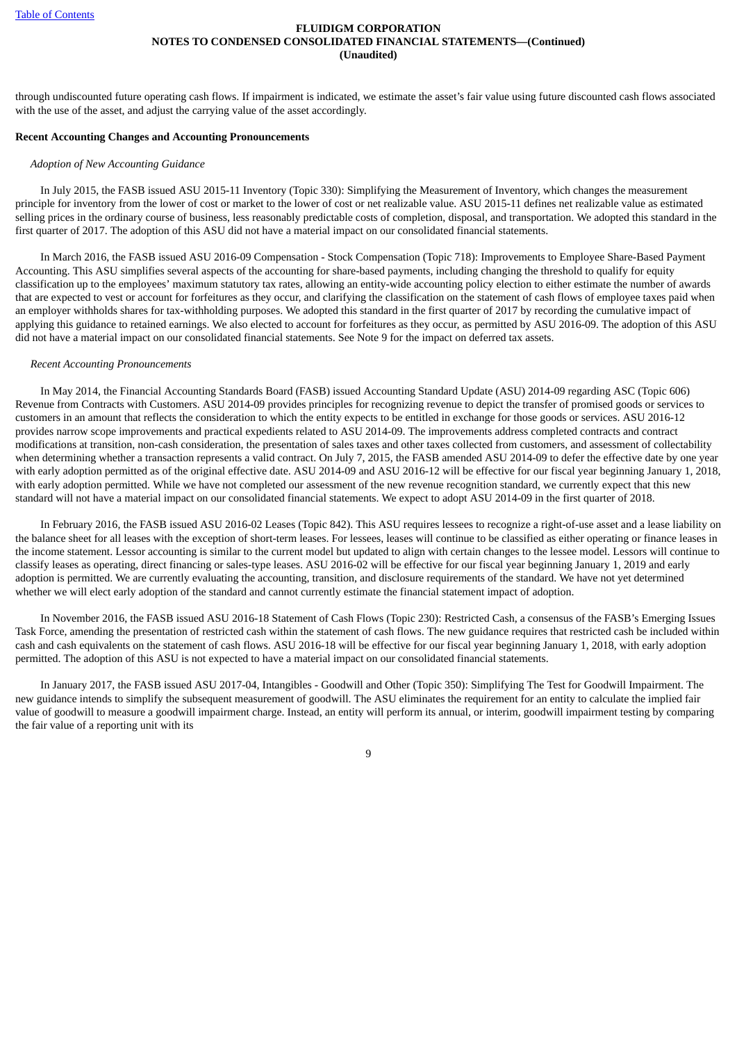through undiscounted future operating cash flows. If impairment is indicated, we estimate the asset's fair value using future discounted cash flows associated with the use of the asset, and adjust the carrying value of the asset accordingly.

#### **Recent Accounting Changes and Accounting Pronouncements**

#### *Adoption of New Accounting Guidance*

In July 2015, the FASB issued ASU 2015-11 Inventory (Topic 330): Simplifying the Measurement of Inventory, which changes the measurement principle for inventory from the lower of cost or market to the lower of cost or net realizable value. ASU 2015-11 defines net realizable value as estimated selling prices in the ordinary course of business, less reasonably predictable costs of completion, disposal, and transportation. We adopted this standard in the first quarter of 2017. The adoption of this ASU did not have a material impact on our consolidated financial statements.

In March 2016, the FASB issued ASU 2016-09 Compensation - Stock Compensation (Topic 718): Improvements to Employee Share-Based Payment Accounting. This ASU simplifies several aspects of the accounting for share-based payments, including changing the threshold to qualify for equity classification up to the employees' maximum statutory tax rates, allowing an entity-wide accounting policy election to either estimate the number of awards that are expected to vest or account for forfeitures as they occur, and clarifying the classification on the statement of cash flows of employee taxes paid when an employer withholds shares for tax-withholding purposes. We adopted this standard in the first quarter of 2017 by recording the cumulative impact of applying this guidance to retained earnings. We also elected to account for forfeitures as they occur, as permitted by ASU 2016-09. The adoption of this ASU did not have a material impact on our consolidated financial statements. See Note 9 for the impact on deferred tax assets.

#### *Recent Accounting Pronouncements*

In May 2014, the Financial Accounting Standards Board (FASB) issued Accounting Standard Update (ASU) 2014-09 regarding ASC (Topic 606) Revenue from Contracts with Customers. ASU 2014-09 provides principles for recognizing revenue to depict the transfer of promised goods or services to customers in an amount that reflects the consideration to which the entity expects to be entitled in exchange for those goods or services. ASU 2016-12 provides narrow scope improvements and practical expedients related to ASU 2014-09. The improvements address completed contracts and contract modifications at transition, non-cash consideration, the presentation of sales taxes and other taxes collected from customers, and assessment of collectability when determining whether a transaction represents a valid contract. On July 7, 2015, the FASB amended ASU 2014-09 to defer the effective date by one year with early adoption permitted as of the original effective date. ASU 2014-09 and ASU 2016-12 will be effective for our fiscal year beginning January 1, 2018, with early adoption permitted. While we have not completed our assessment of the new revenue recognition standard, we currently expect that this new standard will not have a material impact on our consolidated financial statements. We expect to adopt ASU 2014-09 in the first quarter of 2018.

In February 2016, the FASB issued ASU 2016-02 Leases (Topic 842). This ASU requires lessees to recognize a right-of-use asset and a lease liability on the balance sheet for all leases with the exception of short-term leases. For lessees, leases will continue to be classified as either operating or finance leases in the income statement. Lessor accounting is similar to the current model but updated to align with certain changes to the lessee model. Lessors will continue to classify leases as operating, direct financing or sales-type leases. ASU 2016-02 will be effective for our fiscal year beginning January 1, 2019 and early adoption is permitted. We are currently evaluating the accounting, transition, and disclosure requirements of the standard. We have not yet determined whether we will elect early adoption of the standard and cannot currently estimate the financial statement impact of adoption.

In November 2016, the FASB issued ASU 2016-18 Statement of Cash Flows (Topic 230): Restricted Cash, a consensus of the FASB's Emerging Issues Task Force, amending the presentation of restricted cash within the statement of cash flows. The new guidance requires that restricted cash be included within cash and cash equivalents on the statement of cash flows. ASU 2016-18 will be effective for our fiscal year beginning January 1, 2018, with early adoption permitted. The adoption of this ASU is not expected to have a material impact on our consolidated financial statements.

In January 2017, the FASB issued ASU 2017-04, Intangibles - Goodwill and Other (Topic 350): Simplifying The Test for Goodwill Impairment. The new guidance intends to simplify the subsequent measurement of goodwill. The ASU eliminates the requirement for an entity to calculate the implied fair value of goodwill to measure a goodwill impairment charge. Instead, an entity will perform its annual, or interim, goodwill impairment testing by comparing the fair value of a reporting unit with its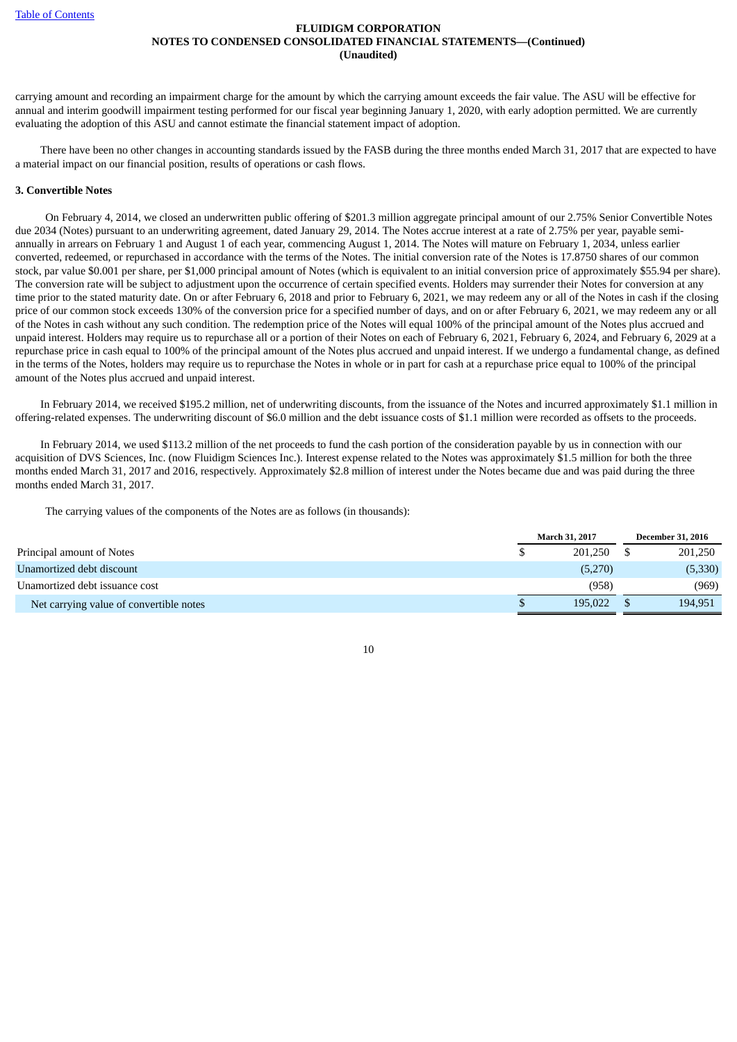carrying amount and recording an impairment charge for the amount by which the carrying amount exceeds the fair value. The ASU will be effective for annual and interim goodwill impairment testing performed for our fiscal year beginning January 1, 2020, with early adoption permitted. We are currently evaluating the adoption of this ASU and cannot estimate the financial statement impact of adoption.

There have been no other changes in accounting standards issued by the FASB during the three months ended March 31, 2017 that are expected to have a material impact on our financial position, results of operations or cash flows.

#### **3. Convertible Notes**

On February 4, 2014, we closed an underwritten public offering of \$201.3 million aggregate principal amount of our 2.75% Senior Convertible Notes due 2034 (Notes) pursuant to an underwriting agreement, dated January 29, 2014. The Notes accrue interest at a rate of 2.75% per year, payable semiannually in arrears on February 1 and August 1 of each year, commencing August 1, 2014. The Notes will mature on February 1, 2034, unless earlier converted, redeemed, or repurchased in accordance with the terms of the Notes. The initial conversion rate of the Notes is 17.8750 shares of our common stock, par value \$0.001 per share, per \$1,000 principal amount of Notes (which is equivalent to an initial conversion price of approximately \$55.94 per share). The conversion rate will be subject to adjustment upon the occurrence of certain specified events. Holders may surrender their Notes for conversion at any time prior to the stated maturity date. On or after February 6, 2018 and prior to February 6, 2021, we may redeem any or all of the Notes in cash if the closing price of our common stock exceeds 130% of the conversion price for a specified number of days, and on or after February 6, 2021, we may redeem any or all of the Notes in cash without any such condition. The redemption price of the Notes will equal 100% of the principal amount of the Notes plus accrued and unpaid interest. Holders may require us to repurchase all or a portion of their Notes on each of February 6, 2021, February 6, 2024, and February 6, 2029 at a repurchase price in cash equal to 100% of the principal amount of the Notes plus accrued and unpaid interest. If we undergo a fundamental change, as defined in the terms of the Notes, holders may require us to repurchase the Notes in whole or in part for cash at a repurchase price equal to 100% of the principal amount of the Notes plus accrued and unpaid interest.

In February 2014, we received \$195.2 million, net of underwriting discounts, from the issuance of the Notes and incurred approximately \$1.1 million in offering-related expenses. The underwriting discount of \$6.0 million and the debt issuance costs of \$1.1 million were recorded as offsets to the proceeds.

In February 2014, we used \$113.2 million of the net proceeds to fund the cash portion of the consideration payable by us in connection with our acquisition of DVS Sciences, Inc. (now Fluidigm Sciences Inc.). Interest expense related to the Notes was approximately \$1.5 million for both the three months ended March 31, 2017 and 2016, respectively. Approximately \$2.8 million of interest under the Notes became due and was paid during the three months ended March 31, 2017.

The carrying values of the components of the Notes are as follows (in thousands):

|                                         | <b>March 31, 2017</b> |         |  | <b>December 31, 2016</b> |  |  |
|-----------------------------------------|-----------------------|---------|--|--------------------------|--|--|
| Principal amount of Notes               |                       | 201.250 |  | 201,250                  |  |  |
| Unamortized debt discount               |                       | (5,270) |  | (5,330)                  |  |  |
| Unamortized debt issuance cost          |                       | (958)   |  | (969)                    |  |  |
| Net carrying value of convertible notes |                       | 195.022 |  | 194,951                  |  |  |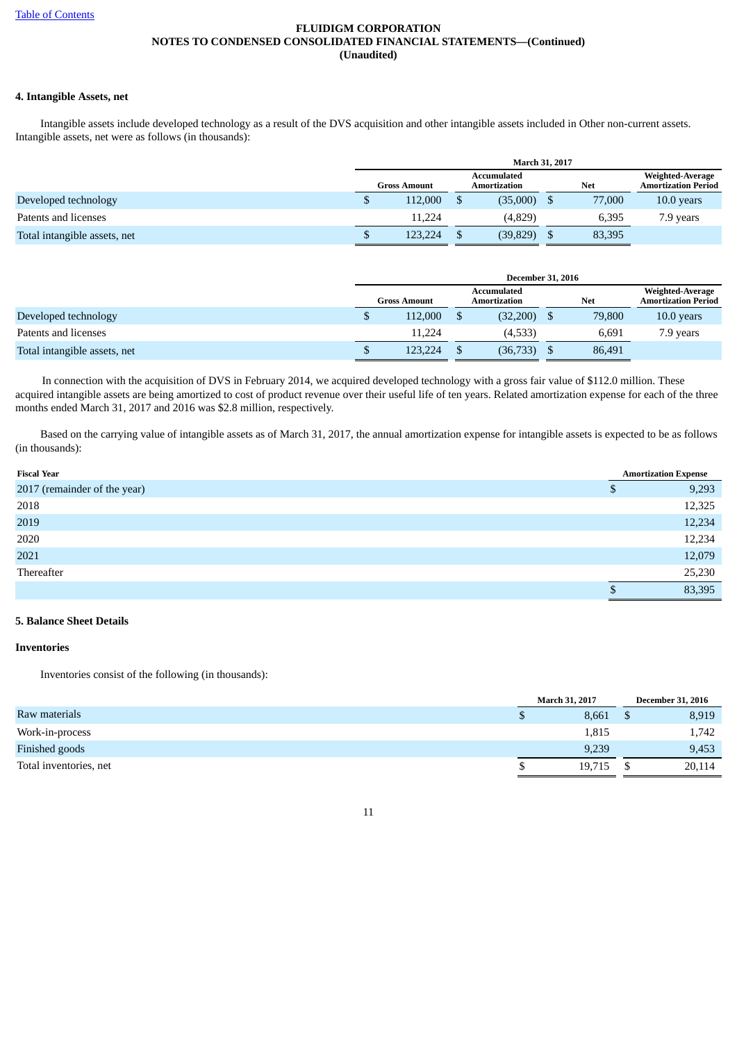# **4. Intangible Assets, net**

Intangible assets include developed technology as a result of the DVS acquisition and other intangible assets included in Other non-current assets. Intangible assets, net were as follows (in thousands):

|                              | March 31, 2017      |  |                                    |  |            |                                                |  |
|------------------------------|---------------------|--|------------------------------------|--|------------|------------------------------------------------|--|
|                              | <b>Gross Amount</b> |  | <b>Accumulated</b><br>Amortization |  | <b>Net</b> | Weighted-Average<br><b>Amortization Period</b> |  |
| Developed technology         | 112,000             |  | (35,000)                           |  | 77,000     | $10.0$ years                                   |  |
| Patents and licenses         | 11.224              |  | (4,829)                            |  | 6,395      | 7.9 years                                      |  |
| Total intangible assets, net | 123,224             |  | (39, 829)                          |  | 83,395     |                                                |  |

|                              | <b>December 31, 2016</b> |                     |  |                             |  |            |                                                |
|------------------------------|--------------------------|---------------------|--|-----------------------------|--|------------|------------------------------------------------|
|                              |                          | <b>Gross Amount</b> |  | Accumulated<br>Amortization |  | <b>Net</b> | Weighted-Average<br><b>Amortization Period</b> |
| Developed technology         |                          | 112,000             |  | (32,200)                    |  | 79,800     | $10.0$ years                                   |
| Patents and licenses         |                          | 11.224              |  | (4,533)                     |  | 6,691      | 7.9 years                                      |
| Total intangible assets, net |                          | 123,224             |  | (36, 733)                   |  | 86,491     |                                                |

In connection with the acquisition of DVS in February 2014, we acquired developed technology with a gross fair value of \$112.0 million. These acquired intangible assets are being amortized to cost of product revenue over their useful life of ten years. Related amortization expense for each of the three months ended March 31, 2017 and 2016 was \$2.8 million, respectively.

Based on the carrying value of intangible assets as of March 31, 2017, the annual amortization expense for intangible assets is expected to be as follows (in thousands):

| <b>Fiscal Year</b>           | <b>Amortization Expense</b> |
|------------------------------|-----------------------------|
| 2017 (remainder of the year) | 9,293                       |
| 2018                         | 12,325                      |
| 2019                         | 12,234                      |
| 2020                         | 12,234                      |
| 2021                         | 12,079                      |
| Thereafter                   | 25,230                      |
|                              | 83,395                      |

# **5. Balance Sheet Details**

#### **Inventories**

Inventories consist of the following (in thousands):

|                        | <b>March 31, 2017</b> | <b>December 31, 2016</b> |        |  |
|------------------------|-----------------------|--------------------------|--------|--|
| Raw materials          | 8,661                 |                          | 8,919  |  |
| Work-in-process        | 1,815                 |                          | 1,742  |  |
| Finished goods         | 9,239                 |                          | 9,453  |  |
| Total inventories, net | 19,715                |                          | 20,114 |  |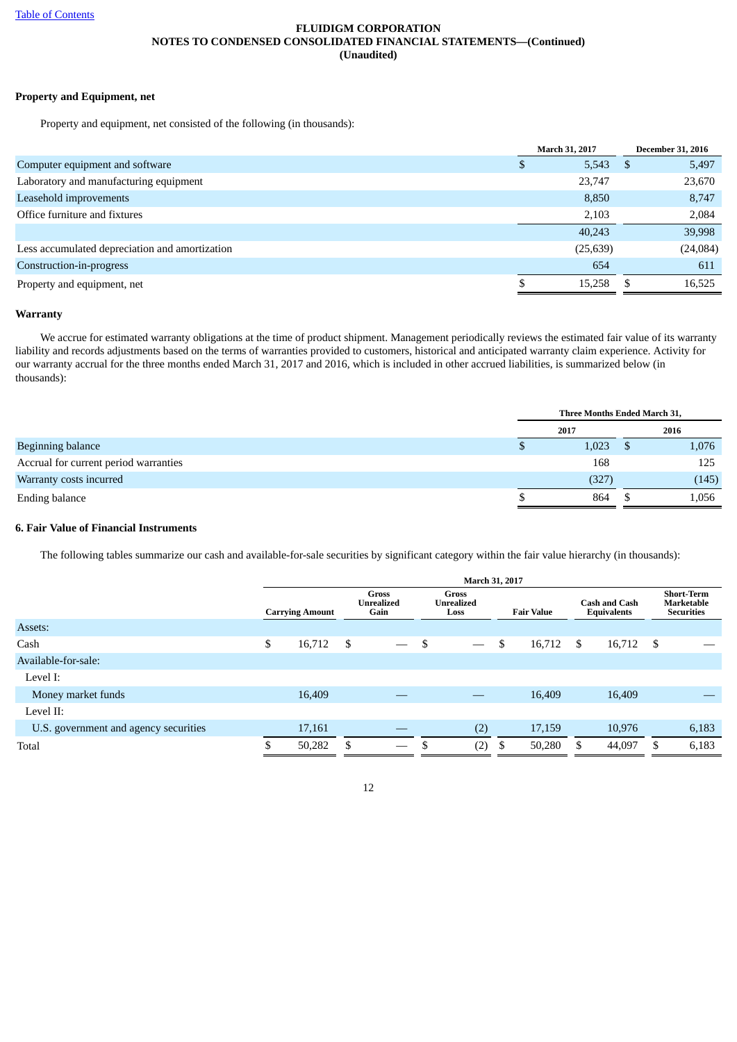# **Property and Equipment, net**

Property and equipment, net consisted of the following (in thousands):

|                                                | <b>March 31, 2017</b> |   | <b>December 31, 2016</b> |
|------------------------------------------------|-----------------------|---|--------------------------|
| Computer equipment and software                | 5,543                 | S | 5,497                    |
| Laboratory and manufacturing equipment         | 23,747                |   | 23,670                   |
| Leasehold improvements                         | 8,850                 |   | 8,747                    |
| Office furniture and fixtures                  | 2,103                 |   | 2,084                    |
|                                                | 40,243                |   | 39,998                   |
| Less accumulated depreciation and amortization | (25, 639)             |   | (24,084)                 |
| Construction-in-progress                       | 654                   |   | 611                      |
| Property and equipment, net                    | 15,258                |   | 16,525                   |
|                                                |                       |   |                          |

#### **Warranty**

We accrue for estimated warranty obligations at the time of product shipment. Management periodically reviews the estimated fair value of its warranty liability and records adjustments based on the terms of warranties provided to customers, historical and anticipated warranty claim experience. Activity for our warranty accrual for the three months ended March 31, 2017 and 2016, which is included in other accrued liabilities, is summarized below (in thousands):

|                                       | <b>Three Months Ended March 31,</b> |       |  |       |  |  |
|---------------------------------------|-------------------------------------|-------|--|-------|--|--|
|                                       |                                     | 2017  |  | 2016  |  |  |
| <b>Beginning balance</b>              |                                     | 1,023 |  | 1,076 |  |  |
| Accrual for current period warranties |                                     | 168   |  | 125   |  |  |
| Warranty costs incurred               |                                     | (327) |  | (145) |  |  |
| Ending balance                        |                                     | 864   |  | 1,056 |  |  |

## **6. Fair Value of Financial Instruments**

The following tables summarize our cash and available-for-sale securities by significant category within the fair value hierarchy (in thousands):

|                                       | March 31, 2017 |                        |     |                                           |    |                                           |    |                   |    |                                            |  |                                                             |
|---------------------------------------|----------------|------------------------|-----|-------------------------------------------|----|-------------------------------------------|----|-------------------|----|--------------------------------------------|--|-------------------------------------------------------------|
|                                       |                | <b>Carrying Amount</b> |     | <b>Gross</b><br><b>Unrealized</b><br>Gain |    | <b>Gross</b><br><b>Unrealized</b><br>Loss |    | <b>Fair Value</b> |    | <b>Cash and Cash</b><br><b>Equivalents</b> |  | <b>Short-Term</b><br><b>Marketable</b><br><b>Securities</b> |
| Assets:                               |                |                        |     |                                           |    |                                           |    |                   |    |                                            |  |                                                             |
| Cash                                  | \$             | 16,712                 | \$  | $\overline{\phantom{m}}$                  | \$ |                                           | \$ | 16,712            | \$ | 16,712 \$                                  |  |                                                             |
| Available-for-sale:                   |                |                        |     |                                           |    |                                           |    |                   |    |                                            |  |                                                             |
| Level I:                              |                |                        |     |                                           |    |                                           |    |                   |    |                                            |  |                                                             |
| Money market funds                    |                | 16,409                 |     |                                           |    |                                           |    | 16,409            |    | 16,409                                     |  |                                                             |
| Level II:                             |                |                        |     |                                           |    |                                           |    |                   |    |                                            |  |                                                             |
| U.S. government and agency securities |                | 17,161                 |     |                                           |    | (2)                                       |    | 17,159            |    | 10,976                                     |  | 6,183                                                       |
| Total                                 |                | 50,282                 | \$. |                                           |    | (2)                                       | S  | 50,280            | £. | 44,097                                     |  | 6,183                                                       |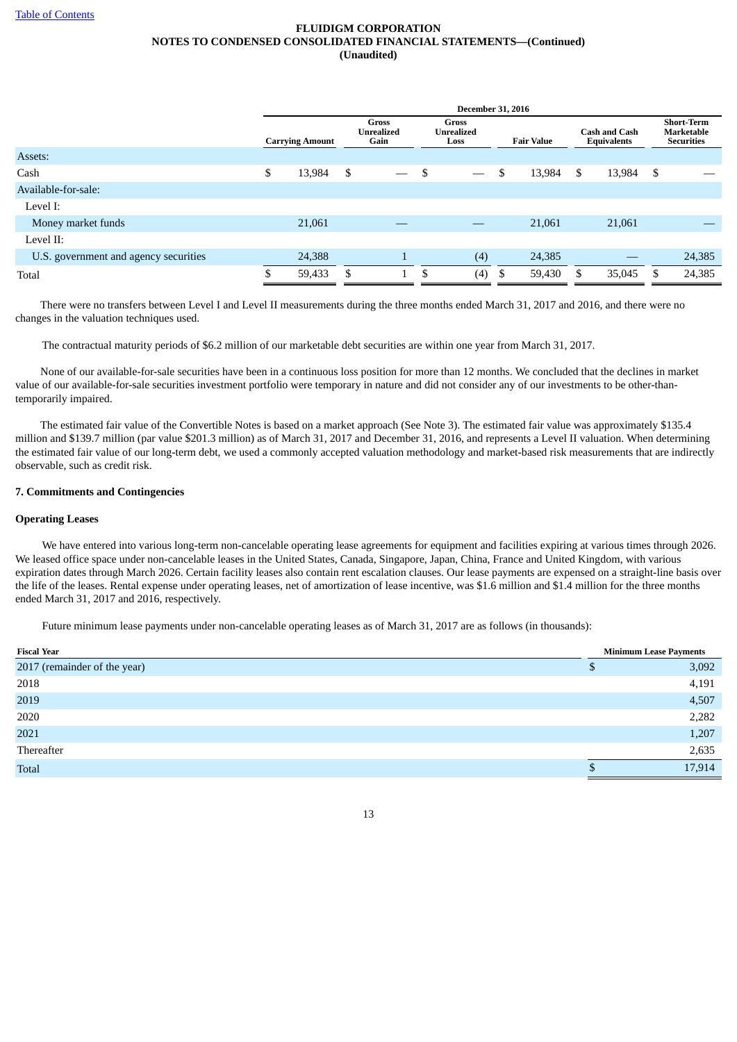|                                       | <b>December 31, 2016</b> |                        |    |                                           |    |                                    |    |                   |    |                                            |     |                                                             |
|---------------------------------------|--------------------------|------------------------|----|-------------------------------------------|----|------------------------------------|----|-------------------|----|--------------------------------------------|-----|-------------------------------------------------------------|
|                                       |                          | <b>Carrying Amount</b> |    | <b>Gross</b><br><b>Unrealized</b><br>Gain |    | <b>Gross</b><br>Unrealized<br>Loss |    | <b>Fair Value</b> |    | <b>Cash and Cash</b><br><b>Equivalents</b> |     | <b>Short-Term</b><br><b>Marketable</b><br><b>Securities</b> |
| Assets:                               |                          |                        |    |                                           |    |                                    |    |                   |    |                                            |     |                                                             |
| Cash                                  | \$                       | 13,984                 | \$ | $\overline{\phantom{m}}$                  | \$ |                                    | \$ | 13,984            | \$ | 13,984                                     | -\$ |                                                             |
| Available-for-sale:                   |                          |                        |    |                                           |    |                                    |    |                   |    |                                            |     |                                                             |
| Level I:                              |                          |                        |    |                                           |    |                                    |    |                   |    |                                            |     |                                                             |
| Money market funds                    |                          | 21,061                 |    |                                           |    |                                    |    | 21,061            |    | 21,061                                     |     |                                                             |
| Level II:                             |                          |                        |    |                                           |    |                                    |    |                   |    |                                            |     |                                                             |
| U.S. government and agency securities |                          | 24,388                 |    | $\mathbf{1}$                              |    | (4)                                |    | 24,385            |    |                                            |     | 24,385                                                      |
| Total                                 |                          | 59,433                 | S  |                                           | S  | (4)                                | S  | 59,430            | £. | 35,045                                     | S.  | 24,385                                                      |

There were no transfers between Level I and Level II measurements during the three months ended March 31, 2017 and 2016, and there were no changes in the valuation techniques used.

The contractual maturity periods of \$6.2 million of our marketable debt securities are within one year from March 31, 2017.

None of our available-for-sale securities have been in a continuous loss position for more than 12 months. We concluded that the declines in market value of our available-for-sale securities investment portfolio were temporary in nature and did not consider any of our investments to be other-thantemporarily impaired.

The estimated fair value of the Convertible Notes is based on a market approach (See Note 3). The estimated fair value was approximately \$135.4 million and \$139.7 million (par value \$201.3 million) as of March 31, 2017 and December 31, 2016, and represents a Level II valuation. When determining the estimated fair value of our long-term debt, we used a commonly accepted valuation methodology and market-based risk measurements that are indirectly observable, such as credit risk.

## **7. Commitments and Contingencies**

## **Operating Leases**

We have entered into various long-term non-cancelable operating lease agreements for equipment and facilities expiring at various times through 2026. We leased office space under non-cancelable leases in the United States, Canada, Singapore, Japan, China, France and United Kingdom, with various expiration dates through March 2026. Certain facility leases also contain rent escalation clauses. Our lease payments are expensed on a straight-line basis over the life of the leases. Rental expense under operating leases, net of amortization of lease incentive, was \$1.6 million and \$1.4 million for the three months ended March 31, 2017 and 2016, respectively.

Future minimum lease payments under non-cancelable operating leases as of March 31, 2017 are as follows (in thousands):

| <b>Fiscal Year</b>           |    | <b>Minimum Lease Payments</b> |
|------------------------------|----|-------------------------------|
| 2017 (remainder of the year) | ۰U | 3,092                         |
| 2018                         |    | 4,191                         |
| 2019                         |    | 4,507                         |
| 2020                         |    | 2,282                         |
| 2021                         |    | 1,207                         |
| Thereafter                   |    | 2,635                         |
| <b>Total</b>                 |    | 17,914                        |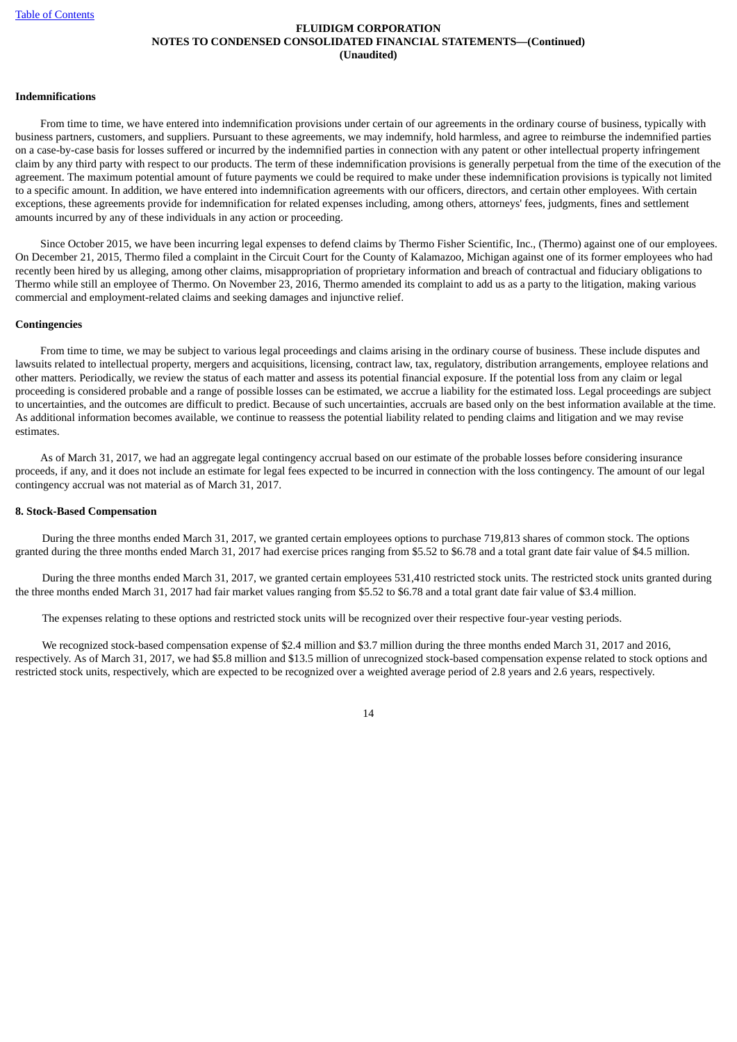#### **Indemnifications**

From time to time, we have entered into indemnification provisions under certain of our agreements in the ordinary course of business, typically with business partners, customers, and suppliers. Pursuant to these agreements, we may indemnify, hold harmless, and agree to reimburse the indemnified parties on a case-by-case basis for losses suffered or incurred by the indemnified parties in connection with any patent or other intellectual property infringement claim by any third party with respect to our products. The term of these indemnification provisions is generally perpetual from the time of the execution of the agreement. The maximum potential amount of future payments we could be required to make under these indemnification provisions is typically not limited to a specific amount. In addition, we have entered into indemnification agreements with our officers, directors, and certain other employees. With certain exceptions, these agreements provide for indemnification for related expenses including, among others, attorneys' fees, judgments, fines and settlement amounts incurred by any of these individuals in any action or proceeding.

Since October 2015, we have been incurring legal expenses to defend claims by Thermo Fisher Scientific, Inc., (Thermo) against one of our employees. On December 21, 2015, Thermo filed a complaint in the Circuit Court for the County of Kalamazoo, Michigan against one of its former employees who had recently been hired by us alleging, among other claims, misappropriation of proprietary information and breach of contractual and fiduciary obligations to Thermo while still an employee of Thermo. On November 23, 2016, Thermo amended its complaint to add us as a party to the litigation, making various commercial and employment-related claims and seeking damages and injunctive relief.

#### **Contingencies**

From time to time, we may be subject to various legal proceedings and claims arising in the ordinary course of business. These include disputes and lawsuits related to intellectual property, mergers and acquisitions, licensing, contract law, tax, regulatory, distribution arrangements, employee relations and other matters. Periodically, we review the status of each matter and assess its potential financial exposure. If the potential loss from any claim or legal proceeding is considered probable and a range of possible losses can be estimated, we accrue a liability for the estimated loss. Legal proceedings are subject to uncertainties, and the outcomes are difficult to predict. Because of such uncertainties, accruals are based only on the best information available at the time. As additional information becomes available, we continue to reassess the potential liability related to pending claims and litigation and we may revise estimates.

As of March 31, 2017, we had an aggregate legal contingency accrual based on our estimate of the probable losses before considering insurance proceeds, if any, and it does not include an estimate for legal fees expected to be incurred in connection with the loss contingency. The amount of our legal contingency accrual was not material as of March 31, 2017.

#### **8. Stock-Based Compensation**

During the three months ended March 31, 2017, we granted certain employees options to purchase 719,813 shares of common stock. The options granted during the three months ended March 31, 2017 had exercise prices ranging from \$5.52 to \$6.78 and a total grant date fair value of \$4.5 million.

During the three months ended March 31, 2017, we granted certain employees 531,410 restricted stock units. The restricted stock units granted during the three months ended March 31, 2017 had fair market values ranging from \$5.52 to \$6.78 and a total grant date fair value of \$3.4 million.

The expenses relating to these options and restricted stock units will be recognized over their respective four-year vesting periods.

We recognized stock-based compensation expense of \$2.4 million and \$3.7 million during the three months ended March 31, 2017 and 2016, respectively. As of March 31, 2017, we had \$5.8 million and \$13.5 million of unrecognized stock-based compensation expense related to stock options and restricted stock units, respectively, which are expected to be recognized over a weighted average period of 2.8 years and 2.6 years, respectively.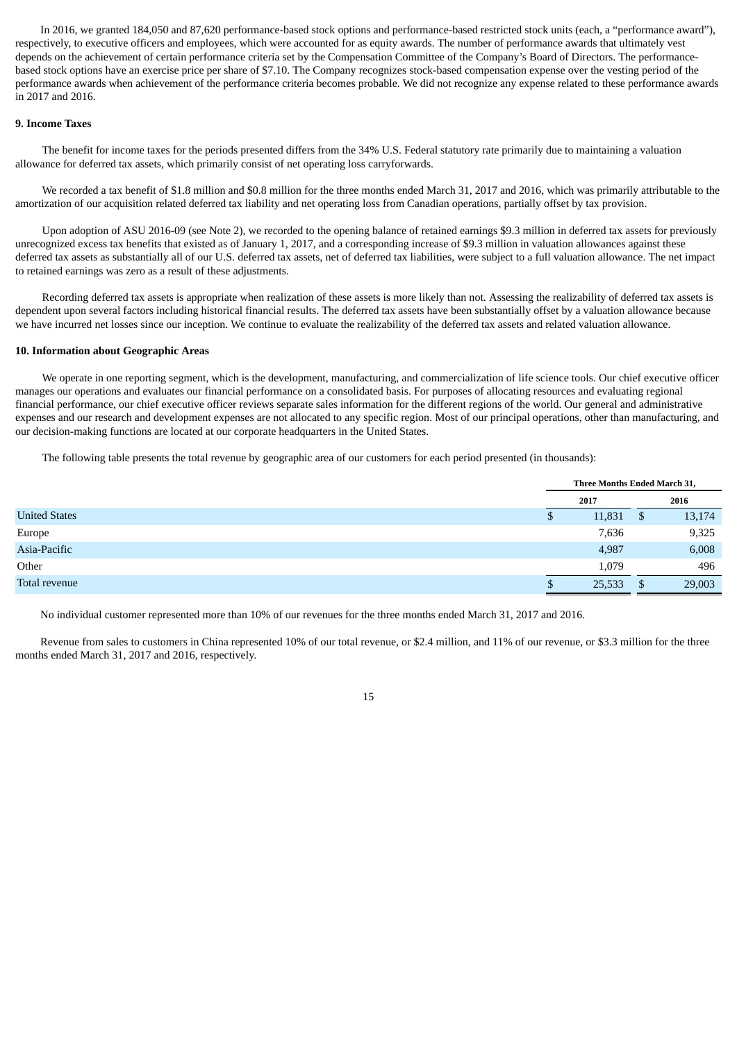In 2016, we granted 184,050 and 87,620 performance-based stock options and performance-based restricted stock units (each, a "performance award"), respectively, to executive officers and employees, which were accounted for as equity awards. The number of performance awards that ultimately vest depends on the achievement of certain performance criteria set by the Compensation Committee of the Company's Board of Directors. The performancebased stock options have an exercise price per share of \$7.10. The Company recognizes stock-based compensation expense over the vesting period of the performance awards when achievement of the performance criteria becomes probable. We did not recognize any expense related to these performance awards in 2017 and 2016.

#### **9. Income Taxes**

The benefit for income taxes for the periods presented differs from the 34% U.S. Federal statutory rate primarily due to maintaining a valuation allowance for deferred tax assets, which primarily consist of net operating loss carryforwards.

We recorded a tax benefit of \$1.8 million and \$0.8 million for the three months ended March 31, 2017 and 2016, which was primarily attributable to the amortization of our acquisition related deferred tax liability and net operating loss from Canadian operations, partially offset by tax provision.

Upon adoption of ASU 2016-09 (see Note 2), we recorded to the opening balance of retained earnings \$9.3 million in deferred tax assets for previously unrecognized excess tax benefits that existed as of January 1, 2017, and a corresponding increase of \$9.3 million in valuation allowances against these deferred tax assets as substantially all of our U.S. deferred tax assets, net of deferred tax liabilities, were subject to a full valuation allowance. The net impact to retained earnings was zero as a result of these adjustments.

Recording deferred tax assets is appropriate when realization of these assets is more likely than not. Assessing the realizability of deferred tax assets is dependent upon several factors including historical financial results. The deferred tax assets have been substantially offset by a valuation allowance because we have incurred net losses since our inception. We continue to evaluate the realizability of the deferred tax assets and related valuation allowance.

#### **10. Information about Geographic Areas**

We operate in one reporting segment, which is the development, manufacturing, and commercialization of life science tools. Our chief executive officer manages our operations and evaluates our financial performance on a consolidated basis. For purposes of allocating resources and evaluating regional financial performance, our chief executive officer reviews separate sales information for the different regions of the world. Our general and administrative expenses and our research and development expenses are not allocated to any specific region. Most of our principal operations, other than manufacturing, and our decision-making functions are located at our corporate headquarters in the United States.

The following table presents the total revenue by geographic area of our customers for each period presented (in thousands):

|                      | Three Months Ended March 31, |        |    |        |  |
|----------------------|------------------------------|--------|----|--------|--|
|                      |                              | 2017   |    | 2016   |  |
| <b>United States</b> | D                            | 11,831 | \$ | 13,174 |  |
| Europe               |                              | 7,636  |    | 9,325  |  |
| Asia-Pacific         |                              | 4,987  |    | 6,008  |  |
| Other                |                              | 1,079  |    | 496    |  |
| Total revenue        |                              | 25,533 | \$ | 29,003 |  |

No individual customer represented more than 10% of our revenues for the three months ended March 31, 2017 and 2016.

Revenue from sales to customers in China represented 10% of our total revenue, or \$2.4 million, and 11% of our revenue, or \$3.3 million for the three months ended March 31, 2017 and 2016, respectively.

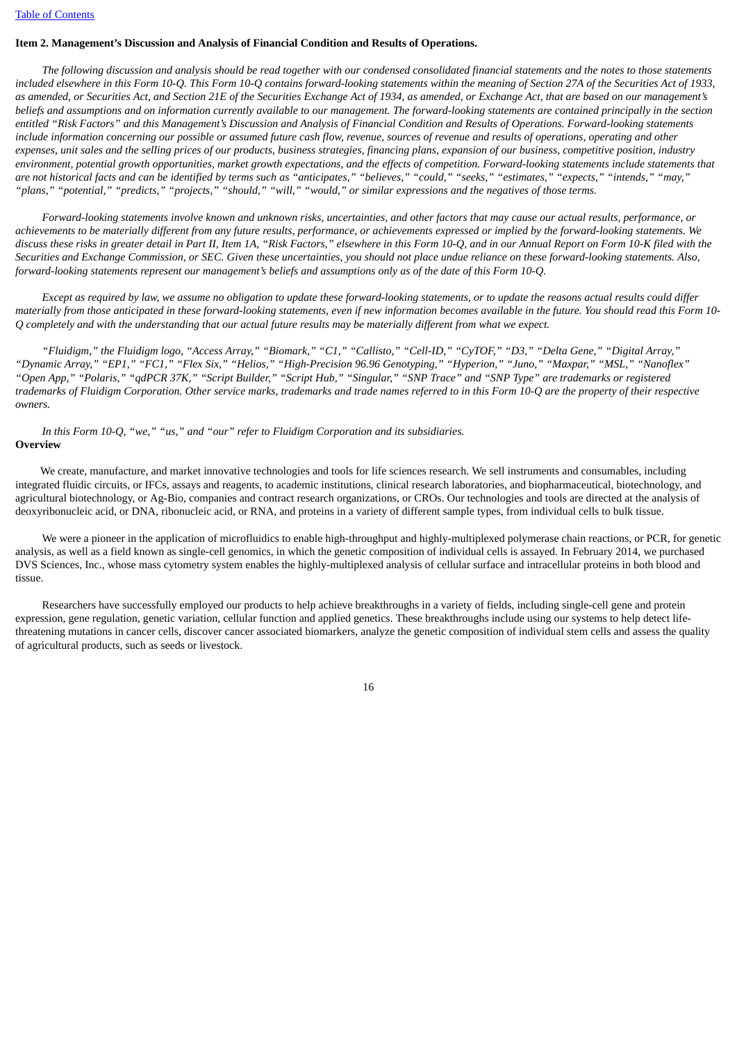#### <span id="page-15-0"></span>**Item 2. Management's Discussion and Analysis of Financial Condition and Results of Operations.**

The following discussion and analysis should be read together with our condensed consolidated financial statements and the notes to those statements included elsewhere in this Form 10-O. This Form 10-O contains forward-looking statements within the meaning of Section 27A of the Securities Act of 1933, as amended, or Securities Act, and Section 21E of the Securities Exchange Act of 1934, as amended, or Exchange Act, that are based on our management's beliefs and assumptions and on information currently available to our management. The forward-looking statements are contained principally in the section entitled "Risk Factors" and this Management's Discussion and Analysis of Financial Condition and Results of Operations. Forward-looking statements include information concerning our possible or assumed future cash flow, revenue, sources of revenue and results of operations, operating and other expenses, unit sales and the selling prices of our products, business strategies, financing plans, expansion of our business, competitive position, industry environment, potential arowth opportunities, market arowth expectations, and the effects of competition. Forward-looking statements include statements that are not historical facts and can be identified by terms such as "anticipates," "believes," "could," "seeks," "estimates," "expects," "intends," "may," "plans." "potential," "predicts," "projects," "should," "will," "would," or similar expressions and the negatives of those terms.

Forward-looking statements involve known and unknown risks, uncertainties, and other factors that may cause our actual results, performance, or achievements to be materially different from any future results, performance, or achievements expressed or implied by the forward-looking statements. We discuss these risks in greater detail in Part II, Item 1A, "Risk Factors," elsewhere in this Form 10-Q, and in our Annual Report on Form 10-K filed with the Securities and Exchanae Commission, or SEC. Given these uncertainties, you should not place undue reliance on these forward-lookina statements. Also, forward-looking statements represent our management's beliefs and assumptions only as of the date of this Form 10-O.

Except as required by law, we assume no obligation to update these forward-looking statements, or to update the reasons actual results could differ materially from those anticipated in these forward-looking statements, even if new information becomes available in the future. You should read this Form 10-O completely and with the understanding that our actual future results may be materially different from what we expect.

"Fluidiam," the Fluidiam logo, "Access Array," "Biomark," "C1," "Callisto," "Cell-ID," "CyTOF," "D3," "Delta Gene," "Digital Array," "Dynamic Array," "EP1," "FC1," "Flex Six," "Helios," "High-Precision 96.96 Genotyping," "Hyperion," "Juno," "Maxpar," "MSL," "Nanoflex" "Open App," "Polaris," "qdPCR 37K," "Script Builder," "Script Hub," "Singular," "SNP Trace" and "SNP Type" are trademarks or registered trademarks of Fluidiam Corporation. Other service marks, trademarks and trade names referred to in this Form 10-Q are the property of their respective *owners.*

*In this Form 10-Q, "we," "us," and "our" refer to Fluidigm Corporation and its subsidiaries.* **Overview**

We create, manufacture, and market innovative technologies and tools for life sciences research. We sell instruments and consumables, including integrated fluidic circuits, or IFCs, assays and reagents, to academic institutions, clinical research laboratories, and biopharmaceutical, biotechnology, and agricultural biotechnology, or Ag-Bio, companies and contract research organizations, or CROs. Our technologies and tools are directed at the analysis of deoxyribonucleic acid, or DNA, ribonucleic acid, or RNA, and proteins in a variety of different sample types, from individual cells to bulk tissue.

We were a pioneer in the application of microfluidics to enable high-throughput and highly-multiplexed polymerase chain reactions, or PCR, for genetic analysis, as well as a field known as single-cell genomics, in which the genetic composition of individual cells is assayed. In February 2014, we purchased DVS Sciences, Inc., whose mass cytometry system enables the highly-multiplexed analysis of cellular surface and intracellular proteins in both blood and tissue.

Researchers have successfully employed our products to help achieve breakthroughs in a variety of fields, including single-cell gene and protein expression, gene regulation, genetic variation, cellular function and applied genetics. These breakthroughs include using our systems to help detect lifethreatening mutations in cancer cells, discover cancer associated biomarkers, analyze the genetic composition of individual stem cells and assess the quality of agricultural products, such as seeds or livestock.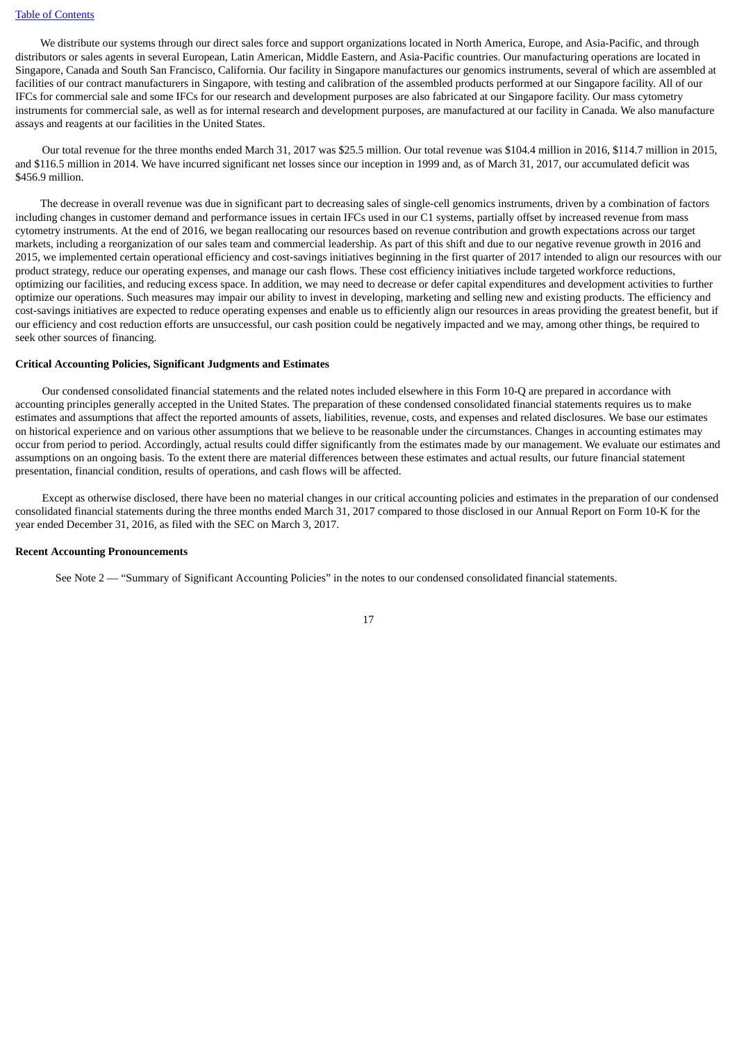We distribute our systems through our direct sales force and support organizations located in North America, Europe, and Asia-Pacific, and through distributors or sales agents in several European, Latin American, Middle Eastern, and Asia-Pacific countries. Our manufacturing operations are located in Singapore, Canada and South San Francisco, California. Our facility in Singapore manufactures our genomics instruments, several of which are assembled at facilities of our contract manufacturers in Singapore, with testing and calibration of the assembled products performed at our Singapore facility. All of our IFCs for commercial sale and some IFCs for our research and development purposes are also fabricated at our Singapore facility. Our mass cytometry instruments for commercial sale, as well as for internal research and development purposes, are manufactured at our facility in Canada. We also manufacture assays and reagents at our facilities in the United States.

Our total revenue for the three months ended March 31, 2017 was \$25.5 million. Our total revenue was \$104.4 million in 2016, \$114.7 million in 2015, and \$116.5 million in 2014. We have incurred significant net losses since our inception in 1999 and, as of March 31, 2017, our accumulated deficit was \$456.9 million.

The decrease in overall revenue was due in significant part to decreasing sales of single-cell genomics instruments, driven by a combination of factors including changes in customer demand and performance issues in certain IFCs used in our C1 systems, partially offset by increased revenue from mass cytometry instruments. At the end of 2016, we began reallocating our resources based on revenue contribution and growth expectations across our target markets, including a reorganization of our sales team and commercial leadership. As part of this shift and due to our negative revenue growth in 2016 and 2015, we implemented certain operational efficiency and cost-savings initiatives beginning in the first quarter of 2017 intended to align our resources with our product strategy, reduce our operating expenses, and manage our cash flows. These cost efficiency initiatives include targeted workforce reductions, optimizing our facilities, and reducing excess space. In addition, we may need to decrease or defer capital expenditures and development activities to further optimize our operations. Such measures may impair our ability to invest in developing, marketing and selling new and existing products. The efficiency and cost-savings initiatives are expected to reduce operating expenses and enable us to efficiently align our resources in areas providing the greatest benefit, but if our efficiency and cost reduction efforts are unsuccessful, our cash position could be negatively impacted and we may, among other things, be required to seek other sources of financing.

#### **Critical Accounting Policies, Significant Judgments and Estimates**

Our condensed consolidated financial statements and the related notes included elsewhere in this Form 10-Q are prepared in accordance with accounting principles generally accepted in the United States. The preparation of these condensed consolidated financial statements requires us to make estimates and assumptions that affect the reported amounts of assets, liabilities, revenue, costs, and expenses and related disclosures. We base our estimates on historical experience and on various other assumptions that we believe to be reasonable under the circumstances. Changes in accounting estimates may occur from period to period. Accordingly, actual results could differ significantly from the estimates made by our management. We evaluate our estimates and assumptions on an ongoing basis. To the extent there are material differences between these estimates and actual results, our future financial statement presentation, financial condition, results of operations, and cash flows will be affected.

Except as otherwise disclosed, there have been no material changes in our critical accounting policies and estimates in the preparation of our condensed consolidated financial statements during the three months ended March 31, 2017 compared to those disclosed in our Annual Report on Form 10-K for the year ended December 31, 2016, as filed with the SEC on March 3, 2017.

#### **Recent Accounting Pronouncements**

See Note 2 — "Summary of Significant Accounting Policies" in the notes to our condensed consolidated financial statements.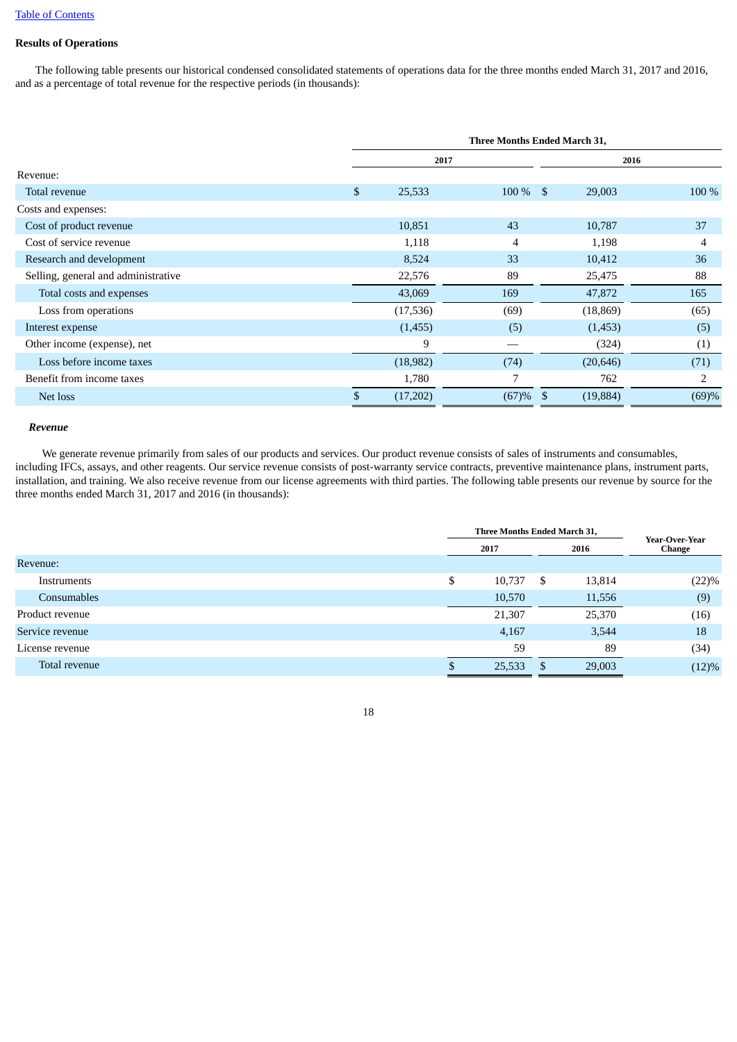# **Results of Operations**

The following table presents our historical condensed consolidated statements of operations data for the three months ended March 31, 2017 and 2016, and as a percentage of total revenue for the respective periods (in thousands):

|                                     |                | Three Months Ended March 31, |           |       |  |  |  |  |
|-------------------------------------|----------------|------------------------------|-----------|-------|--|--|--|--|
|                                     |                | 2017                         | 2016      |       |  |  |  |  |
| Revenue:                            |                |                              |           |       |  |  |  |  |
| Total revenue                       | \$<br>25,533   | $100\%$ \$                   | 29,003    | 100 % |  |  |  |  |
| Costs and expenses:                 |                |                              |           |       |  |  |  |  |
| Cost of product revenue             | 10,851         | 43                           | 10,787    | 37    |  |  |  |  |
| Cost of service revenue             | 1,118          | 4                            | 1,198     | 4     |  |  |  |  |
| Research and development            | 8,524          | 33                           | 10,412    | 36    |  |  |  |  |
| Selling, general and administrative | 22,576         | 89                           | 25,475    | 88    |  |  |  |  |
| Total costs and expenses            | 43,069         | 169                          | 47,872    | 165   |  |  |  |  |
| Loss from operations                | (17,536)       | (69)                         | (18, 869) | (65)  |  |  |  |  |
| Interest expense                    | (1,455)        | (5)                          | (1,453)   | (5)   |  |  |  |  |
| Other income (expense), net         | 9              |                              | (324)     | (1)   |  |  |  |  |
| Loss before income taxes            | (18,982)       | (74)                         | (20, 646) | (71)  |  |  |  |  |
| Benefit from income taxes           | 1,780          | 7                            | 762       | 2     |  |  |  |  |
| Net loss                            | \$<br>(17,202) | $(67) \%$ \$                 | (19, 884) | (69)% |  |  |  |  |

#### *Revenue*

We generate revenue primarily from sales of our products and services. Our product revenue consists of sales of instruments and consumables, including IFCs, assays, and other reagents. Our service revenue consists of post-warranty service contracts, preventive maintenance plans, instrument parts, installation, and training. We also receive revenue from our license agreements with third parties. The following table presents our revenue by source for the three months ended March 31, 2017 and 2016 (in thousands):

|                    | Three Months Ended March 31, | Year-Over-Year |               |  |
|--------------------|------------------------------|----------------|---------------|--|
|                    | 2017                         | 2016           | <b>Change</b> |  |
| Revenue:           |                              |                |               |  |
| Instruments        | \$<br>10,737                 | - \$<br>13,814 | (22)%         |  |
| <b>Consumables</b> | 10,570                       | 11,556         | (9)           |  |
| Product revenue    | 21,307                       | 25,370         | (16)          |  |
| Service revenue    | 4,167                        | 3,544          | 18            |  |
| License revenue    | 59                           | 89             | (34)          |  |
| Total revenue      | 25,533                       | 29,003<br>-S   | (12)%         |  |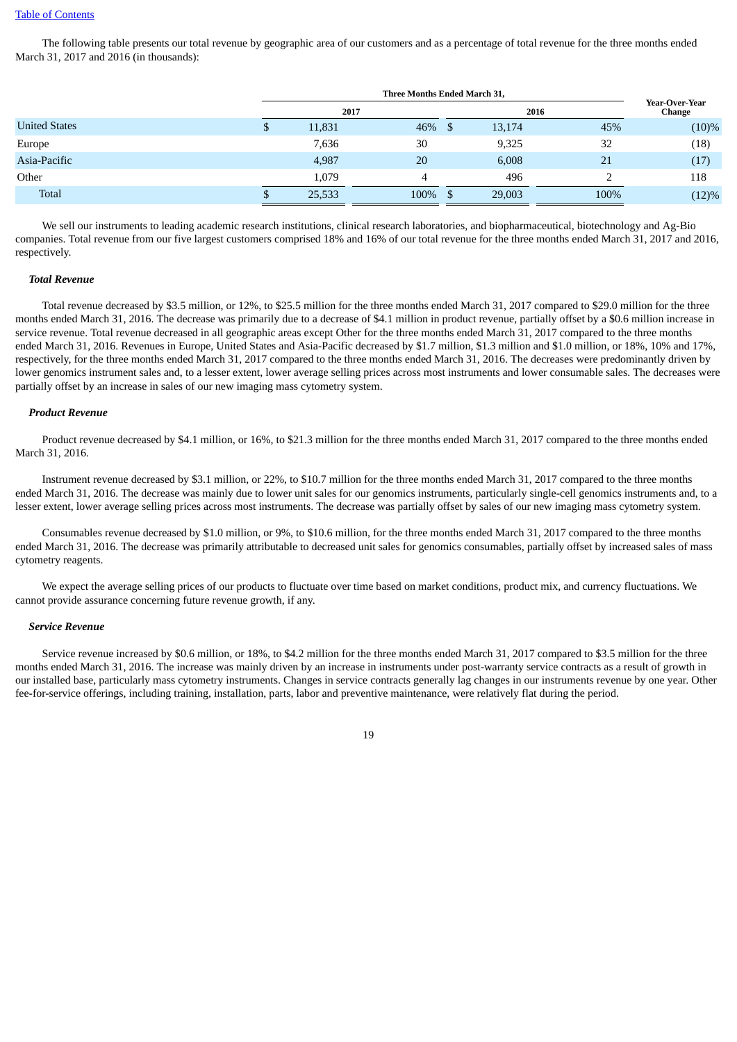#### Table of [Contents](#page-1-0)

The following table presents our total revenue by geographic area of our customers and as a percentage of total revenue for the three months ended March 31, 2017 and 2016 (in thousands):

|                      |   | 2017   |           |        | 2016 | <b>Year-Over-Year</b><br>Change |
|----------------------|---|--------|-----------|--------|------|---------------------------------|
| <b>United States</b> | Φ | 11,831 | $46\%$ \$ | 13,174 | 45%  | $(10)\%$                        |
| Europe               |   | 7,636  | 30        | 9,325  | 32   | (18)                            |
| Asia-Pacific         |   | 4,987  | 20        | 6,008  | 21   | (17)                            |
| Other                |   | 1,079  | 4         | 496    |      | 118                             |
| Total                | Φ | 25,533 | 100%      | 29,003 | 100% | (12)%                           |

We sell our instruments to leading academic research institutions, clinical research laboratories, and biopharmaceutical, biotechnology and Ag-Bio companies. Total revenue from our five largest customers comprised 18% and 16% of our total revenue for the three months ended March 31, 2017 and 2016, respectively.

#### *Total Revenue*

Total revenue decreased by \$3.5 million, or 12%, to \$25.5 million for the three months ended March 31, 2017 compared to \$29.0 million for the three months ended March 31, 2016. The decrease was primarily due to a decrease of \$4.1 million in product revenue, partially offset by a \$0.6 million increase in service revenue. Total revenue decreased in all geographic areas except Other for the three months ended March 31, 2017 compared to the three months ended March 31, 2016. Revenues in Europe, United States and Asia-Pacific decreased by \$1.7 million, \$1.3 million and \$1.0 million, or 18%, 10% and 17%, respectively, for the three months ended March 31, 2017 compared to the three months ended March 31, 2016. The decreases were predominantly driven by lower genomics instrument sales and, to a lesser extent, lower average selling prices across most instruments and lower consumable sales. The decreases were partially offset by an increase in sales of our new imaging mass cytometry system.

#### *Product Revenue*

Product revenue decreased by \$4.1 million, or 16%, to \$21.3 million for the three months ended March 31, 2017 compared to the three months ended March 31, 2016.

Instrument revenue decreased by \$3.1 million, or 22%, to \$10.7 million for the three months ended March 31, 2017 compared to the three months ended March 31, 2016. The decrease was mainly due to lower unit sales for our genomics instruments, particularly single-cell genomics instruments and, to a lesser extent, lower average selling prices across most instruments. The decrease was partially offset by sales of our new imaging mass cytometry system.

Consumables revenue decreased by \$1.0 million, or 9%, to \$10.6 million, for the three months ended March 31, 2017 compared to the three months ended March 31, 2016. The decrease was primarily attributable to decreased unit sales for genomics consumables, partially offset by increased sales of mass cytometry reagents.

We expect the average selling prices of our products to fluctuate over time based on market conditions, product mix, and currency fluctuations. We cannot provide assurance concerning future revenue growth, if any.

#### *Service Revenue*

Service revenue increased by \$0.6 million, or 18%, to \$4.2 million for the three months ended March 31, 2017 compared to \$3.5 million for the three months ended March 31, 2016. The increase was mainly driven by an increase in instruments under post-warranty service contracts as a result of growth in our installed base, particularly mass cytometry instruments. Changes in service contracts generally lag changes in our instruments revenue by one year. Other fee-for-service offerings, including training, installation, parts, labor and preventive maintenance, were relatively flat during the period.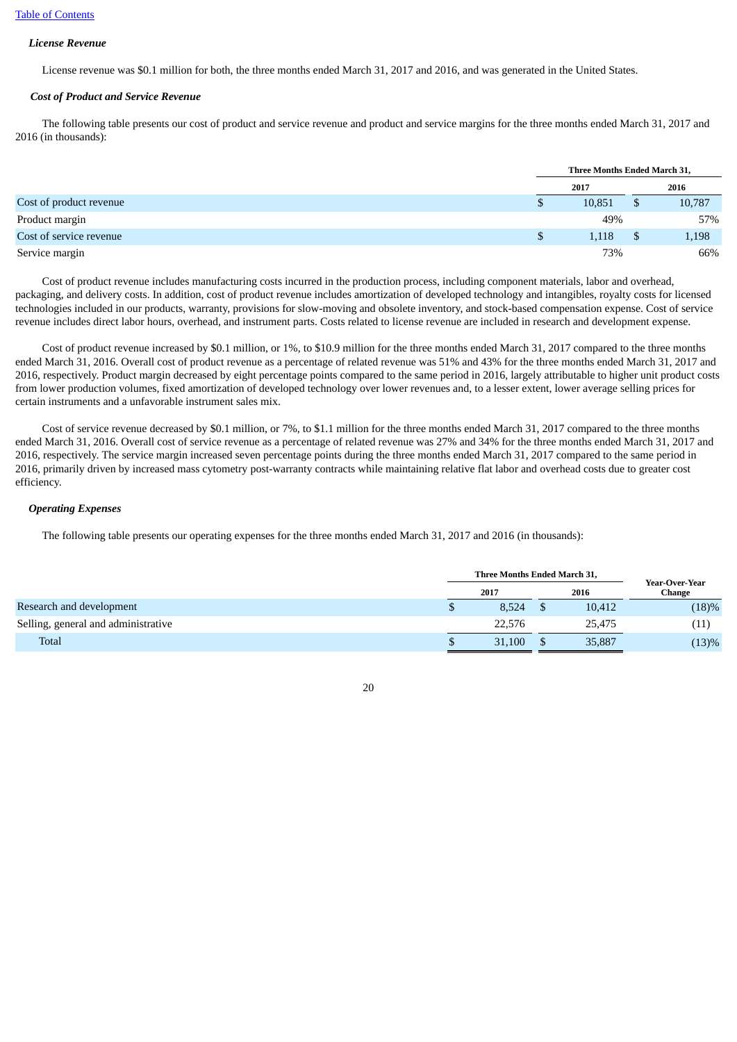#### *License Revenue*

License revenue was \$0.1 million for both, the three months ended March 31, 2017 and 2016, and was generated in the United States.

#### *Cost of Product and Service Revenue*

The following table presents our cost of product and service revenue and product and service margins for the three months ended March 31, 2017 and 2016 (in thousands):

|                         |   | Three Months Ended March 31, |    |        |  |  |
|-------------------------|---|------------------------------|----|--------|--|--|
|                         |   | 2017                         |    | 2016   |  |  |
| Cost of product revenue | Ф | 10,851                       | \$ | 10,787 |  |  |
| Product margin          |   | 49%                          |    | 57%    |  |  |
| Cost of service revenue |   | 1,118                        |    | 1,198  |  |  |
| Service margin          |   | 73%                          |    | 66%    |  |  |

Cost of product revenue includes manufacturing costs incurred in the production process, including component materials, labor and overhead, packaging, and delivery costs. In addition, cost of product revenue includes amortization of developed technology and intangibles, royalty costs for licensed technologies included in our products, warranty, provisions for slow-moving and obsolete inventory, and stock-based compensation expense. Cost of service revenue includes direct labor hours, overhead, and instrument parts. Costs related to license revenue are included in research and development expense.

Cost of product revenue increased by \$0.1 million, or 1%, to \$10.9 million for the three months ended March 31, 2017 compared to the three months ended March 31, 2016. Overall cost of product revenue as a percentage of related revenue was 51% and 43% for the three months ended March 31, 2017 and 2016, respectively. Product margin decreased by eight percentage points compared to the same period in 2016, largely attributable to higher unit product costs from lower production volumes, fixed amortization of developed technology over lower revenues and, to a lesser extent, lower average selling prices for certain instruments and a unfavorable instrument sales mix.

Cost of service revenue decreased by \$0.1 million, or 7%, to \$1.1 million for the three months ended March 31, 2017 compared to the three months ended March 31, 2016. Overall cost of service revenue as a percentage of related revenue was 27% and 34% for the three months ended March 31, 2017 and 2016, respectively. The service margin increased seven percentage points during the three months ended March 31, 2017 compared to the same period in 2016, primarily driven by increased mass cytometry post-warranty contracts while maintaining relative flat labor and overhead costs due to greater cost efficiency.

#### *Operating Expenses*

The following table presents our operating expenses for the three months ended March 31, 2017 and 2016 (in thousands):

|                                     |  | Three Months Ended March 31, | Year-Over-Year |        |
|-------------------------------------|--|------------------------------|----------------|--------|
|                                     |  | 2017                         | 2016           | Change |
| Research and development            |  | 8.524                        | 10,412         | (18)%  |
| Selling, general and administrative |  | 22,576                       | 25,475         | (11)   |
| <b>Total</b>                        |  | 31,100                       | 35,887         | (13)%  |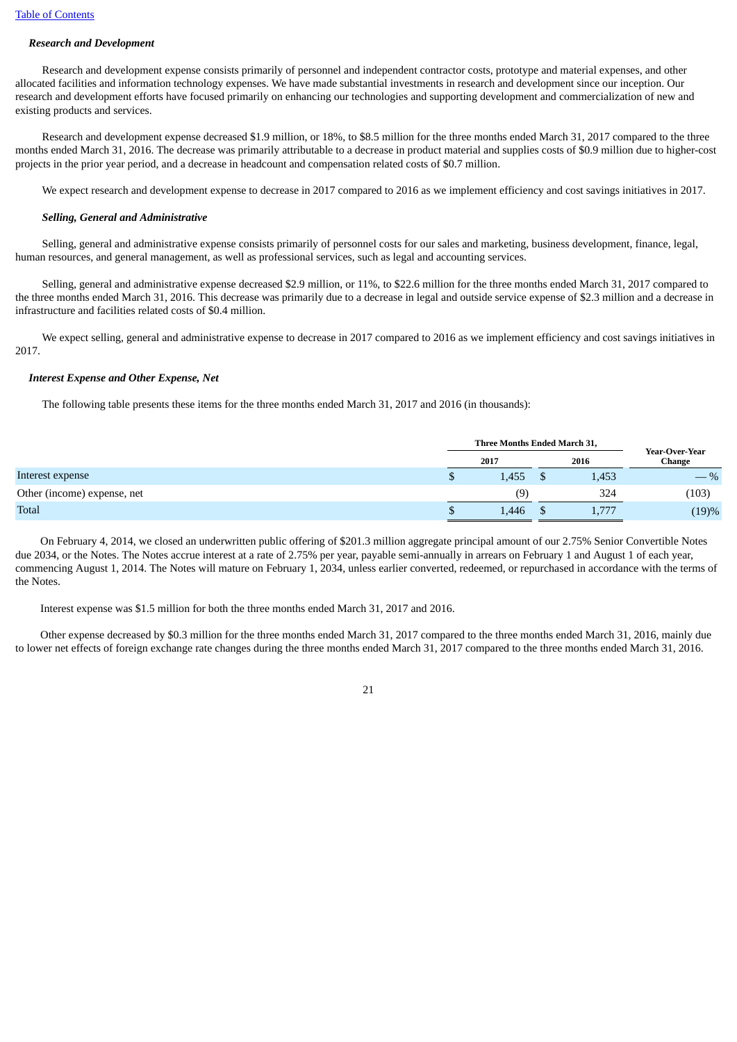# *Research and Development*

Research and development expense consists primarily of personnel and independent contractor costs, prototype and material expenses, and other allocated facilities and information technology expenses. We have made substantial investments in research and development since our inception. Our research and development efforts have focused primarily on enhancing our technologies and supporting development and commercialization of new and existing products and services.

Research and development expense decreased \$1.9 million, or 18%, to \$8.5 million for the three months ended March 31, 2017 compared to the three months ended March 31, 2016. The decrease was primarily attributable to a decrease in product material and supplies costs of \$0.9 million due to higher-cost projects in the prior year period, and a decrease in headcount and compensation related costs of \$0.7 million.

We expect research and development expense to decrease in 2017 compared to 2016 as we implement efficiency and cost savings initiatives in 2017.

# *Selling, General and Administrative*

Selling, general and administrative expense consists primarily of personnel costs for our sales and marketing, business development, finance, legal, human resources, and general management, as well as professional services, such as legal and accounting services.

Selling, general and administrative expense decreased \$2.9 million, or 11%, to \$22.6 million for the three months ended March 31, 2017 compared to the three months ended March 31, 2016. This decrease was primarily due to a decrease in legal and outside service expense of \$2.3 million and a decrease in infrastructure and facilities related costs of \$0.4 million.

We expect selling, general and administrative expense to decrease in 2017 compared to 2016 as we implement efficiency and cost savings initiatives in 2017.

# *Interest Expense and Other Expense, Net*

The following table presents these items for the three months ended March 31, 2017 and 2016 (in thousands):

|                             | Three Months Ended March 31, |       |  |       |                          |
|-----------------------------|------------------------------|-------|--|-------|--------------------------|
|                             |                              | 2017  |  | 2016  | Year-Over-Year<br>Change |
| Interest expense            |                              | 1,455 |  | 1,453 | $-$ %                    |
| Other (income) expense, net |                              | (9)   |  | 324   | (103)                    |
| Total                       |                              | 1,446 |  | 1,777 | (19)%                    |

On February 4, 2014, we closed an underwritten public offering of \$201.3 million aggregate principal amount of our 2.75% Senior Convertible Notes due 2034, or the Notes. The Notes accrue interest at a rate of 2.75% per year, payable semi-annually in arrears on February 1 and August 1 of each year, commencing August 1, 2014. The Notes will mature on February 1, 2034, unless earlier converted, redeemed, or repurchased in accordance with the terms of the Notes.

Interest expense was \$1.5 million for both the three months ended March 31, 2017 and 2016.

Other expense decreased by \$0.3 million for the three months ended March 31, 2017 compared to the three months ended March 31, 2016, mainly due to lower net effects of foreign exchange rate changes during the three months ended March 31, 2017 compared to the three months ended March 31, 2016.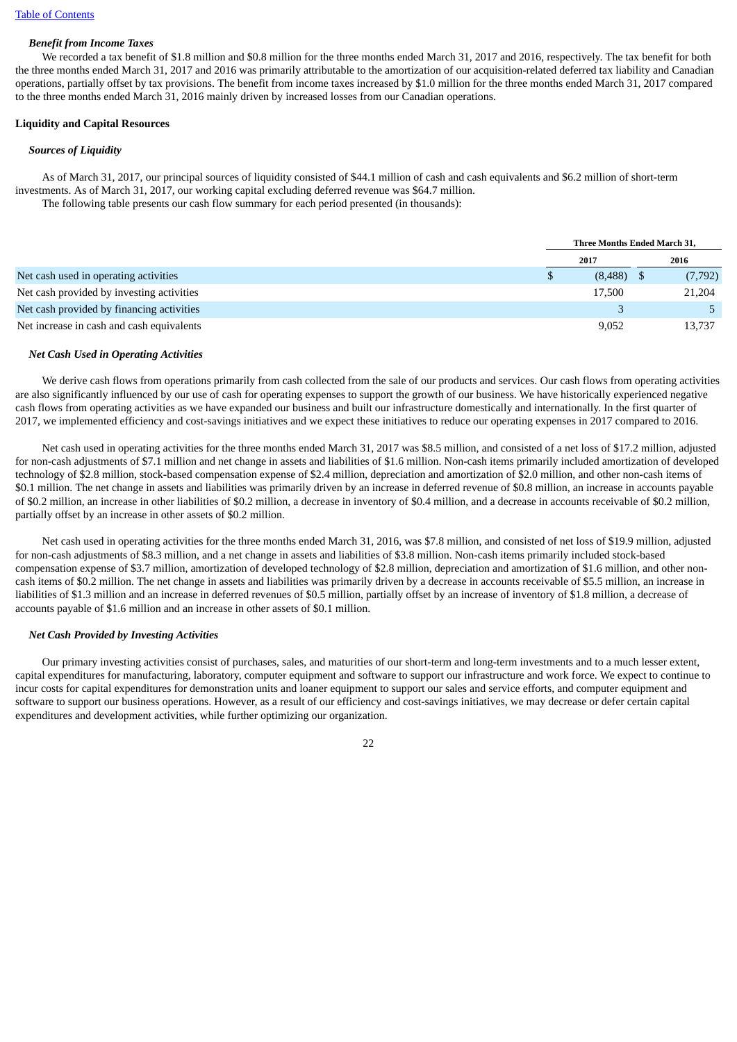# *Benefit from Income Taxes*

We recorded a tax benefit of \$1.8 million and \$0.8 million for the three months ended March 31, 2017 and 2016, respectively. The tax benefit for both the three months ended March 31, 2017 and 2016 was primarily attributable to the amortization of our acquisition-related deferred tax liability and Canadian operations, partially offset by tax provisions. The benefit from income taxes increased by \$1.0 million for the three months ended March 31, 2017 compared to the three months ended March 31, 2016 mainly driven by increased losses from our Canadian operations.

#### **Liquidity and Capital Resources**

#### *Sources of Liquidity*

As of March 31, 2017, our principal sources of liquidity consisted of \$44.1 million of cash and cash equivalents and \$6.2 million of short-term investments. As of March 31, 2017, our working capital excluding deferred revenue was \$64.7 million.

The following table presents our cash flow summary for each period presented (in thousands):

|                                           |      | <b>Three Months Ended March 31.</b> |  |         |
|-------------------------------------------|------|-------------------------------------|--|---------|
|                                           | 2017 |                                     |  | 2016    |
| Net cash used in operating activities     |      | (8,488)                             |  | (7,792) |
| Net cash provided by investing activities |      | 17,500                              |  | 21,204  |
| Net cash provided by financing activities |      |                                     |  |         |
| Net increase in cash and cash equivalents |      | 9,052                               |  | 13,737  |

## *Net Cash Used in Operating Activities*

We derive cash flows from operations primarily from cash collected from the sale of our products and services. Our cash flows from operating activities are also significantly influenced by our use of cash for operating expenses to support the growth of our business. We have historically experienced negative cash flows from operating activities as we have expanded our business and built our infrastructure domestically and internationally. In the first quarter of 2017, we implemented efficiency and cost-savings initiatives and we expect these initiatives to reduce our operating expenses in 2017 compared to 2016.

Net cash used in operating activities for the three months ended March 31, 2017 was \$8.5 million, and consisted of a net loss of \$17.2 million, adjusted for non-cash adjustments of \$7.1 million and net change in assets and liabilities of \$1.6 million. Non-cash items primarily included amortization of developed technology of \$2.8 million, stock-based compensation expense of \$2.4 million, depreciation and amortization of \$2.0 million, and other non-cash items of \$0.1 million. The net change in assets and liabilities was primarily driven by an increase in deferred revenue of \$0.8 million, an increase in accounts payable of \$0.2 million, an increase in other liabilities of \$0.2 million, a decrease in inventory of \$0.4 million, and a decrease in accounts receivable of \$0.2 million, partially offset by an increase in other assets of \$0.2 million.

Net cash used in operating activities for the three months ended March 31, 2016, was \$7.8 million, and consisted of net loss of \$19.9 million, adjusted for non-cash adjustments of \$8.3 million, and a net change in assets and liabilities of \$3.8 million. Non-cash items primarily included stock-based compensation expense of \$3.7 million, amortization of developed technology of \$2.8 million, depreciation and amortization of \$1.6 million, and other noncash items of \$0.2 million. The net change in assets and liabilities was primarily driven by a decrease in accounts receivable of \$5.5 million, an increase in liabilities of \$1.3 million and an increase in deferred revenues of \$0.5 million, partially offset by an increase of inventory of \$1.8 million, a decrease of accounts payable of \$1.6 million and an increase in other assets of \$0.1 million.

## *Net Cash Provided by Investing Activities*

Our primary investing activities consist of purchases, sales, and maturities of our short-term and long-term investments and to a much lesser extent, capital expenditures for manufacturing, laboratory, computer equipment and software to support our infrastructure and work force. We expect to continue to incur costs for capital expenditures for demonstration units and loaner equipment to support our sales and service efforts, and computer equipment and software to support our business operations. However, as a result of our efficiency and cost-savings initiatives, we may decrease or defer certain capital expenditures and development activities, while further optimizing our organization.

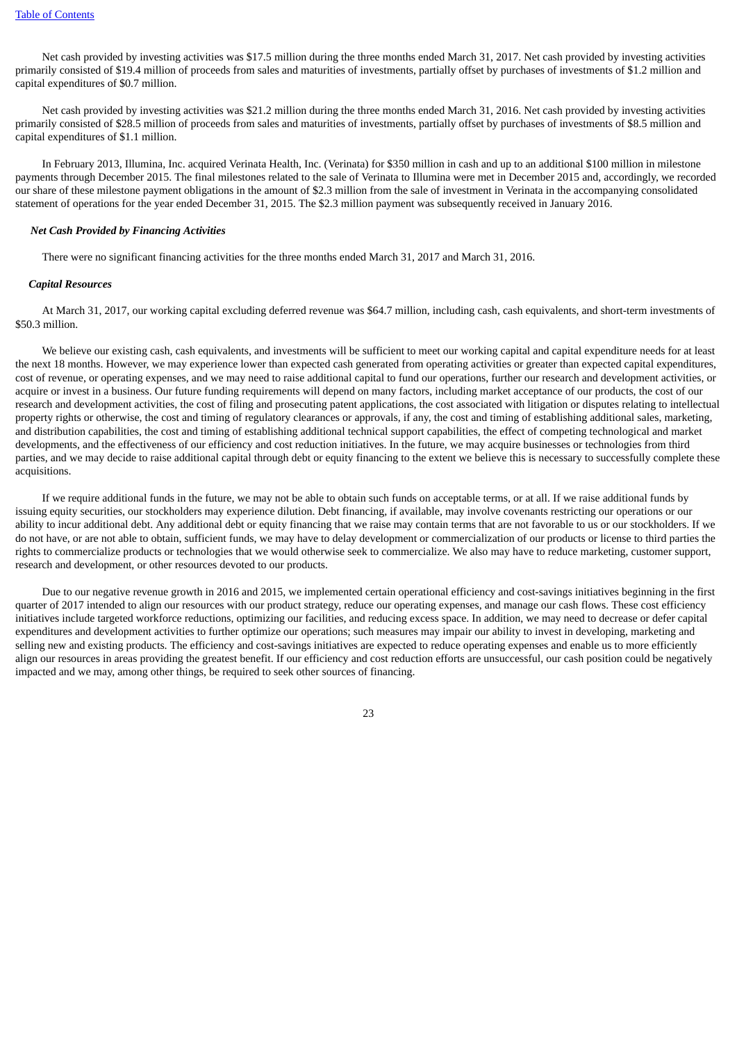Net cash provided by investing activities was \$17.5 million during the three months ended March 31, 2017. Net cash provided by investing activities primarily consisted of \$19.4 million of proceeds from sales and maturities of investments, partially offset by purchases of investments of \$1.2 million and capital expenditures of \$0.7 million.

Net cash provided by investing activities was \$21.2 million during the three months ended March 31, 2016. Net cash provided by investing activities primarily consisted of \$28.5 million of proceeds from sales and maturities of investments, partially offset by purchases of investments of \$8.5 million and capital expenditures of \$1.1 million.

In February 2013, Illumina, Inc. acquired Verinata Health, Inc. (Verinata) for \$350 million in cash and up to an additional \$100 million in milestone payments through December 2015. The final milestones related to the sale of Verinata to Illumina were met in December 2015 and, accordingly, we recorded our share of these milestone payment obligations in the amount of \$2.3 million from the sale of investment in Verinata in the accompanying consolidated statement of operations for the year ended December 31, 2015. The \$2.3 million payment was subsequently received in January 2016.

#### *Net Cash Provided by Financing Activities*

There were no significant financing activities for the three months ended March 31, 2017 and March 31, 2016.

#### *Capital Resources*

At March 31, 2017, our working capital excluding deferred revenue was \$64.7 million, including cash, cash equivalents, and short-term investments of \$50.3 million.

We believe our existing cash, cash equivalents, and investments will be sufficient to meet our working capital and capital expenditure needs for at least the next 18 months. However, we may experience lower than expected cash generated from operating activities or greater than expected capital expenditures, cost of revenue, or operating expenses, and we may need to raise additional capital to fund our operations, further our research and development activities, or acquire or invest in a business. Our future funding requirements will depend on many factors, including market acceptance of our products, the cost of our research and development activities, the cost of filing and prosecuting patent applications, the cost associated with litigation or disputes relating to intellectual property rights or otherwise, the cost and timing of regulatory clearances or approvals, if any, the cost and timing of establishing additional sales, marketing, and distribution capabilities, the cost and timing of establishing additional technical support capabilities, the effect of competing technological and market developments, and the effectiveness of our efficiency and cost reduction initiatives. In the future, we may acquire businesses or technologies from third parties, and we may decide to raise additional capital through debt or equity financing to the extent we believe this is necessary to successfully complete these acquisitions.

If we require additional funds in the future, we may not be able to obtain such funds on acceptable terms, or at all. If we raise additional funds by issuing equity securities, our stockholders may experience dilution. Debt financing, if available, may involve covenants restricting our operations or our ability to incur additional debt. Any additional debt or equity financing that we raise may contain terms that are not favorable to us or our stockholders. If we do not have, or are not able to obtain, sufficient funds, we may have to delay development or commercialization of our products or license to third parties the rights to commercialize products or technologies that we would otherwise seek to commercialize. We also may have to reduce marketing, customer support, research and development, or other resources devoted to our products.

Due to our negative revenue growth in 2016 and 2015, we implemented certain operational efficiency and cost-savings initiatives beginning in the first quarter of 2017 intended to align our resources with our product strategy, reduce our operating expenses, and manage our cash flows. These cost efficiency initiatives include targeted workforce reductions, optimizing our facilities, and reducing excess space. In addition, we may need to decrease or defer capital expenditures and development activities to further optimize our operations; such measures may impair our ability to invest in developing, marketing and selling new and existing products. The efficiency and cost-savings initiatives are expected to reduce operating expenses and enable us to more efficiently align our resources in areas providing the greatest benefit. If our efficiency and cost reduction efforts are unsuccessful, our cash position could be negatively impacted and we may, among other things, be required to seek other sources of financing.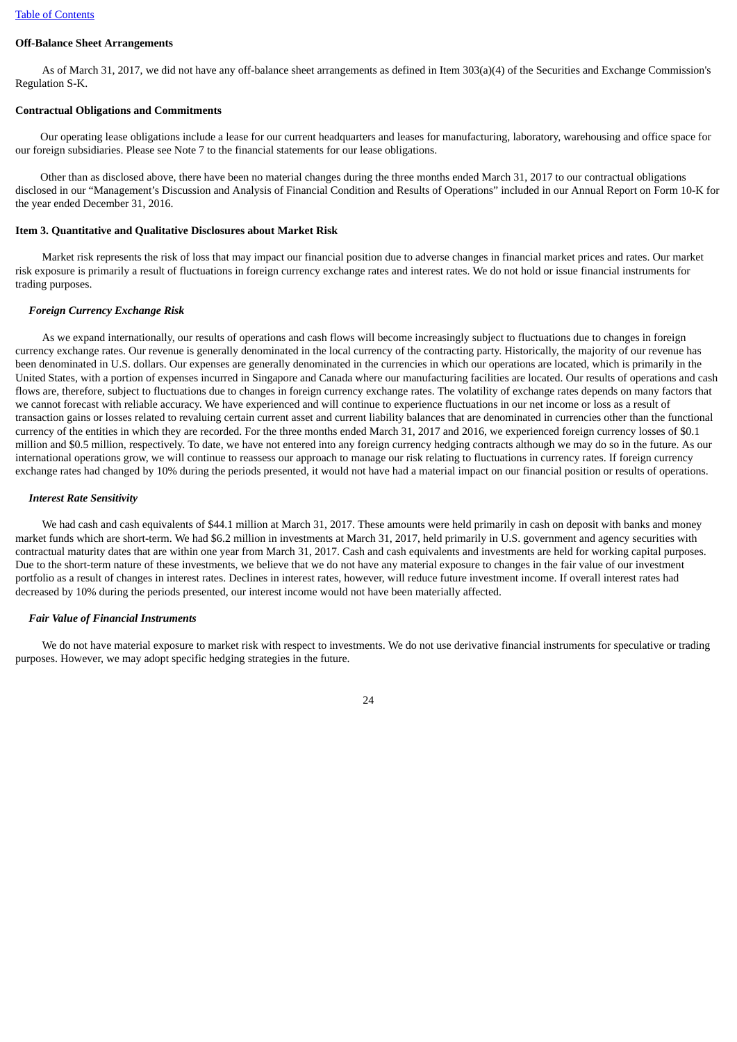# **Off-Balance Sheet Arrangements**

As of March 31, 2017, we did not have any off-balance sheet arrangements as defined in Item 303(a)(4) of the Securities and Exchange Commission's Regulation S-K.

#### **Contractual Obligations and Commitments**

Our operating lease obligations include a lease for our current headquarters and leases for manufacturing, laboratory, warehousing and office space for our foreign subsidiaries. Please see Note 7 to the financial statements for our lease obligations.

Other than as disclosed above, there have been no material changes during the three months ended March 31, 2017 to our contractual obligations disclosed in our "Management's Discussion and Analysis of Financial Condition and Results of Operations" included in our Annual Report on Form 10-K for the year ended December 31, 2016.

#### <span id="page-23-0"></span>**Item 3. Quantitative and Qualitative Disclosures about Market Risk**

Market risk represents the risk of loss that may impact our financial position due to adverse changes in financial market prices and rates. Our market risk exposure is primarily a result of fluctuations in foreign currency exchange rates and interest rates. We do not hold or issue financial instruments for trading purposes.

#### *Foreign Currency Exchange Risk*

As we expand internationally, our results of operations and cash flows will become increasingly subject to fluctuations due to changes in foreign currency exchange rates. Our revenue is generally denominated in the local currency of the contracting party. Historically, the majority of our revenue has been denominated in U.S. dollars. Our expenses are generally denominated in the currencies in which our operations are located, which is primarily in the United States, with a portion of expenses incurred in Singapore and Canada where our manufacturing facilities are located. Our results of operations and cash flows are, therefore, subject to fluctuations due to changes in foreign currency exchange rates. The volatility of exchange rates depends on many factors that we cannot forecast with reliable accuracy. We have experienced and will continue to experience fluctuations in our net income or loss as a result of transaction gains or losses related to revaluing certain current asset and current liability balances that are denominated in currencies other than the functional currency of the entities in which they are recorded. For the three months ended March 31, 2017 and 2016, we experienced foreign currency losses of \$0.1 million and \$0.5 million, respectively. To date, we have not entered into any foreign currency hedging contracts although we may do so in the future. As our international operations grow, we will continue to reassess our approach to manage our risk relating to fluctuations in currency rates. If foreign currency exchange rates had changed by 10% during the periods presented, it would not have had a material impact on our financial position or results of operations.

#### *Interest Rate Sensitivity*

We had cash and cash equivalents of \$44.1 million at March 31, 2017. These amounts were held primarily in cash on deposit with banks and money market funds which are short-term. We had \$6.2 million in investments at March 31, 2017, held primarily in U.S. government and agency securities with contractual maturity dates that are within one year from March 31, 2017. Cash and cash equivalents and investments are held for working capital purposes. Due to the short-term nature of these investments, we believe that we do not have any material exposure to changes in the fair value of our investment portfolio as a result of changes in interest rates. Declines in interest rates, however, will reduce future investment income. If overall interest rates had decreased by 10% during the periods presented, our interest income would not have been materially affected.

#### *Fair Value of Financial Instruments*

We do not have material exposure to market risk with respect to investments. We do not use derivative financial instruments for speculative or trading purposes. However, we may adopt specific hedging strategies in the future.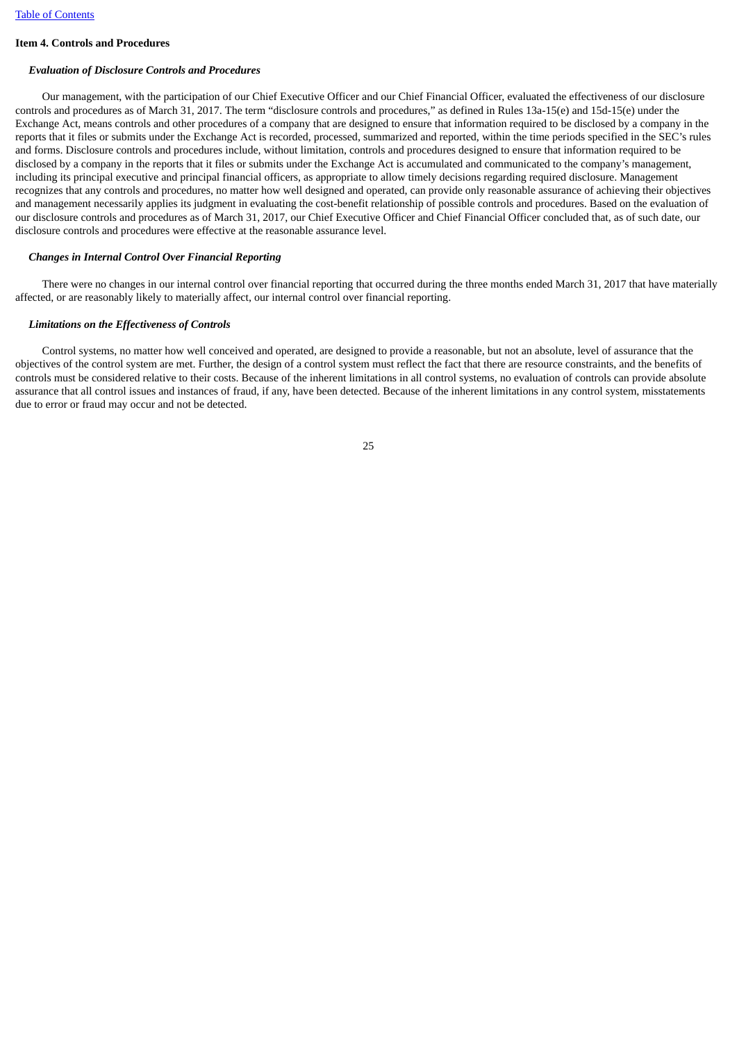# <span id="page-24-0"></span>**Item 4. Controls and Procedures**

# *Evaluation of Disclosure Controls and Procedures*

Our management, with the participation of our Chief Executive Officer and our Chief Financial Officer, evaluated the effectiveness of our disclosure controls and procedures as of March 31, 2017. The term "disclosure controls and procedures," as defined in Rules 13a-15(e) and 15d-15(e) under the Exchange Act, means controls and other procedures of a company that are designed to ensure that information required to be disclosed by a company in the reports that it files or submits under the Exchange Act is recorded, processed, summarized and reported, within the time periods specified in the SEC's rules and forms. Disclosure controls and procedures include, without limitation, controls and procedures designed to ensure that information required to be disclosed by a company in the reports that it files or submits under the Exchange Act is accumulated and communicated to the company's management, including its principal executive and principal financial officers, as appropriate to allow timely decisions regarding required disclosure. Management recognizes that any controls and procedures, no matter how well designed and operated, can provide only reasonable assurance of achieving their objectives and management necessarily applies its judgment in evaluating the cost-benefit relationship of possible controls and procedures. Based on the evaluation of our disclosure controls and procedures as of March 31, 2017, our Chief Executive Officer and Chief Financial Officer concluded that, as of such date, our disclosure controls and procedures were effective at the reasonable assurance level.

# *Changes in Internal Control Over Financial Reporting*

There were no changes in our internal control over financial reporting that occurred during the three months ended March 31, 2017 that have materially affected, or are reasonably likely to materially affect, our internal control over financial reporting.

# *Limitations on the Effectiveness of Controls*

Control systems, no matter how well conceived and operated, are designed to provide a reasonable, but not an absolute, level of assurance that the objectives of the control system are met. Further, the design of a control system must reflect the fact that there are resource constraints, and the benefits of controls must be considered relative to their costs. Because of the inherent limitations in all control systems, no evaluation of controls can provide absolute assurance that all control issues and instances of fraud, if any, have been detected. Because of the inherent limitations in any control system, misstatements due to error or fraud may occur and not be detected.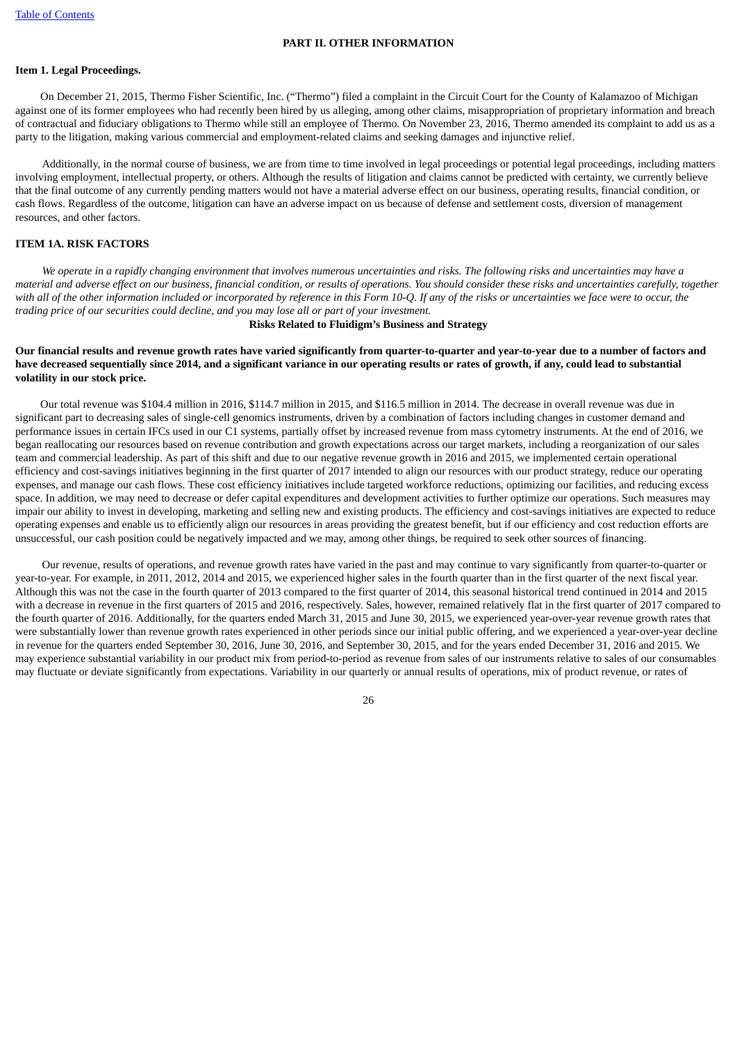#### **PART II. OTHER INFORMATION**

#### <span id="page-25-1"></span><span id="page-25-0"></span>**Item 1. Legal Proceedings.**

On December 21, 2015, Thermo Fisher Scientific, Inc. ("Thermo") filed a complaint in the Circuit Court for the County of Kalamazoo of Michigan against one of its former employees who had recently been hired by us alleging, among other claims, misappropriation of proprietary information and breach of contractual and fiduciary obligations to Thermo while still an employee of Thermo. On November 23, 2016, Thermo amended its complaint to add us as a party to the litigation, making various commercial and employment-related claims and seeking damages and injunctive relief.

Additionally, in the normal course of business, we are from time to time involved in legal proceedings or potential legal proceedings, including matters involving employment, intellectual property, or others. Although the results of litigation and claims cannot be predicted with certainty, we currently believe that the final outcome of any currently pending matters would not have a material adverse effect on our business, operating results, financial condition, or cash flows. Regardless of the outcome, litigation can have an adverse impact on us because of defense and settlement costs, diversion of management resources, and other factors.

### <span id="page-25-2"></span>**ITEM 1A. RISK FACTORS**

We operate in a rapidly changing environment that involves numerous uncertainties and risks. The following risks and uncertainties may have a material and adverse effect on our business, financial condition, or results of operations. You should consider these risks and uncertainties carefully, together with all of the other information included or incorporated by reference in this Form 10-Q. If any of the risks or uncertainties we face were to occur, the *trading price of our securities could decline, and you may lose all or part of your investment.*

#### **Risks Related to Fluidigm's Business and Strategy**

## Our financial results and revenue growth rates have varied significantly from quarter-to-quarter and vear-to-year due to a number of factors and have decreased sequentially since 2014, and a significant variance in our operating results or rates of growth, if any, could lead to substantial **volatility in our stock price.**

Our total revenue was \$104.4 million in 2016, \$114.7 million in 2015, and \$116.5 million in 2014. The decrease in overall revenue was due in significant part to decreasing sales of single-cell genomics instruments, driven by a combination of factors including changes in customer demand and performance issues in certain IFCs used in our C1 systems, partially offset by increased revenue from mass cytometry instruments. At the end of 2016, we began reallocating our resources based on revenue contribution and growth expectations across our target markets, including a reorganization of our sales team and commercial leadership. As part of this shift and due to our negative revenue growth in 2016 and 2015, we implemented certain operational efficiency and cost-savings initiatives beginning in the first quarter of 2017 intended to align our resources with our product strategy, reduce our operating expenses, and manage our cash flows. These cost efficiency initiatives include targeted workforce reductions, optimizing our facilities, and reducing excess space. In addition, we may need to decrease or defer capital expenditures and development activities to further optimize our operations. Such measures may impair our ability to invest in developing, marketing and selling new and existing products. The efficiency and cost-savings initiatives are expected to reduce operating expenses and enable us to efficiently align our resources in areas providing the greatest benefit, but if our efficiency and cost reduction efforts are unsuccessful, our cash position could be negatively impacted and we may, among other things, be required to seek other sources of financing.

Our revenue, results of operations, and revenue growth rates have varied in the past and may continue to vary significantly from quarter-to-quarter or year-to-year. For example, in 2011, 2012, 2014 and 2015, we experienced higher sales in the fourth quarter than in the first quarter of the next fiscal year. Although this was not the case in the fourth quarter of 2013 compared to the first quarter of 2014, this seasonal historical trend continued in 2014 and 2015 with a decrease in revenue in the first quarters of 2015 and 2016, respectively. Sales, however, remained relatively flat in the first quarter of 2017 compared to the fourth quarter of 2016. Additionally, for the quarters ended March 31, 2015 and June 30, 2015, we experienced year-over-year revenue growth rates that were substantially lower than revenue growth rates experienced in other periods since our initial public offering, and we experienced a year-over-year decline in revenue for the quarters ended September 30, 2016, June 30, 2016, and September 30, 2015, and for the years ended December 31, 2016 and 2015. We may experience substantial variability in our product mix from period-to-period as revenue from sales of our instruments relative to sales of our consumables may fluctuate or deviate significantly from expectations. Variability in our quarterly or annual results of operations, mix of product revenue, or rates of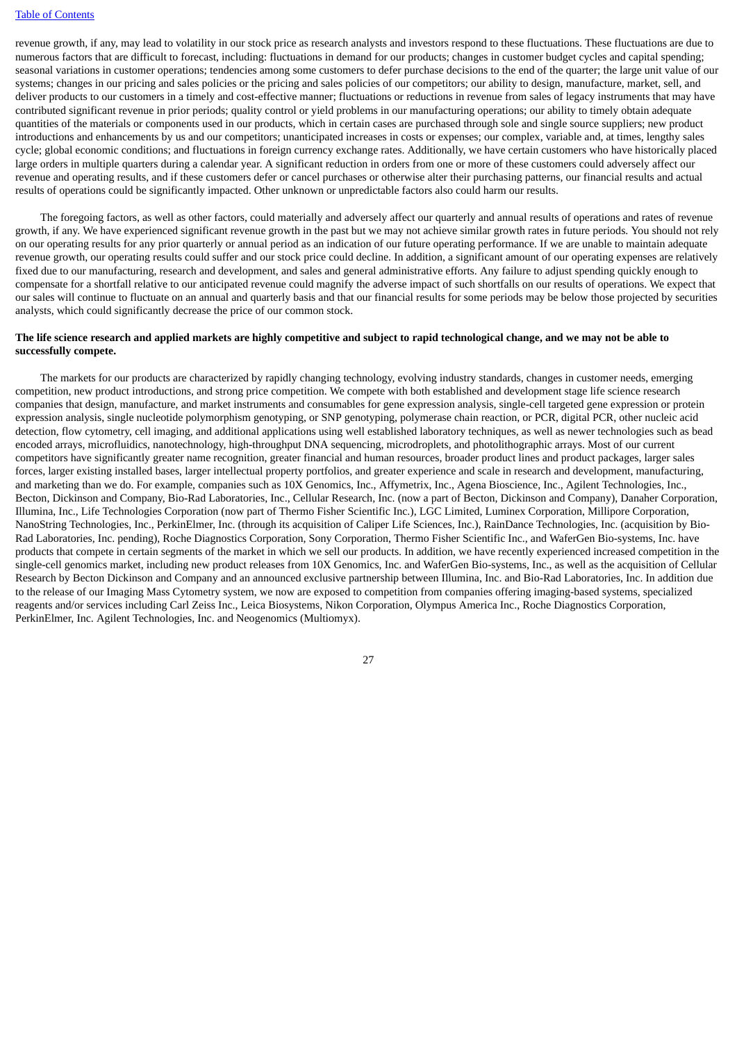revenue growth, if any, may lead to volatility in our stock price as research analysts and investors respond to these fluctuations. These fluctuations are due to numerous factors that are difficult to forecast, including: fluctuations in demand for our products; changes in customer budget cycles and capital spending; seasonal variations in customer operations; tendencies among some customers to defer purchase decisions to the end of the quarter; the large unit value of our systems; changes in our pricing and sales policies or the pricing and sales policies of our competitors; our ability to design, manufacture, market, sell, and deliver products to our customers in a timely and cost-effective manner; fluctuations or reductions in revenue from sales of legacy instruments that may have contributed significant revenue in prior periods; quality control or yield problems in our manufacturing operations; our ability to timely obtain adequate quantities of the materials or components used in our products, which in certain cases are purchased through sole and single source suppliers; new product introductions and enhancements by us and our competitors; unanticipated increases in costs or expenses; our complex, variable and, at times, lengthy sales cycle; global economic conditions; and fluctuations in foreign currency exchange rates. Additionally, we have certain customers who have historically placed large orders in multiple quarters during a calendar year. A significant reduction in orders from one or more of these customers could adversely affect our revenue and operating results, and if these customers defer or cancel purchases or otherwise alter their purchasing patterns, our financial results and actual results of operations could be significantly impacted. Other unknown or unpredictable factors also could harm our results.

The foregoing factors, as well as other factors, could materially and adversely affect our quarterly and annual results of operations and rates of revenue growth, if any. We have experienced significant revenue growth in the past but we may not achieve similar growth rates in future periods. You should not rely on our operating results for any prior quarterly or annual period as an indication of our future operating performance. If we are unable to maintain adequate revenue growth, our operating results could suffer and our stock price could decline. In addition, a significant amount of our operating expenses are relatively fixed due to our manufacturing, research and development, and sales and general administrative efforts. Any failure to adjust spending quickly enough to compensate for a shortfall relative to our anticipated revenue could magnify the adverse impact of such shortfalls on our results of operations. We expect that our sales will continue to fluctuate on an annual and quarterly basis and that our financial results for some periods may be below those projected by securities analysts, which could significantly decrease the price of our common stock.

## The life science research and applied markets are highly competitive and subject to rapid technological change, and we may not be able to **successfully compete.**

The markets for our products are characterized by rapidly changing technology, evolving industry standards, changes in customer needs, emerging competition, new product introductions, and strong price competition. We compete with both established and development stage life science research companies that design, manufacture, and market instruments and consumables for gene expression analysis, single-cell targeted gene expression or protein expression analysis, single nucleotide polymorphism genotyping, or SNP genotyping, polymerase chain reaction, or PCR, digital PCR, other nucleic acid detection, flow cytometry, cell imaging, and additional applications using well established laboratory techniques, as well as newer technologies such as bead encoded arrays, microfluidics, nanotechnology, high-throughput DNA sequencing, microdroplets, and photolithographic arrays. Most of our current competitors have significantly greater name recognition, greater financial and human resources, broader product lines and product packages, larger sales forces, larger existing installed bases, larger intellectual property portfolios, and greater experience and scale in research and development, manufacturing, and marketing than we do. For example, companies such as 10X Genomics, Inc., Affymetrix, Inc., Agena Bioscience, Inc., Agilent Technologies, Inc., Becton, Dickinson and Company, Bio-Rad Laboratories, Inc., Cellular Research, Inc. (now a part of Becton, Dickinson and Company), Danaher Corporation, Illumina, Inc., Life Technologies Corporation (now part of Thermo Fisher Scientific Inc.), LGC Limited, Luminex Corporation, Millipore Corporation, NanoString Technologies, Inc., PerkinElmer, Inc. (through its acquisition of Caliper Life Sciences, Inc.), RainDance Technologies, Inc. (acquisition by Bio-Rad Laboratories, Inc. pending), Roche Diagnostics Corporation, Sony Corporation, Thermo Fisher Scientific Inc., and WaferGen Bio-systems, Inc. have products that compete in certain segments of the market in which we sell our products. In addition, we have recently experienced increased competition in the single-cell genomics market, including new product releases from 10X Genomics, Inc. and WaferGen Bio-systems, Inc., as well as the acquisition of Cellular Research by Becton Dickinson and Company and an announced exclusive partnership between Illumina, Inc. and Bio-Rad Laboratories, Inc. In addition due to the release of our Imaging Mass Cytometry system, we now are exposed to competition from companies offering imaging-based systems, specialized reagents and/or services including Carl Zeiss Inc., Leica Biosystems, Nikon Corporation, Olympus America Inc., Roche Diagnostics Corporation, PerkinElmer, Inc. Agilent Technologies, Inc. and Neogenomics (Multiomyx).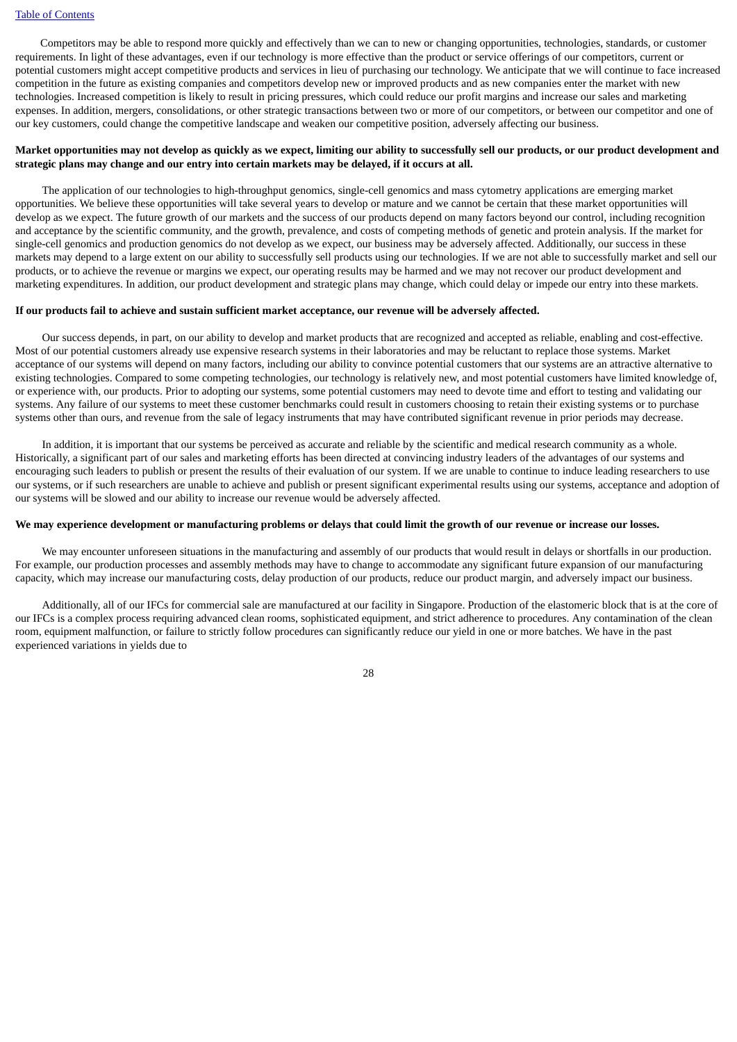Competitors may be able to respond more quickly and effectively than we can to new or changing opportunities, technologies, standards, or customer requirements. In light of these advantages, even if our technology is more effective than the product or service offerings of our competitors, current or potential customers might accept competitive products and services in lieu of purchasing our technology. We anticipate that we will continue to face increased competition in the future as existing companies and competitors develop new or improved products and as new companies enter the market with new technologies. Increased competition is likely to result in pricing pressures, which could reduce our profit margins and increase our sales and marketing expenses. In addition, mergers, consolidations, or other strategic transactions between two or more of our competitors, or between our competitor and one of our key customers, could change the competitive landscape and weaken our competitive position, adversely affecting our business.

#### Market opportunities may not develop as quickly as we expect, limiting our ability to successfully sell our products, or our product development and **strategic plans may change and our entry into certain markets may be delayed, if it occurs at all.**

The application of our technologies to high-throughput genomics, single-cell genomics and mass cytometry applications are emerging market opportunities. We believe these opportunities will take several years to develop or mature and we cannot be certain that these market opportunities will develop as we expect. The future growth of our markets and the success of our products depend on many factors beyond our control, including recognition and acceptance by the scientific community, and the growth, prevalence, and costs of competing methods of genetic and protein analysis. If the market for single-cell genomics and production genomics do not develop as we expect, our business may be adversely affected. Additionally, our success in these markets may depend to a large extent on our ability to successfully sell products using our technologies. If we are not able to successfully market and sell our products, or to achieve the revenue or margins we expect, our operating results may be harmed and we may not recover our product development and marketing expenditures. In addition, our product development and strategic plans may change, which could delay or impede our entry into these markets.

#### If our products fail to achieve and sustain sufficient market acceptance, our revenue will be adversely affected.

Our success depends, in part, on our ability to develop and market products that are recognized and accepted as reliable, enabling and cost-effective. Most of our potential customers already use expensive research systems in their laboratories and may be reluctant to replace those systems. Market acceptance of our systems will depend on many factors, including our ability to convince potential customers that our systems are an attractive alternative to existing technologies. Compared to some competing technologies, our technology is relatively new, and most potential customers have limited knowledge of, or experience with, our products. Prior to adopting our systems, some potential customers may need to devote time and effort to testing and validating our systems. Any failure of our systems to meet these customer benchmarks could result in customers choosing to retain their existing systems or to purchase systems other than ours, and revenue from the sale of legacy instruments that may have contributed significant revenue in prior periods may decrease.

In addition, it is important that our systems be perceived as accurate and reliable by the scientific and medical research community as a whole. Historically, a significant part of our sales and marketing efforts has been directed at convincing industry leaders of the advantages of our systems and encouraging such leaders to publish or present the results of their evaluation of our system. If we are unable to continue to induce leading researchers to use our systems, or if such researchers are unable to achieve and publish or present significant experimental results using our systems, acceptance and adoption of our systems will be slowed and our ability to increase our revenue would be adversely affected.

### We may experience development or manufacturing problems or delays that could limit the growth of our revenue or increase our losses.

We may encounter unforeseen situations in the manufacturing and assembly of our products that would result in delays or shortfalls in our production. For example, our production processes and assembly methods may have to change to accommodate any significant future expansion of our manufacturing capacity, which may increase our manufacturing costs, delay production of our products, reduce our product margin, and adversely impact our business.

Additionally, all of our IFCs for commercial sale are manufactured at our facility in Singapore. Production of the elastomeric block that is at the core of our IFCs is a complex process requiring advanced clean rooms, sophisticated equipment, and strict adherence to procedures. Any contamination of the clean room, equipment malfunction, or failure to strictly follow procedures can significantly reduce our yield in one or more batches. We have in the past experienced variations in yields due to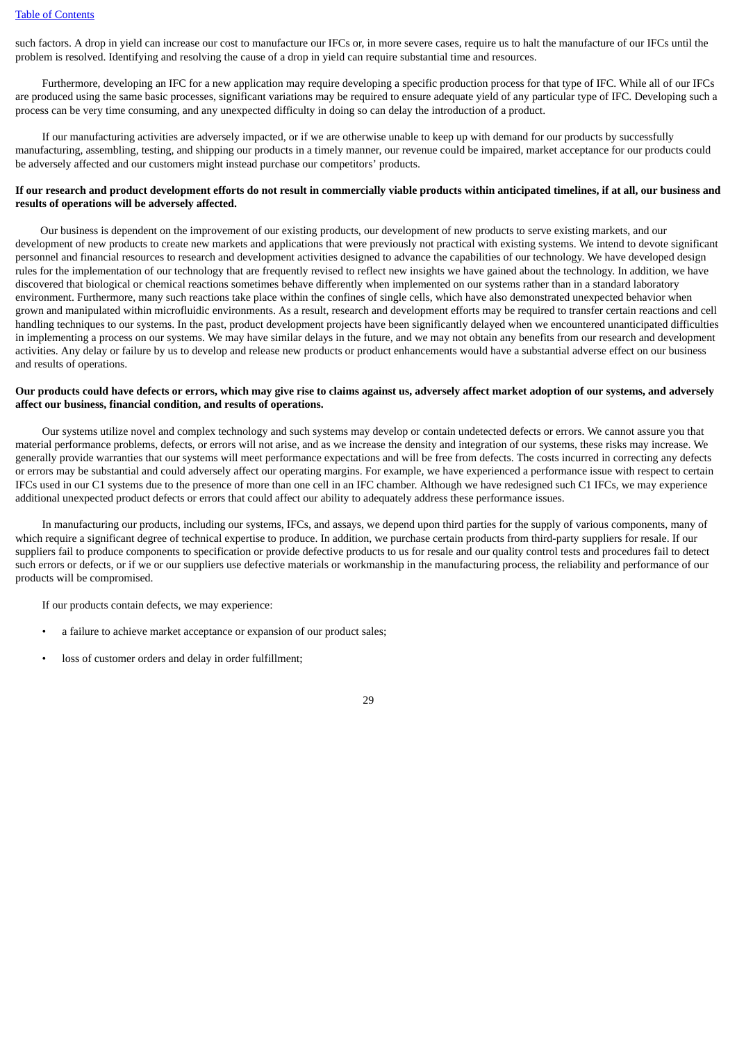such factors. A drop in yield can increase our cost to manufacture our IFCs or, in more severe cases, require us to halt the manufacture of our IFCs until the problem is resolved. Identifying and resolving the cause of a drop in yield can require substantial time and resources.

Furthermore, developing an IFC for a new application may require developing a specific production process for that type of IFC. While all of our IFCs are produced using the same basic processes, significant variations may be required to ensure adequate yield of any particular type of IFC. Developing such a process can be very time consuming, and any unexpected difficulty in doing so can delay the introduction of a product.

If our manufacturing activities are adversely impacted, or if we are otherwise unable to keep up with demand for our products by successfully manufacturing, assembling, testing, and shipping our products in a timely manner, our revenue could be impaired, market acceptance for our products could be adversely affected and our customers might instead purchase our competitors' products.

## If our research and product development efforts do not result in commercially viable products within anticipated timelines, if at all, our business and **results of operations will be adversely affected.**

Our business is dependent on the improvement of our existing products, our development of new products to serve existing markets, and our development of new products to create new markets and applications that were previously not practical with existing systems. We intend to devote significant personnel and financial resources to research and development activities designed to advance the capabilities of our technology. We have developed design rules for the implementation of our technology that are frequently revised to reflect new insights we have gained about the technology. In addition, we have discovered that biological or chemical reactions sometimes behave differently when implemented on our systems rather than in a standard laboratory environment. Furthermore, many such reactions take place within the confines of single cells, which have also demonstrated unexpected behavior when grown and manipulated within microfluidic environments. As a result, research and development efforts may be required to transfer certain reactions and cell handling techniques to our systems. In the past, product development projects have been significantly delayed when we encountered unanticipated difficulties in implementing a process on our systems. We may have similar delays in the future, and we may not obtain any benefits from our research and development activities. Any delay or failure by us to develop and release new products or product enhancements would have a substantial adverse effect on our business and results of operations.

## Our products could have defects or errors, which may give rise to claims against us, adversely affect market adoption of our systems, and adversely **affect our business, financial condition, and results of operations.**

Our systems utilize novel and complex technology and such systems may develop or contain undetected defects or errors. We cannot assure you that material performance problems, defects, or errors will not arise, and as we increase the density and integration of our systems, these risks may increase. We generally provide warranties that our systems will meet performance expectations and will be free from defects. The costs incurred in correcting any defects or errors may be substantial and could adversely affect our operating margins. For example, we have experienced a performance issue with respect to certain IFCs used in our C1 systems due to the presence of more than one cell in an IFC chamber. Although we have redesigned such C1 IFCs, we may experience additional unexpected product defects or errors that could affect our ability to adequately address these performance issues.

In manufacturing our products, including our systems, IFCs, and assays, we depend upon third parties for the supply of various components, many of which require a significant degree of technical expertise to produce. In addition, we purchase certain products from third-party suppliers for resale. If our suppliers fail to produce components to specification or provide defective products to us for resale and our quality control tests and procedures fail to detect such errors or defects, or if we or our suppliers use defective materials or workmanship in the manufacturing process, the reliability and performance of our products will be compromised.

If our products contain defects, we may experience:

- a failure to achieve market acceptance or expansion of our product sales;
- loss of customer orders and delay in order fulfillment;

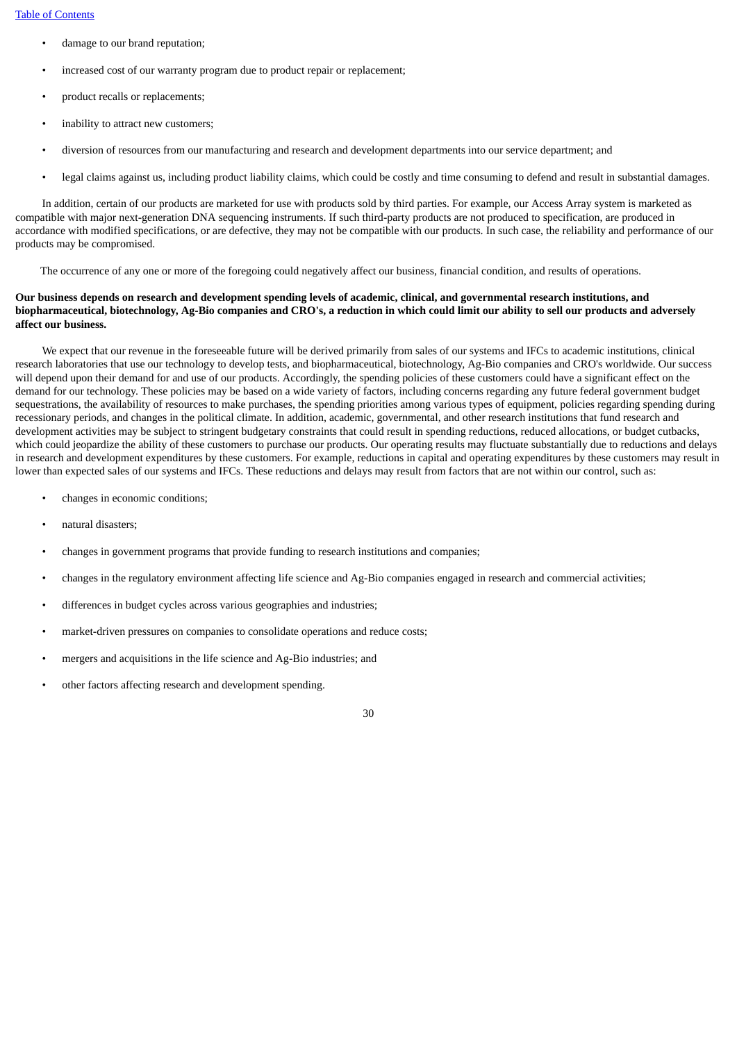- damage to our brand reputation;
- increased cost of our warranty program due to product repair or replacement;
- product recalls or replacements;
- inability to attract new customers;
- diversion of resources from our manufacturing and research and development departments into our service department; and
- legal claims against us, including product liability claims, which could be costly and time consuming to defend and result in substantial damages.

In addition, certain of our products are marketed for use with products sold by third parties. For example, our Access Array system is marketed as compatible with major next-generation DNA sequencing instruments. If such third-party products are not produced to specification, are produced in accordance with modified specifications, or are defective, they may not be compatible with our products. In such case, the reliability and performance of our products may be compromised.

The occurrence of any one or more of the foregoing could negatively affect our business, financial condition, and results of operations.

# Our business depends on research and development spending levels of academic, clinical, and governmental research institutions, and biopharmaceutical, biotechnology, Ag-Bio companies and CRO's, a reduction in which could limit our ability to sell our products and adversely **affect our business.**

We expect that our revenue in the foreseeable future will be derived primarily from sales of our systems and IFCs to academic institutions, clinical research laboratories that use our technology to develop tests, and biopharmaceutical, biotechnology, Ag-Bio companies and CRO's worldwide. Our success will depend upon their demand for and use of our products. Accordingly, the spending policies of these customers could have a significant effect on the demand for our technology. These policies may be based on a wide variety of factors, including concerns regarding any future federal government budget sequestrations, the availability of resources to make purchases, the spending priorities among various types of equipment, policies regarding spending during recessionary periods, and changes in the political climate. In addition, academic, governmental, and other research institutions that fund research and development activities may be subject to stringent budgetary constraints that could result in spending reductions, reduced allocations, or budget cutbacks, which could jeopardize the ability of these customers to purchase our products. Our operating results may fluctuate substantially due to reductions and delays in research and development expenditures by these customers. For example, reductions in capital and operating expenditures by these customers may result in lower than expected sales of our systems and IFCs. These reductions and delays may result from factors that are not within our control, such as:

- changes in economic conditions;
- natural disasters;
- changes in government programs that provide funding to research institutions and companies;
- changes in the regulatory environment affecting life science and Ag-Bio companies engaged in research and commercial activities;
- differences in budget cycles across various geographies and industries;
- market-driven pressures on companies to consolidate operations and reduce costs;
- mergers and acquisitions in the life science and Ag-Bio industries; and
- other factors affecting research and development spending.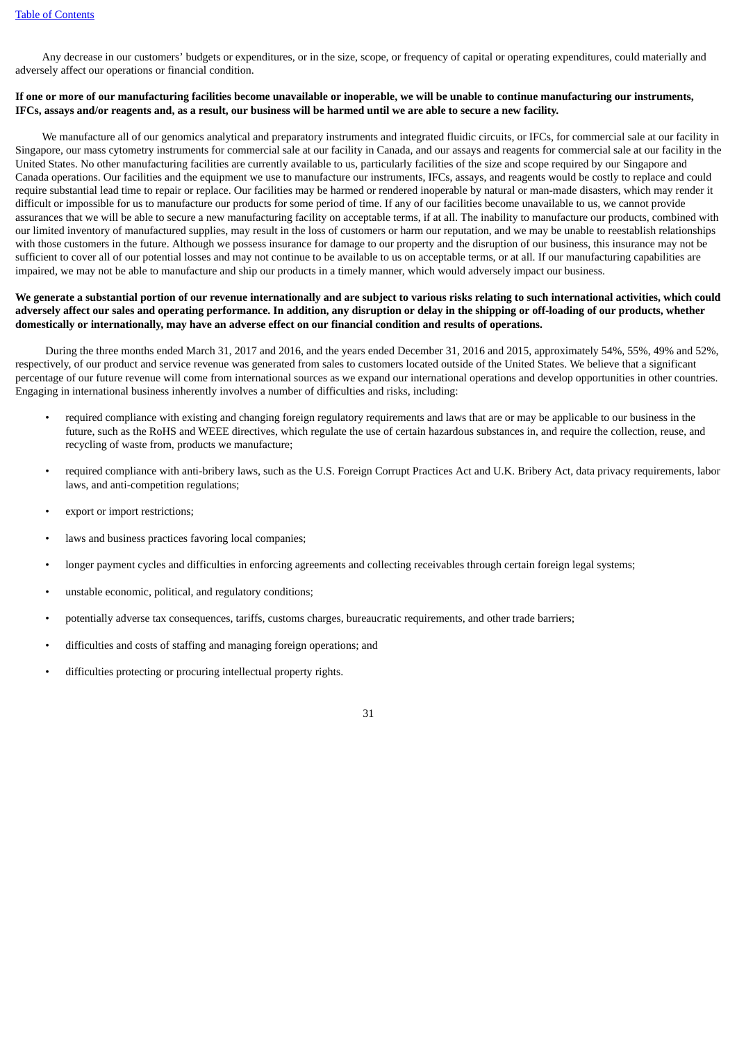Any decrease in our customers' budgets or expenditures, or in the size, scope, or frequency of capital or operating expenditures, could materially and adversely affect our operations or financial condition.

#### If one or more of our manufacturing facilities become unavailable or inoperable, we will be unable to continue manufacturing our instruments, IFCs, assays and/or reagents and, as a result, our business will be harmed until we are able to secure a new facility.

We manufacture all of our genomics analytical and preparatory instruments and integrated fluidic circuits, or IFCs, for commercial sale at our facility in Singapore, our mass cytometry instruments for commercial sale at our facility in Canada, and our assays and reagents for commercial sale at our facility in the United States. No other manufacturing facilities are currently available to us, particularly facilities of the size and scope required by our Singapore and Canada operations. Our facilities and the equipment we use to manufacture our instruments, IFCs, assays, and reagents would be costly to replace and could require substantial lead time to repair or replace. Our facilities may be harmed or rendered inoperable by natural or man-made disasters, which may render it difficult or impossible for us to manufacture our products for some period of time. If any of our facilities become unavailable to us, we cannot provide assurances that we will be able to secure a new manufacturing facility on acceptable terms, if at all. The inability to manufacture our products, combined with our limited inventory of manufactured supplies, may result in the loss of customers or harm our reputation, and we may be unable to reestablish relationships with those customers in the future. Although we possess insurance for damage to our property and the disruption of our business, this insurance may not be sufficient to cover all of our potential losses and may not continue to be available to us on acceptable terms, or at all. If our manufacturing capabilities are impaired, we may not be able to manufacture and ship our products in a timely manner, which would adversely impact our business.

#### We generate a substantial portion of our revenue internationally and are subject to various risks relating to such international activities, which could adversely affect our sales and operating performance. In addition, any disruption or delay in the shipping or off-loading of our products, whether domestically or internationally, may have an adverse effect on our financial condition and results of operations.

During the three months ended March 31, 2017 and 2016, and the years ended December 31, 2016 and 2015, approximately 54%, 55%, 49% and 52%, respectively, of our product and service revenue was generated from sales to customers located outside of the United States. We believe that a significant percentage of our future revenue will come from international sources as we expand our international operations and develop opportunities in other countries. Engaging in international business inherently involves a number of difficulties and risks, including:

- required compliance with existing and changing foreign regulatory requirements and laws that are or may be applicable to our business in the future, such as the RoHS and WEEE directives, which regulate the use of certain hazardous substances in, and require the collection, reuse, and recycling of waste from, products we manufacture;
- required compliance with anti-bribery laws, such as the U.S. Foreign Corrupt Practices Act and U.K. Bribery Act, data privacy requirements, labor laws, and anti-competition regulations;
- export or import restrictions;
- laws and business practices favoring local companies;
- longer payment cycles and difficulties in enforcing agreements and collecting receivables through certain foreign legal systems;
- unstable economic, political, and regulatory conditions;
- potentially adverse tax consequences, tariffs, customs charges, bureaucratic requirements, and other trade barriers;
- difficulties and costs of staffing and managing foreign operations; and
- difficulties protecting or procuring intellectual property rights.

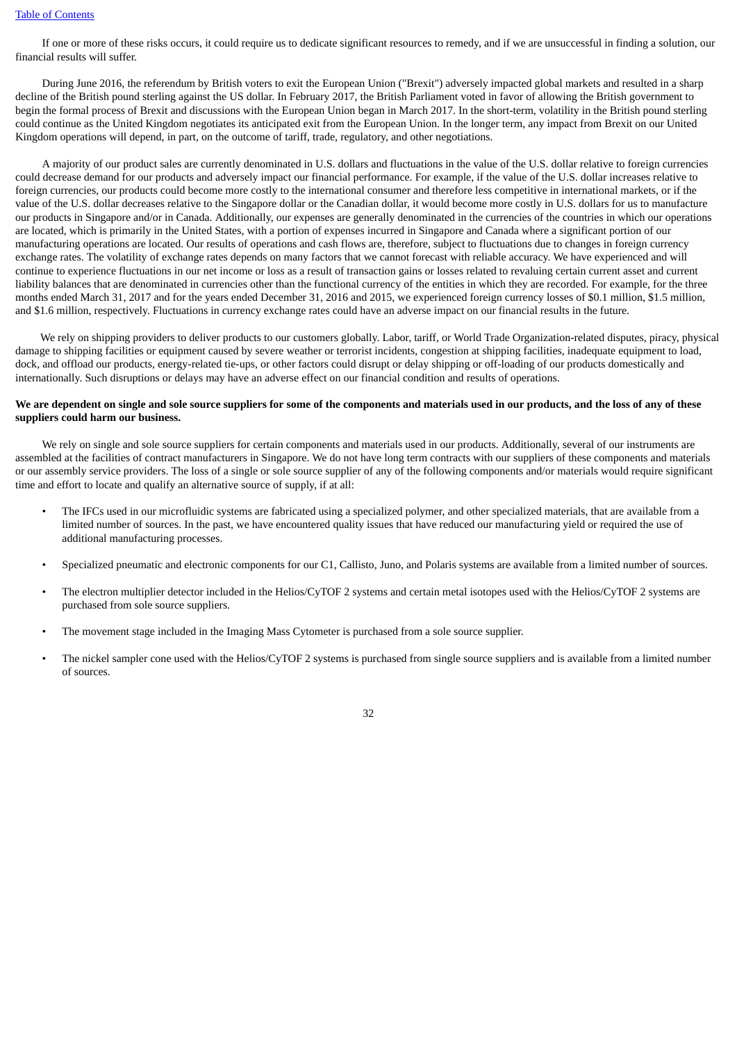If one or more of these risks occurs, it could require us to dedicate significant resources to remedy, and if we are unsuccessful in finding a solution, our financial results will suffer.

During June 2016, the referendum by British voters to exit the European Union ("Brexit") adversely impacted global markets and resulted in a sharp decline of the British pound sterling against the US dollar. In February 2017, the British Parliament voted in favor of allowing the British government to begin the formal process of Brexit and discussions with the European Union began in March 2017. In the short-term, volatility in the British pound sterling could continue as the United Kingdom negotiates its anticipated exit from the European Union. In the longer term, any impact from Brexit on our United Kingdom operations will depend, in part, on the outcome of tariff, trade, regulatory, and other negotiations.

A majority of our product sales are currently denominated in U.S. dollars and fluctuations in the value of the U.S. dollar relative to foreign currencies could decrease demand for our products and adversely impact our financial performance. For example, if the value of the U.S. dollar increases relative to foreign currencies, our products could become more costly to the international consumer and therefore less competitive in international markets, or if the value of the U.S. dollar decreases relative to the Singapore dollar or the Canadian dollar, it would become more costly in U.S. dollars for us to manufacture our products in Singapore and/or in Canada. Additionally, our expenses are generally denominated in the currencies of the countries in which our operations are located, which is primarily in the United States, with a portion of expenses incurred in Singapore and Canada where a significant portion of our manufacturing operations are located. Our results of operations and cash flows are, therefore, subject to fluctuations due to changes in foreign currency exchange rates. The volatility of exchange rates depends on many factors that we cannot forecast with reliable accuracy. We have experienced and will continue to experience fluctuations in our net income or loss as a result of transaction gains or losses related to revaluing certain current asset and current liability balances that are denominated in currencies other than the functional currency of the entities in which they are recorded. For example, for the three months ended March 31, 2017 and for the years ended December 31, 2016 and 2015, we experienced foreign currency losses of \$0.1 million, \$1.5 million, and \$1.6 million, respectively. Fluctuations in currency exchange rates could have an adverse impact on our financial results in the future.

We rely on shipping providers to deliver products to our customers globally. Labor, tariff, or World Trade Organization-related disputes, piracy, physical damage to shipping facilities or equipment caused by severe weather or terrorist incidents, congestion at shipping facilities, inadequate equipment to load, dock, and offload our products, energy-related tie-ups, or other factors could disrupt or delay shipping or off-loading of our products domestically and internationally. Such disruptions or delays may have an adverse effect on our financial condition and results of operations.

#### We are dependent on single and sole source suppliers for some of the components and materials used in our products, and the loss of any of these **suppliers could harm our business.**

We rely on single and sole source suppliers for certain components and materials used in our products. Additionally, several of our instruments are assembled at the facilities of contract manufacturers in Singapore. We do not have long term contracts with our suppliers of these components and materials or our assembly service providers. The loss of a single or sole source supplier of any of the following components and/or materials would require significant time and effort to locate and qualify an alternative source of supply, if at all:

- The IFCs used in our microfluidic systems are fabricated using a specialized polymer, and other specialized materials, that are available from a limited number of sources. In the past, we have encountered quality issues that have reduced our manufacturing yield or required the use of additional manufacturing processes.
- Specialized pneumatic and electronic components for our C1, Callisto, Juno, and Polaris systems are available from a limited number of sources.
- The electron multiplier detector included in the Helios/CyTOF 2 systems and certain metal isotopes used with the Helios/CyTOF 2 systems are purchased from sole source suppliers.
- The movement stage included in the Imaging Mass Cytometer is purchased from a sole source supplier.
- The nickel sampler cone used with the Helios/CyTOF 2 systems is purchased from single source suppliers and is available from a limited number of sources.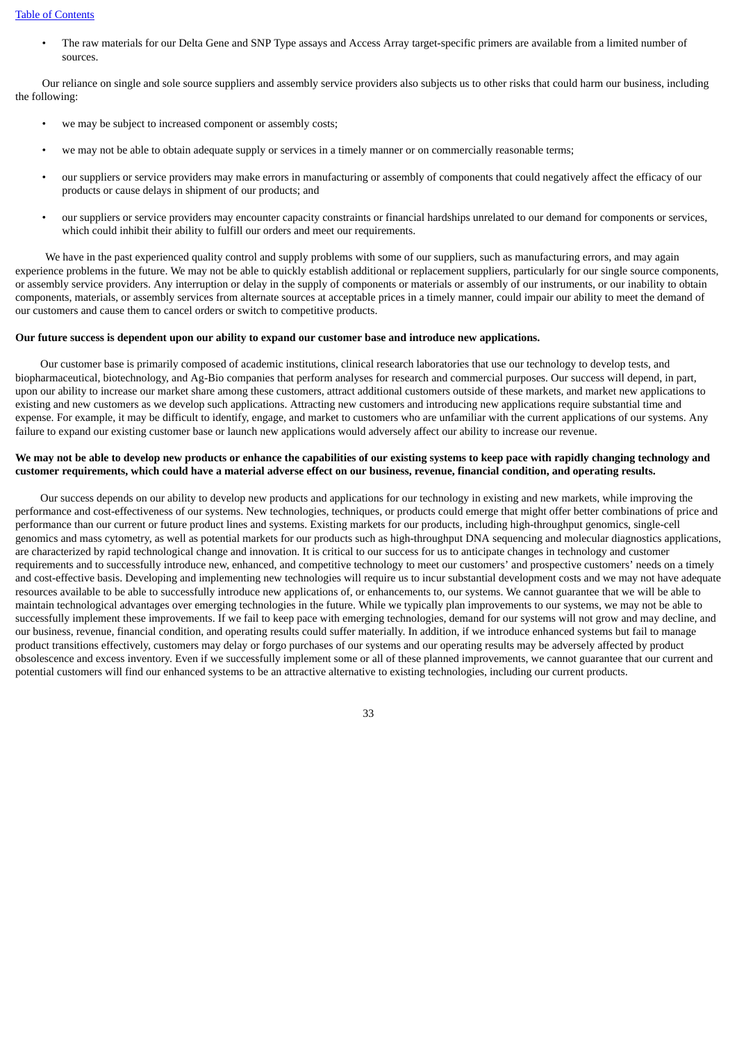• The raw materials for our Delta Gene and SNP Type assays and Access Array target-specific primers are available from a limited number of sources.

Our reliance on single and sole source suppliers and assembly service providers also subjects us to other risks that could harm our business, including the following:

- we may be subject to increased component or assembly costs;
- we may not be able to obtain adequate supply or services in a timely manner or on commercially reasonable terms;
- our suppliers or service providers may make errors in manufacturing or assembly of components that could negatively affect the efficacy of our products or cause delays in shipment of our products; and
- our suppliers or service providers may encounter capacity constraints or financial hardships unrelated to our demand for components or services, which could inhibit their ability to fulfill our orders and meet our requirements.

We have in the past experienced quality control and supply problems with some of our suppliers, such as manufacturing errors, and may again experience problems in the future. We may not be able to quickly establish additional or replacement suppliers, particularly for our single source components, or assembly service providers. Any interruption or delay in the supply of components or materials or assembly of our instruments, or our inability to obtain components, materials, or assembly services from alternate sources at acceptable prices in a timely manner, could impair our ability to meet the demand of our customers and cause them to cancel orders or switch to competitive products.

#### Our future success is dependent upon our ability to expand our customer base and introduce new applications.

Our customer base is primarily composed of academic institutions, clinical research laboratories that use our technology to develop tests, and biopharmaceutical, biotechnology, and Ag-Bio companies that perform analyses for research and commercial purposes. Our success will depend, in part, upon our ability to increase our market share among these customers, attract additional customers outside of these markets, and market new applications to existing and new customers as we develop such applications. Attracting new customers and introducing new applications require substantial time and expense. For example, it may be difficult to identify, engage, and market to customers who are unfamiliar with the current applications of our systems. Any failure to expand our existing customer base or launch new applications would adversely affect our ability to increase our revenue.

#### We may not be able to develop new products or enhance the capabilities of our existing systems to keep pace with rapidly changing technology and customer requirements, which could have a material adverse effect on our business, revenue, financial condition, and operating results.

Our success depends on our ability to develop new products and applications for our technology in existing and new markets, while improving the performance and cost-effectiveness of our systems. New technologies, techniques, or products could emerge that might offer better combinations of price and performance than our current or future product lines and systems. Existing markets for our products, including high-throughput genomics, single-cell genomics and mass cytometry, as well as potential markets for our products such as high-throughput DNA sequencing and molecular diagnostics applications, are characterized by rapid technological change and innovation. It is critical to our success for us to anticipate changes in technology and customer requirements and to successfully introduce new, enhanced, and competitive technology to meet our customers' and prospective customers' needs on a timely and cost-effective basis. Developing and implementing new technologies will require us to incur substantial development costs and we may not have adequate resources available to be able to successfully introduce new applications of, or enhancements to, our systems. We cannot guarantee that we will be able to maintain technological advantages over emerging technologies in the future. While we typically plan improvements to our systems, we may not be able to successfully implement these improvements. If we fail to keep pace with emerging technologies, demand for our systems will not grow and may decline, and our business, revenue, financial condition, and operating results could suffer materially. In addition, if we introduce enhanced systems but fail to manage product transitions effectively, customers may delay or forgo purchases of our systems and our operating results may be adversely affected by product obsolescence and excess inventory. Even if we successfully implement some or all of these planned improvements, we cannot guarantee that our current and potential customers will find our enhanced systems to be an attractive alternative to existing technologies, including our current products.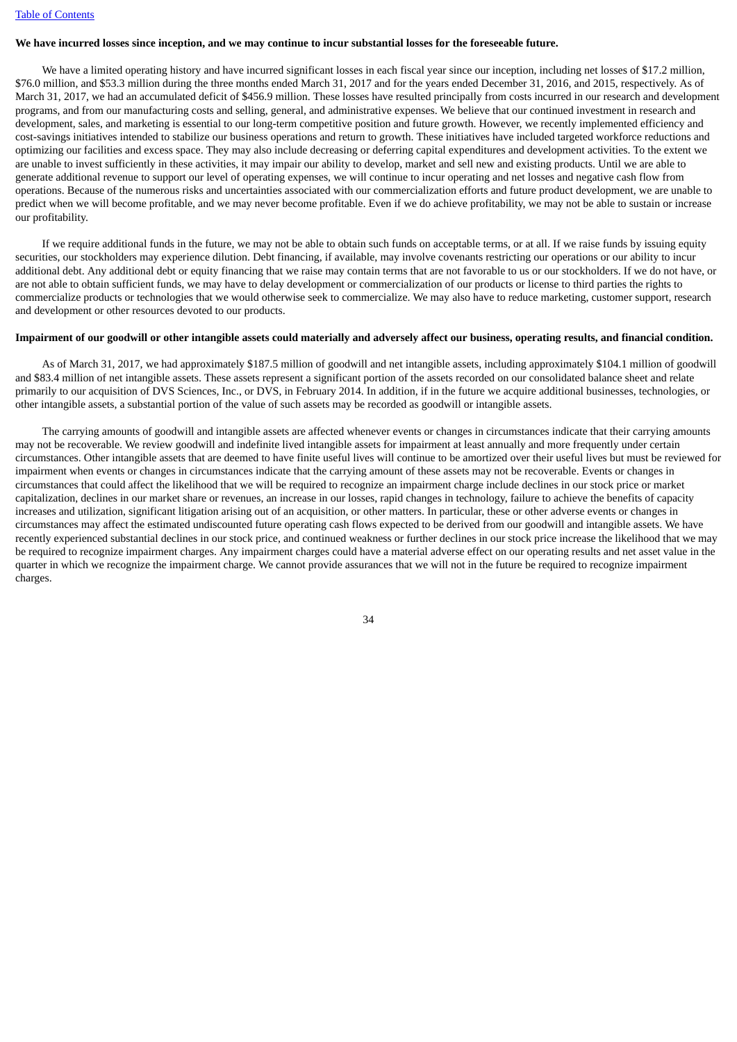# We have incurred losses since inception, and we may continue to incur substantial losses for the foreseeable future.

We have a limited operating history and have incurred significant losses in each fiscal year since our inception, including net losses of \$17.2 million, \$76.0 million, and \$53.3 million during the three months ended March 31, 2017 and for the years ended December 31, 2016, and 2015, respectively. As of March 31, 2017, we had an accumulated deficit of \$456.9 million. These losses have resulted principally from costs incurred in our research and development programs, and from our manufacturing costs and selling, general, and administrative expenses. We believe that our continued investment in research and development, sales, and marketing is essential to our long-term competitive position and future growth. However, we recently implemented efficiency and cost-savings initiatives intended to stabilize our business operations and return to growth. These initiatives have included targeted workforce reductions and optimizing our facilities and excess space. They may also include decreasing or deferring capital expenditures and development activities. To the extent we are unable to invest sufficiently in these activities, it may impair our ability to develop, market and sell new and existing products. Until we are able to generate additional revenue to support our level of operating expenses, we will continue to incur operating and net losses and negative cash flow from operations. Because of the numerous risks and uncertainties associated with our commercialization efforts and future product development, we are unable to predict when we will become profitable, and we may never become profitable. Even if we do achieve profitability, we may not be able to sustain or increase our profitability.

If we require additional funds in the future, we may not be able to obtain such funds on acceptable terms, or at all. If we raise funds by issuing equity securities, our stockholders may experience dilution. Debt financing, if available, may involve covenants restricting our operations or our ability to incur additional debt. Any additional debt or equity financing that we raise may contain terms that are not favorable to us or our stockholders. If we do not have, or are not able to obtain sufficient funds, we may have to delay development or commercialization of our products or license to third parties the rights to commercialize products or technologies that we would otherwise seek to commercialize. We may also have to reduce marketing, customer support, research and development or other resources devoted to our products.

# Impairment of our goodwill or other intangible assets could materially and adversely affect our business, operating results, and financial condition.

As of March 31, 2017, we had approximately \$187.5 million of goodwill and net intangible assets, including approximately \$104.1 million of goodwill and \$83.4 million of net intangible assets. These assets represent a significant portion of the assets recorded on our consolidated balance sheet and relate primarily to our acquisition of DVS Sciences, Inc., or DVS, in February 2014. In addition, if in the future we acquire additional businesses, technologies, or other intangible assets, a substantial portion of the value of such assets may be recorded as goodwill or intangible assets.

The carrying amounts of goodwill and intangible assets are affected whenever events or changes in circumstances indicate that their carrying amounts may not be recoverable. We review goodwill and indefinite lived intangible assets for impairment at least annually and more frequently under certain circumstances. Other intangible assets that are deemed to have finite useful lives will continue to be amortized over their useful lives but must be reviewed for impairment when events or changes in circumstances indicate that the carrying amount of these assets may not be recoverable. Events or changes in circumstances that could affect the likelihood that we will be required to recognize an impairment charge include declines in our stock price or market capitalization, declines in our market share or revenues, an increase in our losses, rapid changes in technology, failure to achieve the benefits of capacity increases and utilization, significant litigation arising out of an acquisition, or other matters. In particular, these or other adverse events or changes in circumstances may affect the estimated undiscounted future operating cash flows expected to be derived from our goodwill and intangible assets. We have recently experienced substantial declines in our stock price, and continued weakness or further declines in our stock price increase the likelihood that we may be required to recognize impairment charges. Any impairment charges could have a material adverse effect on our operating results and net asset value in the quarter in which we recognize the impairment charge. We cannot provide assurances that we will not in the future be required to recognize impairment charges.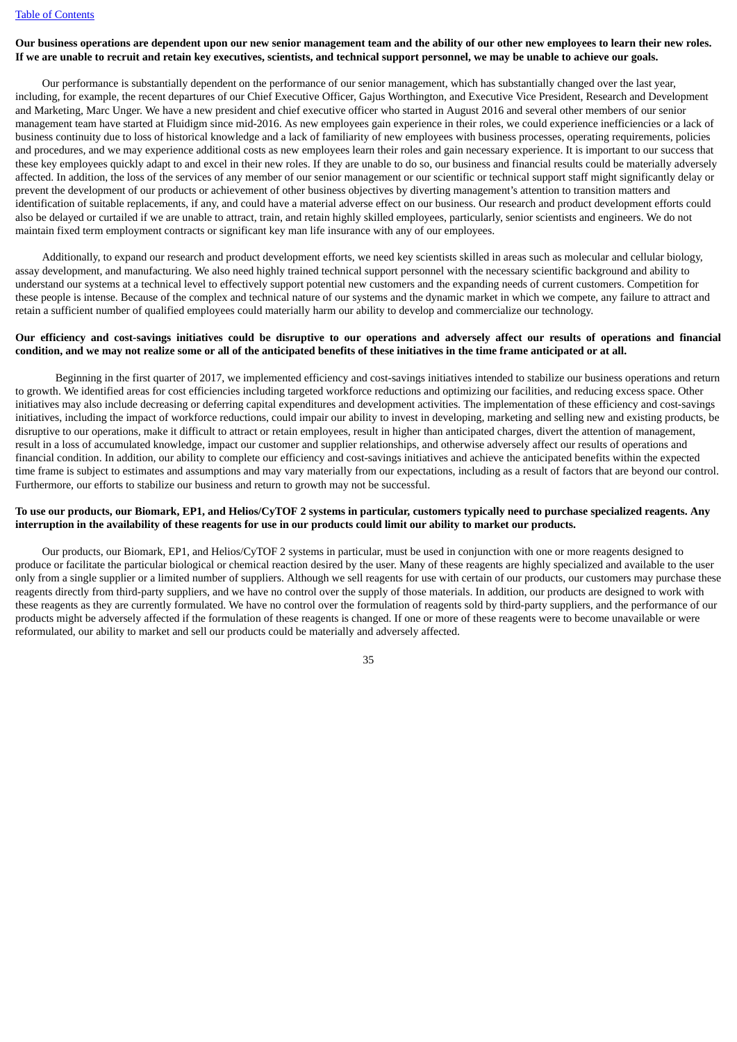### Our business operations are dependent upon our new senior management team and the ability of our other new employees to learn their new roles. If we are unable to recruit and retain key executives, scientists, and technical support personnel, we may be unable to achieve our goals.

Our performance is substantially dependent on the performance of our senior management, which has substantially changed over the last year, including, for example, the recent departures of our Chief Executive Officer, Gajus Worthington, and Executive Vice President, Research and Development and Marketing, Marc Unger. We have a new president and chief executive officer who started in August 2016 and several other members of our senior management team have started at Fluidigm since mid-2016. As new employees gain experience in their roles, we could experience inefficiencies or a lack of business continuity due to loss of historical knowledge and a lack of familiarity of new employees with business processes, operating requirements, policies and procedures, and we may experience additional costs as new employees learn their roles and gain necessary experience. It is important to our success that these key employees quickly adapt to and excel in their new roles. If they are unable to do so, our business and financial results could be materially adversely affected. In addition, the loss of the services of any member of our senior management or our scientific or technical support staff might significantly delay or prevent the development of our products or achievement of other business objectives by diverting management's attention to transition matters and identification of suitable replacements, if any, and could have a material adverse effect on our business. Our research and product development efforts could also be delayed or curtailed if we are unable to attract, train, and retain highly skilled employees, particularly, senior scientists and engineers. We do not maintain fixed term employment contracts or significant key man life insurance with any of our employees.

Additionally, to expand our research and product development efforts, we need key scientists skilled in areas such as molecular and cellular biology, assay development, and manufacturing. We also need highly trained technical support personnel with the necessary scientific background and ability to understand our systems at a technical level to effectively support potential new customers and the expanding needs of current customers. Competition for these people is intense. Because of the complex and technical nature of our systems and the dynamic market in which we compete, any failure to attract and retain a sufficient number of qualified employees could materially harm our ability to develop and commercialize our technology.

## Our efficiency and cost-savings initiatives could be disruptive to our operations and adversely affect our results of operations and financial condition, and we may not realize some or all of the anticipated benefits of these initiatives in the time frame anticipated or at all.

Beginning in the first quarter of 2017, we implemented efficiency and cost-savings initiatives intended to stabilize our business operations and return to growth. We identified areas for cost efficiencies including targeted workforce reductions and optimizing our facilities, and reducing excess space. Other initiatives may also include decreasing or deferring capital expenditures and development activities. The implementation of these efficiency and cost-savings initiatives, including the impact of workforce reductions, could impair our ability to invest in developing, marketing and selling new and existing products, be disruptive to our operations, make it difficult to attract or retain employees, result in higher than anticipated charges, divert the attention of management, result in a loss of accumulated knowledge, impact our customer and supplier relationships, and otherwise adversely affect our results of operations and financial condition. In addition, our ability to complete our efficiency and cost-savings initiatives and achieve the anticipated benefits within the expected time frame is subject to estimates and assumptions and may vary materially from our expectations, including as a result of factors that are beyond our control. Furthermore, our efforts to stabilize our business and return to growth may not be successful.

## To use our products, our Biomark, EP1, and Helios/CyTOF 2 systems in particular, customers typically need to purchase specialized reagents. Any interruption in the availability of these reagents for use in our products could limit our ability to market our products.

Our products, our Biomark, EP1, and Helios/CyTOF 2 systems in particular, must be used in conjunction with one or more reagents designed to produce or facilitate the particular biological or chemical reaction desired by the user. Many of these reagents are highly specialized and available to the user only from a single supplier or a limited number of suppliers. Although we sell reagents for use with certain of our products, our customers may purchase these reagents directly from third-party suppliers, and we have no control over the supply of those materials. In addition, our products are designed to work with these reagents as they are currently formulated. We have no control over the formulation of reagents sold by third-party suppliers, and the performance of our products might be adversely affected if the formulation of these reagents is changed. If one or more of these reagents were to become unavailable or were reformulated, our ability to market and sell our products could be materially and adversely affected.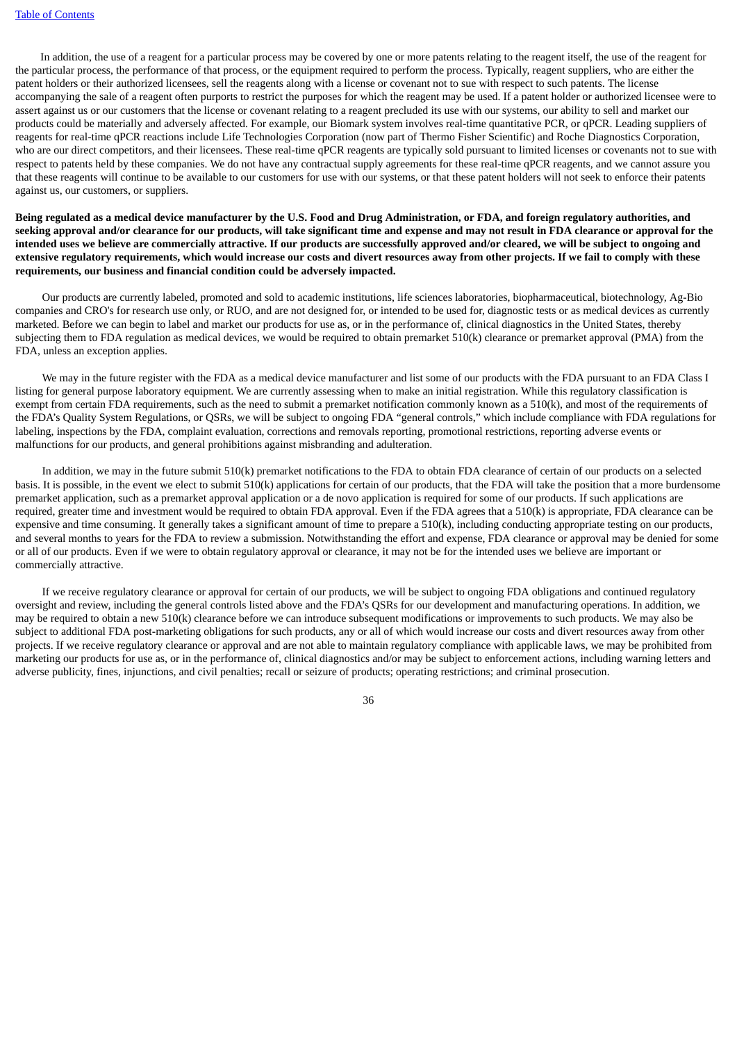In addition, the use of a reagent for a particular process may be covered by one or more patents relating to the reagent itself, the use of the reagent for the particular process, the performance of that process, or the equipment required to perform the process. Typically, reagent suppliers, who are either the patent holders or their authorized licensees, sell the reagents along with a license or covenant not to sue with respect to such patents. The license accompanying the sale of a reagent often purports to restrict the purposes for which the reagent may be used. If a patent holder or authorized licensee were to assert against us or our customers that the license or covenant relating to a reagent precluded its use with our systems, our ability to sell and market our products could be materially and adversely affected. For example, our Biomark system involves real-time quantitative PCR, or qPCR. Leading suppliers of reagents for real-time qPCR reactions include Life Technologies Corporation (now part of Thermo Fisher Scientific) and Roche Diagnostics Corporation, who are our direct competitors, and their licensees. These real-time qPCR reagents are typically sold pursuant to limited licenses or covenants not to sue with respect to patents held by these companies. We do not have any contractual supply agreements for these real-time qPCR reagents, and we cannot assure you that these reagents will continue to be available to our customers for use with our systems, or that these patent holders will not seek to enforce their patents against us, our customers, or suppliers.

Being regulated as a medical device manufacturer by the U.S. Food and Drug Administration, or FDA, and foreign regulatory authorities, and seeking approval and/or clearance for our products, will take significant time and expense and may not result in FDA clearance or approval for the intended uses we believe are commercially attractive. If our products are successfully approved and/or cleared, we will be subject to ongoing and extensive regulatory requirements, which would increase our costs and divert resources away from other projects. If we fail to comply with these **requirements, our business and financial condition could be adversely impacted.**

Our products are currently labeled, promoted and sold to academic institutions, life sciences laboratories, biopharmaceutical, biotechnology, Ag-Bio companies and CRO's for research use only, or RUO, and are not designed for, or intended to be used for, diagnostic tests or as medical devices as currently marketed. Before we can begin to label and market our products for use as, or in the performance of, clinical diagnostics in the United States, thereby subjecting them to FDA regulation as medical devices, we would be required to obtain premarket 510(k) clearance or premarket approval (PMA) from the FDA, unless an exception applies.

We may in the future register with the FDA as a medical device manufacturer and list some of our products with the FDA pursuant to an FDA Class I listing for general purpose laboratory equipment. We are currently assessing when to make an initial registration. While this regulatory classification is exempt from certain FDA requirements, such as the need to submit a premarket notification commonly known as a 510(k), and most of the requirements of the FDA's Quality System Regulations, or QSRs, we will be subject to ongoing FDA "general controls," which include compliance with FDA regulations for labeling, inspections by the FDA, complaint evaluation, corrections and removals reporting, promotional restrictions, reporting adverse events or malfunctions for our products, and general prohibitions against misbranding and adulteration.

In addition, we may in the future submit 510(k) premarket notifications to the FDA to obtain FDA clearance of certain of our products on a selected basis. It is possible, in the event we elect to submit 510(k) applications for certain of our products, that the FDA will take the position that a more burdensome premarket application, such as a premarket approval application or a de novo application is required for some of our products. If such applications are required, greater time and investment would be required to obtain FDA approval. Even if the FDA agrees that a 510(k) is appropriate, FDA clearance can be expensive and time consuming. It generally takes a significant amount of time to prepare a  $510(k)$ , including conducting appropriate testing on our products, and several months to years for the FDA to review a submission. Notwithstanding the effort and expense, FDA clearance or approval may be denied for some or all of our products. Even if we were to obtain regulatory approval or clearance, it may not be for the intended uses we believe are important or commercially attractive.

If we receive regulatory clearance or approval for certain of our products, we will be subject to ongoing FDA obligations and continued regulatory oversight and review, including the general controls listed above and the FDA's QSRs for our development and manufacturing operations. In addition, we may be required to obtain a new 510(k) clearance before we can introduce subsequent modifications or improvements to such products. We may also be subject to additional FDA post-marketing obligations for such products, any or all of which would increase our costs and divert resources away from other projects. If we receive regulatory clearance or approval and are not able to maintain regulatory compliance with applicable laws, we may be prohibited from marketing our products for use as, or in the performance of, clinical diagnostics and/or may be subject to enforcement actions, including warning letters and adverse publicity, fines, injunctions, and civil penalties; recall or seizure of products; operating restrictions; and criminal prosecution.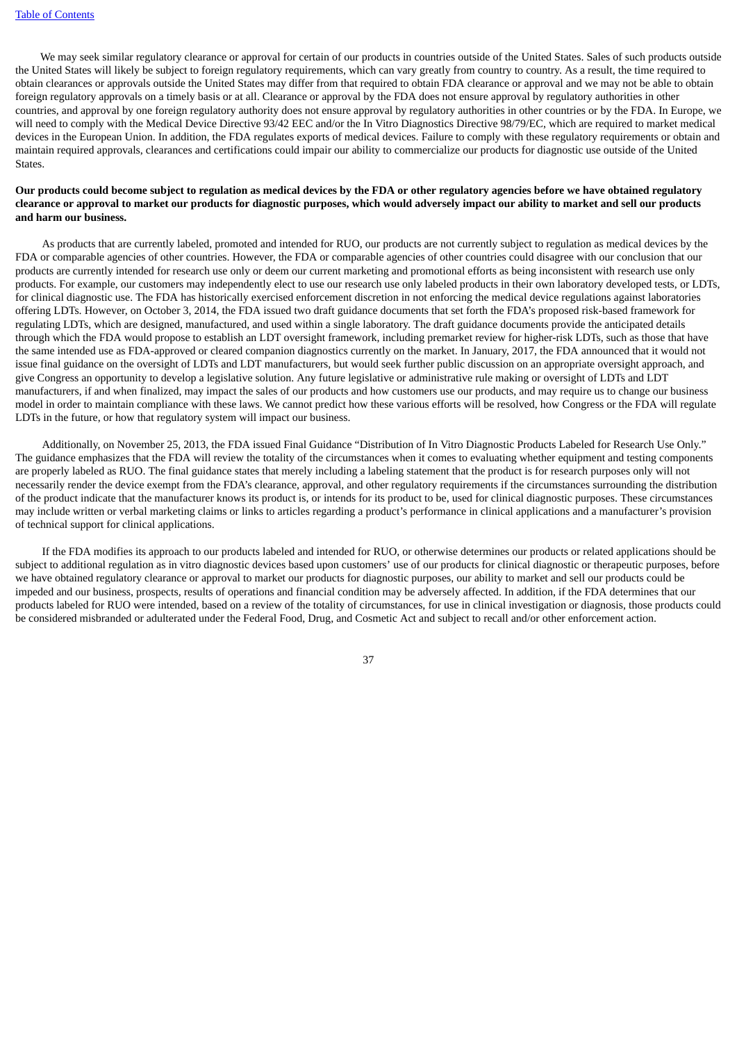We may seek similar regulatory clearance or approval for certain of our products in countries outside of the United States. Sales of such products outside the United States will likely be subject to foreign regulatory requirements, which can vary greatly from country to country. As a result, the time required to obtain clearances or approvals outside the United States may differ from that required to obtain FDA clearance or approval and we may not be able to obtain foreign regulatory approvals on a timely basis or at all. Clearance or approval by the FDA does not ensure approval by regulatory authorities in other countries, and approval by one foreign regulatory authority does not ensure approval by regulatory authorities in other countries or by the FDA. In Europe, we will need to comply with the Medical Device Directive 93/42 EEC and/or the In Vitro Diagnostics Directive 98/79/EC, which are required to market medical devices in the European Union. In addition, the FDA regulates exports of medical devices. Failure to comply with these regulatory requirements or obtain and maintain required approvals, clearances and certifications could impair our ability to commercialize our products for diagnostic use outside of the United States.

### Our products could become subject to regulation as medical devices by the FDA or other regulatory agencies before we have obtained regulatory clearance or approval to market our products for diagnostic purposes, which would adversely impact our ability to market and sell our products **and harm our business.**

As products that are currently labeled, promoted and intended for RUO, our products are not currently subject to regulation as medical devices by the FDA or comparable agencies of other countries. However, the FDA or comparable agencies of other countries could disagree with our conclusion that our products are currently intended for research use only or deem our current marketing and promotional efforts as being inconsistent with research use only products. For example, our customers may independently elect to use our research use only labeled products in their own laboratory developed tests, or LDTs, for clinical diagnostic use. The FDA has historically exercised enforcement discretion in not enforcing the medical device regulations against laboratories offering LDTs. However, on October 3, 2014, the FDA issued two draft guidance documents that set forth the FDA's proposed risk-based framework for regulating LDTs, which are designed, manufactured, and used within a single laboratory. The draft guidance documents provide the anticipated details through which the FDA would propose to establish an LDT oversight framework, including premarket review for higher-risk LDTs, such as those that have the same intended use as FDA-approved or cleared companion diagnostics currently on the market. In January, 2017, the FDA announced that it would not issue final guidance on the oversight of LDTs and LDT manufacturers, but would seek further public discussion on an appropriate oversight approach, and give Congress an opportunity to develop a legislative solution. Any future legislative or administrative rule making or oversight of LDTs and LDT manufacturers, if and when finalized, may impact the sales of our products and how customers use our products, and may require us to change our business model in order to maintain compliance with these laws. We cannot predict how these various efforts will be resolved, how Congress or the FDA will regulate LDTs in the future, or how that regulatory system will impact our business.

Additionally, on November 25, 2013, the FDA issued Final Guidance "Distribution of In Vitro Diagnostic Products Labeled for Research Use Only." The guidance emphasizes that the FDA will review the totality of the circumstances when it comes to evaluating whether equipment and testing components are properly labeled as RUO. The final guidance states that merely including a labeling statement that the product is for research purposes only will not necessarily render the device exempt from the FDA's clearance, approval, and other regulatory requirements if the circumstances surrounding the distribution of the product indicate that the manufacturer knows its product is, or intends for its product to be, used for clinical diagnostic purposes. These circumstances may include written or verbal marketing claims or links to articles regarding a product's performance in clinical applications and a manufacturer's provision of technical support for clinical applications.

If the FDA modifies its approach to our products labeled and intended for RUO, or otherwise determines our products or related applications should be subject to additional regulation as in vitro diagnostic devices based upon customers' use of our products for clinical diagnostic or therapeutic purposes, before we have obtained regulatory clearance or approval to market our products for diagnostic purposes, our ability to market and sell our products could be impeded and our business, prospects, results of operations and financial condition may be adversely affected. In addition, if the FDA determines that our products labeled for RUO were intended, based on a review of the totality of circumstances, for use in clinical investigation or diagnosis, those products could be considered misbranded or adulterated under the Federal Food, Drug, and Cosmetic Act and subject to recall and/or other enforcement action.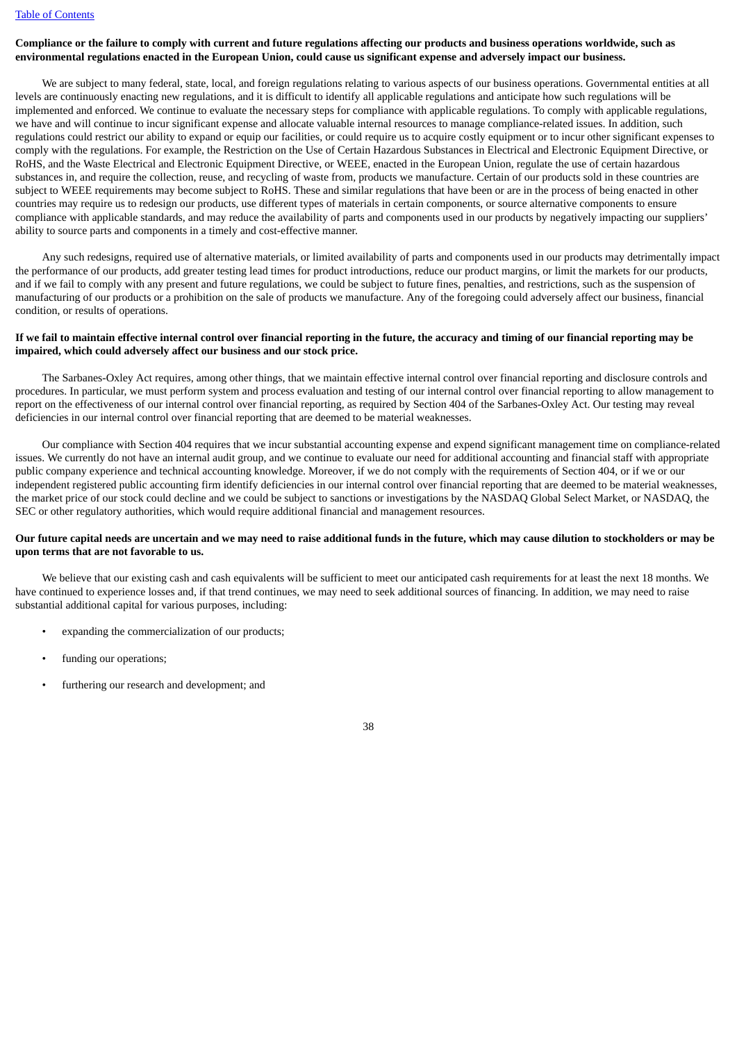# Compliance or the failure to comply with current and future regulations affecting our products and business operations worldwide, such as environmental regulations enacted in the European Union, could cause us significant expense and adversely impact our business.

We are subject to many federal, state, local, and foreign regulations relating to various aspects of our business operations. Governmental entities at all levels are continuously enacting new regulations, and it is difficult to identify all applicable regulations and anticipate how such regulations will be implemented and enforced. We continue to evaluate the necessary steps for compliance with applicable regulations. To comply with applicable regulations, we have and will continue to incur significant expense and allocate valuable internal resources to manage compliance-related issues. In addition, such regulations could restrict our ability to expand or equip our facilities, or could require us to acquire costly equipment or to incur other significant expenses to comply with the regulations. For example, the Restriction on the Use of Certain Hazardous Substances in Electrical and Electronic Equipment Directive, or RoHS, and the Waste Electrical and Electronic Equipment Directive, or WEEE, enacted in the European Union, regulate the use of certain hazardous substances in, and require the collection, reuse, and recycling of waste from, products we manufacture. Certain of our products sold in these countries are subject to WEEE requirements may become subject to RoHS. These and similar regulations that have been or are in the process of being enacted in other countries may require us to redesign our products, use different types of materials in certain components, or source alternative components to ensure compliance with applicable standards, and may reduce the availability of parts and components used in our products by negatively impacting our suppliers' ability to source parts and components in a timely and cost-effective manner.

Any such redesigns, required use of alternative materials, or limited availability of parts and components used in our products may detrimentally impact the performance of our products, add greater testing lead times for product introductions, reduce our product margins, or limit the markets for our products, and if we fail to comply with any present and future regulations, we could be subject to future fines, penalties, and restrictions, such as the suspension of manufacturing of our products or a prohibition on the sale of products we manufacture. Any of the foregoing could adversely affect our business, financial condition, or results of operations.

## If we fail to maintain effective internal control over financial reporting in the future, the accuracy and timing of our financial reporting may be **impaired, which could adversely affect our business and our stock price.**

The Sarbanes-Oxley Act requires, among other things, that we maintain effective internal control over financial reporting and disclosure controls and procedures. In particular, we must perform system and process evaluation and testing of our internal control over financial reporting to allow management to report on the effectiveness of our internal control over financial reporting, as required by Section 404 of the Sarbanes-Oxley Act. Our testing may reveal deficiencies in our internal control over financial reporting that are deemed to be material weaknesses.

Our compliance with Section 404 requires that we incur substantial accounting expense and expend significant management time on compliance-related issues. We currently do not have an internal audit group, and we continue to evaluate our need for additional accounting and financial staff with appropriate public company experience and technical accounting knowledge. Moreover, if we do not comply with the requirements of Section 404, or if we or our independent registered public accounting firm identify deficiencies in our internal control over financial reporting that are deemed to be material weaknesses, the market price of our stock could decline and we could be subject to sanctions or investigations by the NASDAQ Global Select Market, or NASDAQ, the SEC or other regulatory authorities, which would require additional financial and management resources.

#### Our future capital needs are uncertain and we may need to raise additional funds in the future, which may cause dilution to stockholders or may be **upon terms that are not favorable to us.**

We believe that our existing cash and cash equivalents will be sufficient to meet our anticipated cash requirements for at least the next 18 months. We have continued to experience losses and, if that trend continues, we may need to seek additional sources of financing. In addition, we may need to raise substantial additional capital for various purposes, including:

- expanding the commercialization of our products;
- funding our operations;
- furthering our research and development; and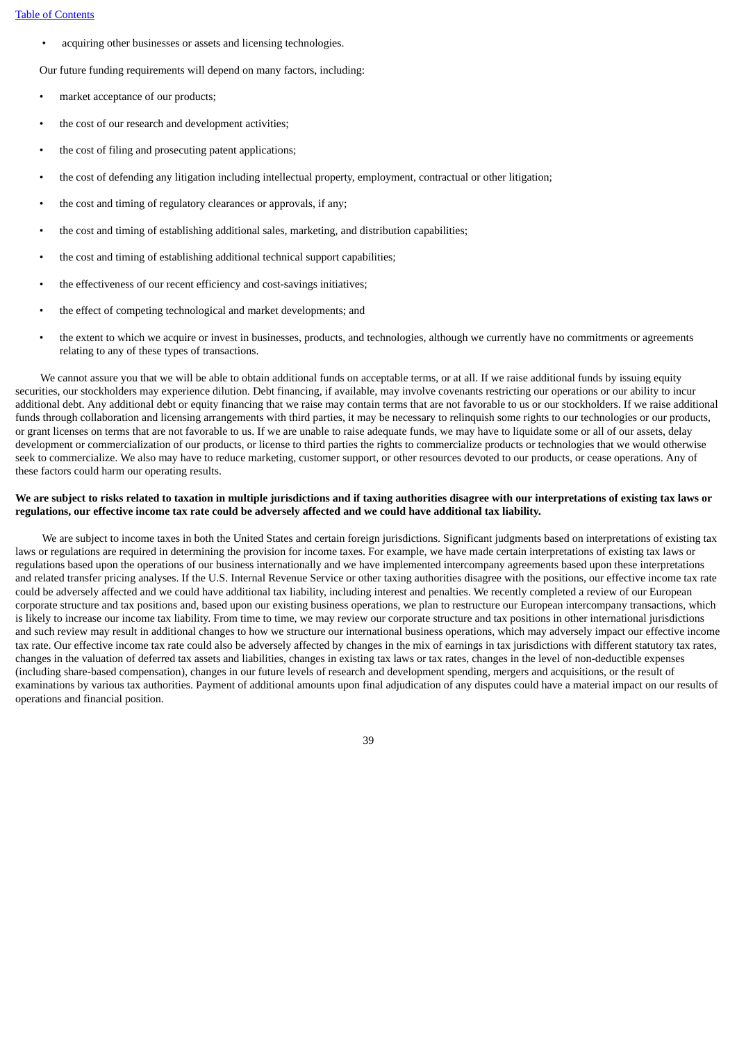• acquiring other businesses or assets and licensing technologies.

Our future funding requirements will depend on many factors, including:

- market acceptance of our products;
- the cost of our research and development activities;
- the cost of filing and prosecuting patent applications;
- the cost of defending any litigation including intellectual property, employment, contractual or other litigation;
- the cost and timing of regulatory clearances or approvals, if any;
- the cost and timing of establishing additional sales, marketing, and distribution capabilities;
- the cost and timing of establishing additional technical support capabilities;
- the effectiveness of our recent efficiency and cost-savings initiatives;
- the effect of competing technological and market developments; and
- the extent to which we acquire or invest in businesses, products, and technologies, although we currently have no commitments or agreements relating to any of these types of transactions.

We cannot assure you that we will be able to obtain additional funds on acceptable terms, or at all. If we raise additional funds by issuing equity securities, our stockholders may experience dilution. Debt financing, if available, may involve covenants restricting our operations or our ability to incur additional debt. Any additional debt or equity financing that we raise may contain terms that are not favorable to us or our stockholders. If we raise additional funds through collaboration and licensing arrangements with third parties, it may be necessary to relinquish some rights to our technologies or our products, or grant licenses on terms that are not favorable to us. If we are unable to raise adequate funds, we may have to liquidate some or all of our assets, delay development or commercialization of our products, or license to third parties the rights to commercialize products or technologies that we would otherwise seek to commercialize. We also may have to reduce marketing, customer support, or other resources devoted to our products, or cease operations. Any of these factors could harm our operating results.

#### We are subject to risks related to taxation in multiple jurisdictions and if taxing authorities disagree with our interpretations of existing tax laws or regulations, our effective income tax rate could be adversely affected and we could have additional tax liability.

We are subject to income taxes in both the United States and certain foreign jurisdictions. Significant judgments based on interpretations of existing tax laws or regulations are required in determining the provision for income taxes. For example, we have made certain interpretations of existing tax laws or regulations based upon the operations of our business internationally and we have implemented intercompany agreements based upon these interpretations and related transfer pricing analyses. If the U.S. Internal Revenue Service or other taxing authorities disagree with the positions, our effective income tax rate could be adversely affected and we could have additional tax liability, including interest and penalties. We recently completed a review of our European corporate structure and tax positions and, based upon our existing business operations, we plan to restructure our European intercompany transactions, which is likely to increase our income tax liability. From time to time, we may review our corporate structure and tax positions in other international jurisdictions and such review may result in additional changes to how we structure our international business operations, which may adversely impact our effective income tax rate. Our effective income tax rate could also be adversely affected by changes in the mix of earnings in tax jurisdictions with different statutory tax rates, changes in the valuation of deferred tax assets and liabilities, changes in existing tax laws or tax rates, changes in the level of non-deductible expenses (including share-based compensation), changes in our future levels of research and development spending, mergers and acquisitions, or the result of examinations by various tax authorities. Payment of additional amounts upon final adjudication of any disputes could have a material impact on our results of operations and financial position.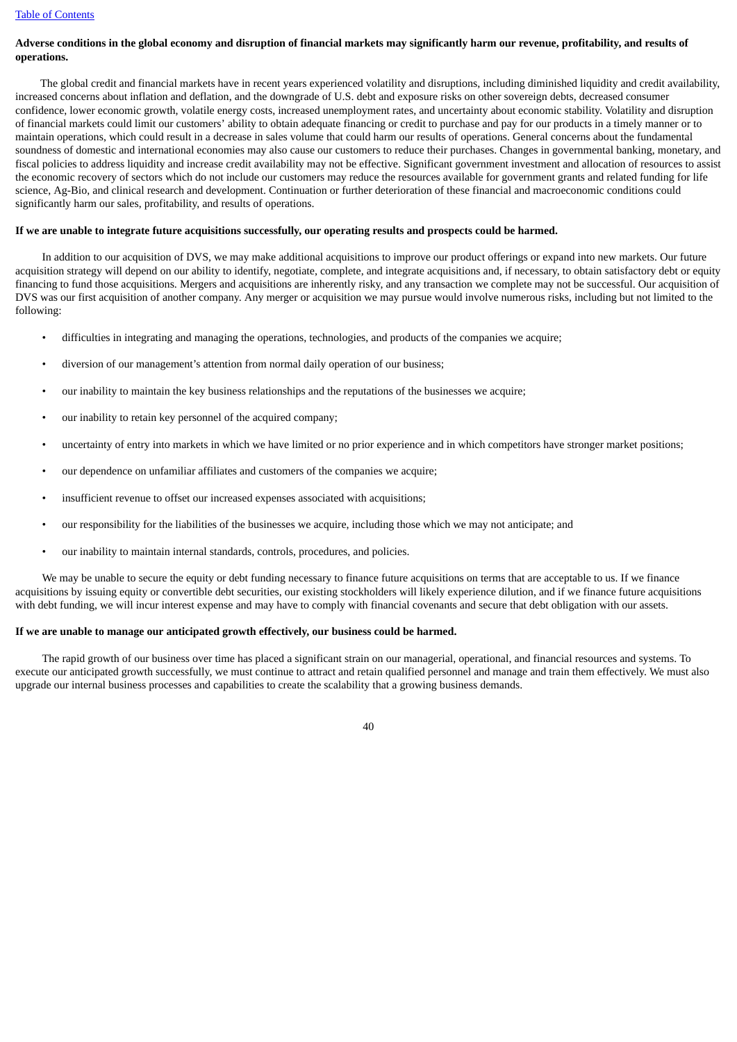## Adverse conditions in the global economy and disruption of financial markets may significantly harm our revenue, profitability, and results of **operations.**

The global credit and financial markets have in recent years experienced volatility and disruptions, including diminished liquidity and credit availability, increased concerns about inflation and deflation, and the downgrade of U.S. debt and exposure risks on other sovereign debts, decreased consumer confidence, lower economic growth, volatile energy costs, increased unemployment rates, and uncertainty about economic stability. Volatility and disruption of financial markets could limit our customers' ability to obtain adequate financing or credit to purchase and pay for our products in a timely manner or to maintain operations, which could result in a decrease in sales volume that could harm our results of operations. General concerns about the fundamental soundness of domestic and international economies may also cause our customers to reduce their purchases. Changes in governmental banking, monetary, and fiscal policies to address liquidity and increase credit availability may not be effective. Significant government investment and allocation of resources to assist the economic recovery of sectors which do not include our customers may reduce the resources available for government grants and related funding for life science, Ag-Bio, and clinical research and development. Continuation or further deterioration of these financial and macroeconomic conditions could significantly harm our sales, profitability, and results of operations.

#### If we are unable to integrate future acquisitions successfully, our operating results and prospects could be harmed.

In addition to our acquisition of DVS, we may make additional acquisitions to improve our product offerings or expand into new markets. Our future acquisition strategy will depend on our ability to identify, negotiate, complete, and integrate acquisitions and, if necessary, to obtain satisfactory debt or equity financing to fund those acquisitions. Mergers and acquisitions are inherently risky, and any transaction we complete may not be successful. Our acquisition of DVS was our first acquisition of another company. Any merger or acquisition we may pursue would involve numerous risks, including but not limited to the following:

- difficulties in integrating and managing the operations, technologies, and products of the companies we acquire;
- diversion of our management's attention from normal daily operation of our business;
- our inability to maintain the key business relationships and the reputations of the businesses we acquire;
- our inability to retain key personnel of the acquired company;
- uncertainty of entry into markets in which we have limited or no prior experience and in which competitors have stronger market positions;
- our dependence on unfamiliar affiliates and customers of the companies we acquire;
- insufficient revenue to offset our increased expenses associated with acquisitions;
- our responsibility for the liabilities of the businesses we acquire, including those which we may not anticipate; and
- our inability to maintain internal standards, controls, procedures, and policies.

We may be unable to secure the equity or debt funding necessary to finance future acquisitions on terms that are acceptable to us. If we finance acquisitions by issuing equity or convertible debt securities, our existing stockholders will likely experience dilution, and if we finance future acquisitions with debt funding, we will incur interest expense and may have to comply with financial covenants and secure that debt obligation with our assets.

#### **If we are unable to manage our anticipated growth effectively, our business could be harmed.**

The rapid growth of our business over time has placed a significant strain on our managerial, operational, and financial resources and systems. To execute our anticipated growth successfully, we must continue to attract and retain qualified personnel and manage and train them effectively. We must also upgrade our internal business processes and capabilities to create the scalability that a growing business demands.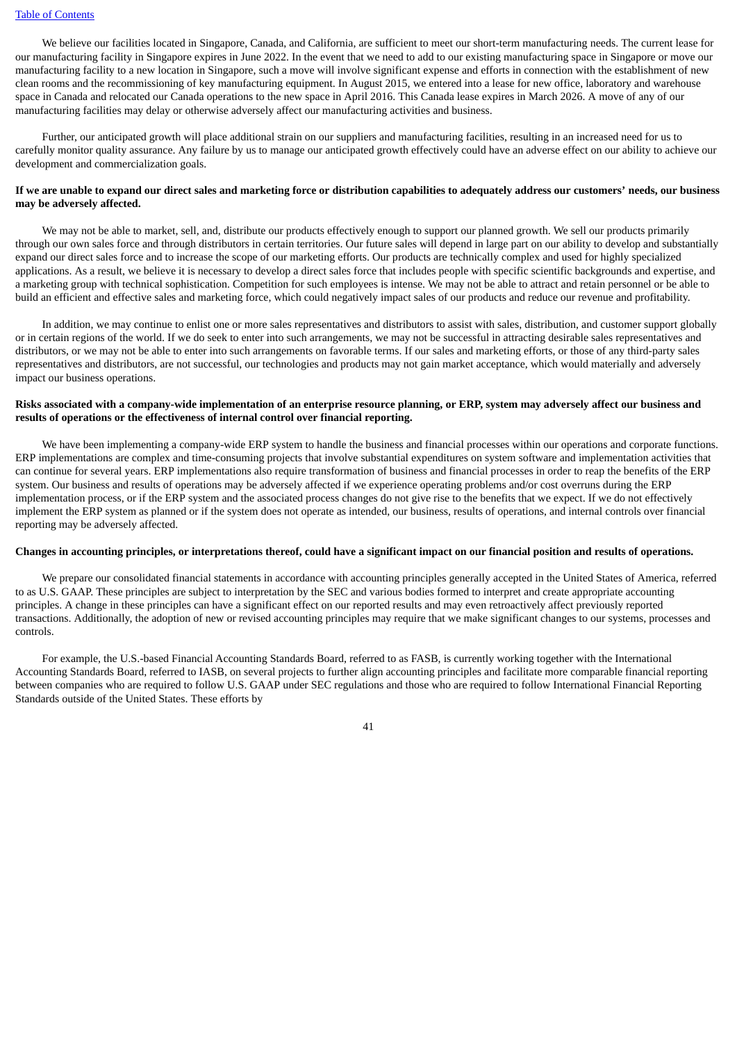We believe our facilities located in Singapore, Canada, and California, are sufficient to meet our short-term manufacturing needs. The current lease for our manufacturing facility in Singapore expires in June 2022. In the event that we need to add to our existing manufacturing space in Singapore or move our manufacturing facility to a new location in Singapore, such a move will involve significant expense and efforts in connection with the establishment of new clean rooms and the recommissioning of key manufacturing equipment. In August 2015, we entered into a lease for new office, laboratory and warehouse space in Canada and relocated our Canada operations to the new space in April 2016. This Canada lease expires in March 2026. A move of any of our manufacturing facilities may delay or otherwise adversely affect our manufacturing activities and business.

Further, our anticipated growth will place additional strain on our suppliers and manufacturing facilities, resulting in an increased need for us to carefully monitor quality assurance. Any failure by us to manage our anticipated growth effectively could have an adverse effect on our ability to achieve our development and commercialization goals.

## If we are unable to expand our direct sales and marketing force or distribution capabilities to adequately address our customers' needs, our business **may be adversely affected.**

We may not be able to market, sell, and, distribute our products effectively enough to support our planned growth. We sell our products primarily through our own sales force and through distributors in certain territories. Our future sales will depend in large part on our ability to develop and substantially expand our direct sales force and to increase the scope of our marketing efforts. Our products are technically complex and used for highly specialized applications. As a result, we believe it is necessary to develop a direct sales force that includes people with specific scientific backgrounds and expertise, and a marketing group with technical sophistication. Competition for such employees is intense. We may not be able to attract and retain personnel or be able to build an efficient and effective sales and marketing force, which could negatively impact sales of our products and reduce our revenue and profitability.

In addition, we may continue to enlist one or more sales representatives and distributors to assist with sales, distribution, and customer support globally or in certain regions of the world. If we do seek to enter into such arrangements, we may not be successful in attracting desirable sales representatives and distributors, or we may not be able to enter into such arrangements on favorable terms. If our sales and marketing efforts, or those of any third-party sales representatives and distributors, are not successful, our technologies and products may not gain market acceptance, which would materially and adversely impact our business operations.

#### Risks associated with a company-wide implementation of an enterprise resource planning, or ERP, system may adversely affect our business and **results of operations or the effectiveness of internal control over financial reporting.**

We have been implementing a company-wide ERP system to handle the business and financial processes within our operations and corporate functions. ERP implementations are complex and time-consuming projects that involve substantial expenditures on system software and implementation activities that can continue for several years. ERP implementations also require transformation of business and financial processes in order to reap the benefits of the ERP system. Our business and results of operations may be adversely affected if we experience operating problems and/or cost overruns during the ERP implementation process, or if the ERP system and the associated process changes do not give rise to the benefits that we expect. If we do not effectively implement the ERP system as planned or if the system does not operate as intended, our business, results of operations, and internal controls over financial reporting may be adversely affected.

#### Changes in accounting principles, or interpretations thereof, could have a significant impact on our financial position and results of operations.

We prepare our consolidated financial statements in accordance with accounting principles generally accepted in the United States of America, referred to as U.S. GAAP. These principles are subject to interpretation by the SEC and various bodies formed to interpret and create appropriate accounting principles. A change in these principles can have a significant effect on our reported results and may even retroactively affect previously reported transactions. Additionally, the adoption of new or revised accounting principles may require that we make significant changes to our systems, processes and controls.

For example, the U.S.-based Financial Accounting Standards Board, referred to as FASB, is currently working together with the International Accounting Standards Board, referred to IASB, on several projects to further align accounting principles and facilitate more comparable financial reporting between companies who are required to follow U.S. GAAP under SEC regulations and those who are required to follow International Financial Reporting Standards outside of the United States. These efforts by

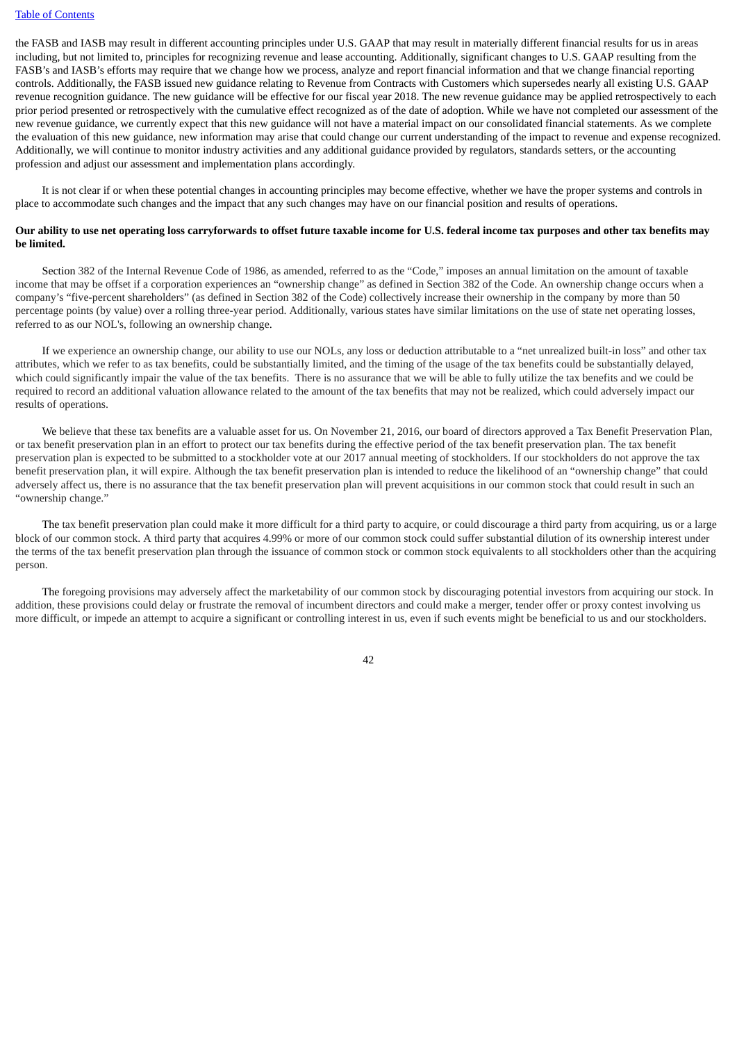the FASB and IASB may result in different accounting principles under U.S. GAAP that may result in materially different financial results for us in areas including, but not limited to, principles for recognizing revenue and lease accounting. Additionally, significant changes to U.S. GAAP resulting from the FASB's and IASB's efforts may require that we change how we process, analyze and report financial information and that we change financial reporting controls. Additionally, the FASB issued new guidance relating to Revenue from Contracts with Customers which supersedes nearly all existing U.S. GAAP revenue recognition guidance. The new guidance will be effective for our fiscal year 2018. The new revenue guidance may be applied retrospectively to each prior period presented or retrospectively with the cumulative effect recognized as of the date of adoption. While we have not completed our assessment of the new revenue guidance, we currently expect that this new guidance will not have a material impact on our consolidated financial statements. As we complete the evaluation of this new guidance, new information may arise that could change our current understanding of the impact to revenue and expense recognized. Additionally, we will continue to monitor industry activities and any additional guidance provided by regulators, standards setters, or the accounting profession and adjust our assessment and implementation plans accordingly.

It is not clear if or when these potential changes in accounting principles may become effective, whether we have the proper systems and controls in place to accommodate such changes and the impact that any such changes may have on our financial position and results of operations.

#### Our ability to use net operating loss carryforwards to offset future taxable income for U.S. federal income tax purposes and other tax benefits may **be limited.**

Section 382 of the Internal Revenue Code of 1986, as amended, referred to as the "Code," imposes an annual limitation on the amount of taxable income that may be offset if a corporation experiences an "ownership change" as defined in Section 382 of the Code. An ownership change occurs when a company's "five-percent shareholders" (as defined in Section 382 of the Code) collectively increase their ownership in the company by more than 50 percentage points (by value) over a rolling three-year period. Additionally, various states have similar limitations on the use of state net operating losses, referred to as our NOL's, following an ownership change.

If we experience an ownership change, our ability to use our NOLs, any loss or deduction attributable to a "net unrealized built-in loss" and other tax attributes, which we refer to as tax benefits, could be substantially limited, and the timing of the usage of the tax benefits could be substantially delayed, which could significantly impair the value of the tax benefits. There is no assurance that we will be able to fully utilize the tax benefits and we could be required to record an additional valuation allowance related to the amount of the tax benefits that may not be realized, which could adversely impact our results of operations.

We believe that these tax benefits are a valuable asset for us. On November 21, 2016, our board of directors approved a Tax Benefit Preservation Plan, or tax benefit preservation plan in an effort to protect our tax benefits during the effective period of the tax benefit preservation plan. The tax benefit preservation plan is expected to be submitted to a stockholder vote at our 2017 annual meeting of stockholders. If our stockholders do not approve the tax benefit preservation plan, it will expire. Although the tax benefit preservation plan is intended to reduce the likelihood of an "ownership change" that could adversely affect us, there is no assurance that the tax benefit preservation plan will prevent acquisitions in our common stock that could result in such an "ownership change."

The tax benefit preservation plan could make it more difficult for a third party to acquire, or could discourage a third party from acquiring, us or a large block of our common stock. A third party that acquires 4.99% or more of our common stock could suffer substantial dilution of its ownership interest under the terms of the tax benefit preservation plan through the issuance of common stock or common stock equivalents to all stockholders other than the acquiring person.

The foregoing provisions may adversely affect the marketability of our common stock by discouraging potential investors from acquiring our stock. In addition, these provisions could delay or frustrate the removal of incumbent directors and could make a merger, tender offer or proxy contest involving us more difficult, or impede an attempt to acquire a significant or controlling interest in us, even if such events might be beneficial to us and our stockholders.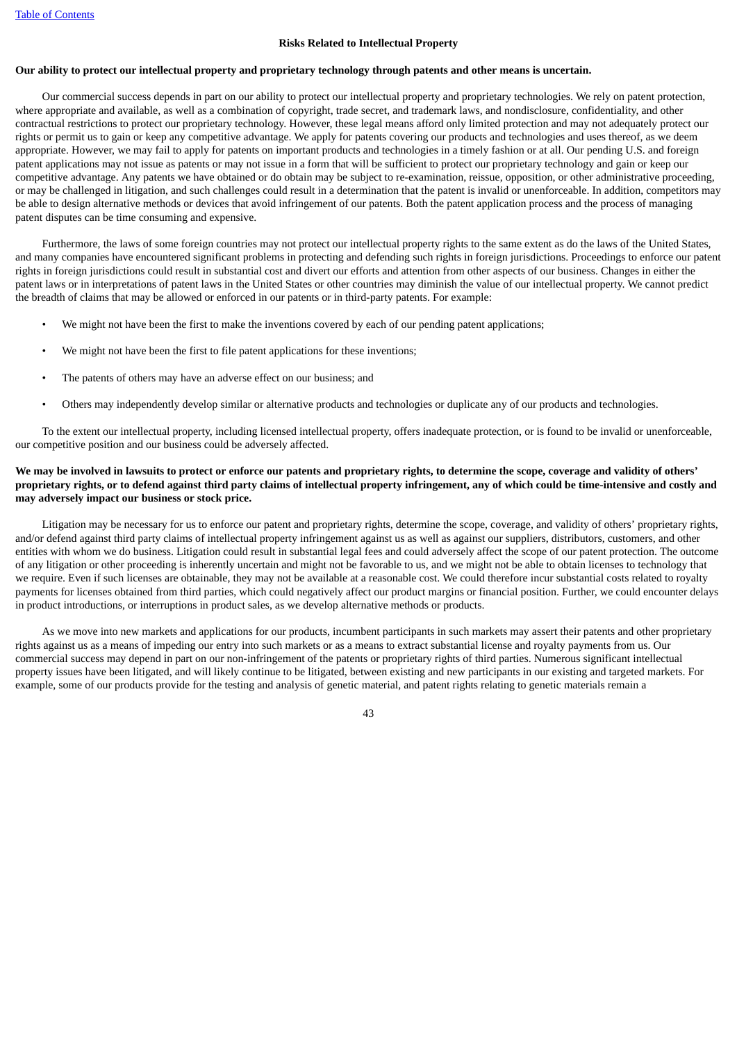#### **Risks Related to Intellectual Property**

#### Our ability to protect our intellectual property and proprietary technology through patents and other means is uncertain.

Our commercial success depends in part on our ability to protect our intellectual property and proprietary technologies. We rely on patent protection, where appropriate and available, as well as a combination of copyright, trade secret, and trademark laws, and nondisclosure, confidentiality, and other contractual restrictions to protect our proprietary technology. However, these legal means afford only limited protection and may not adequately protect our rights or permit us to gain or keep any competitive advantage. We apply for patents covering our products and technologies and uses thereof, as we deem appropriate. However, we may fail to apply for patents on important products and technologies in a timely fashion or at all. Our pending U.S. and foreign patent applications may not issue as patents or may not issue in a form that will be sufficient to protect our proprietary technology and gain or keep our competitive advantage. Any patents we have obtained or do obtain may be subject to re-examination, reissue, opposition, or other administrative proceeding, or may be challenged in litigation, and such challenges could result in a determination that the patent is invalid or unenforceable. In addition, competitors may be able to design alternative methods or devices that avoid infringement of our patents. Both the patent application process and the process of managing patent disputes can be time consuming and expensive.

Furthermore, the laws of some foreign countries may not protect our intellectual property rights to the same extent as do the laws of the United States, and many companies have encountered significant problems in protecting and defending such rights in foreign jurisdictions. Proceedings to enforce our patent rights in foreign jurisdictions could result in substantial cost and divert our efforts and attention from other aspects of our business. Changes in either the patent laws or in interpretations of patent laws in the United States or other countries may diminish the value of our intellectual property. We cannot predict the breadth of claims that may be allowed or enforced in our patents or in third-party patents. For example:

- We might not have been the first to make the inventions covered by each of our pending patent applications;
- We might not have been the first to file patent applications for these inventions;
- The patents of others may have an adverse effect on our business; and
- Others may independently develop similar or alternative products and technologies or duplicate any of our products and technologies.

To the extent our intellectual property, including licensed intellectual property, offers inadequate protection, or is found to be invalid or unenforceable, our competitive position and our business could be adversely affected.

## We may be involved in lawsuits to protect or enforce our patents and proprietary rights, to determine the scope, coverage and validity of others' proprietary rights, or to defend against third party claims of intellectual property infringement, any of which could be time-intensive and costly and **may adversely impact our business or stock price.**

Litigation may be necessary for us to enforce our patent and proprietary rights, determine the scope, coverage, and validity of others' proprietary rights, and/or defend against third party claims of intellectual property infringement against us as well as against our suppliers, distributors, customers, and other entities with whom we do business. Litigation could result in substantial legal fees and could adversely affect the scope of our patent protection. The outcome of any litigation or other proceeding is inherently uncertain and might not be favorable to us, and we might not be able to obtain licenses to technology that we require. Even if such licenses are obtainable, they may not be available at a reasonable cost. We could therefore incur substantial costs related to royalty payments for licenses obtained from third parties, which could negatively affect our product margins or financial position. Further, we could encounter delays in product introductions, or interruptions in product sales, as we develop alternative methods or products.

As we move into new markets and applications for our products, incumbent participants in such markets may assert their patents and other proprietary rights against us as a means of impeding our entry into such markets or as a means to extract substantial license and royalty payments from us. Our commercial success may depend in part on our non-infringement of the patents or proprietary rights of third parties. Numerous significant intellectual property issues have been litigated, and will likely continue to be litigated, between existing and new participants in our existing and targeted markets. For example, some of our products provide for the testing and analysis of genetic material, and patent rights relating to genetic materials remain a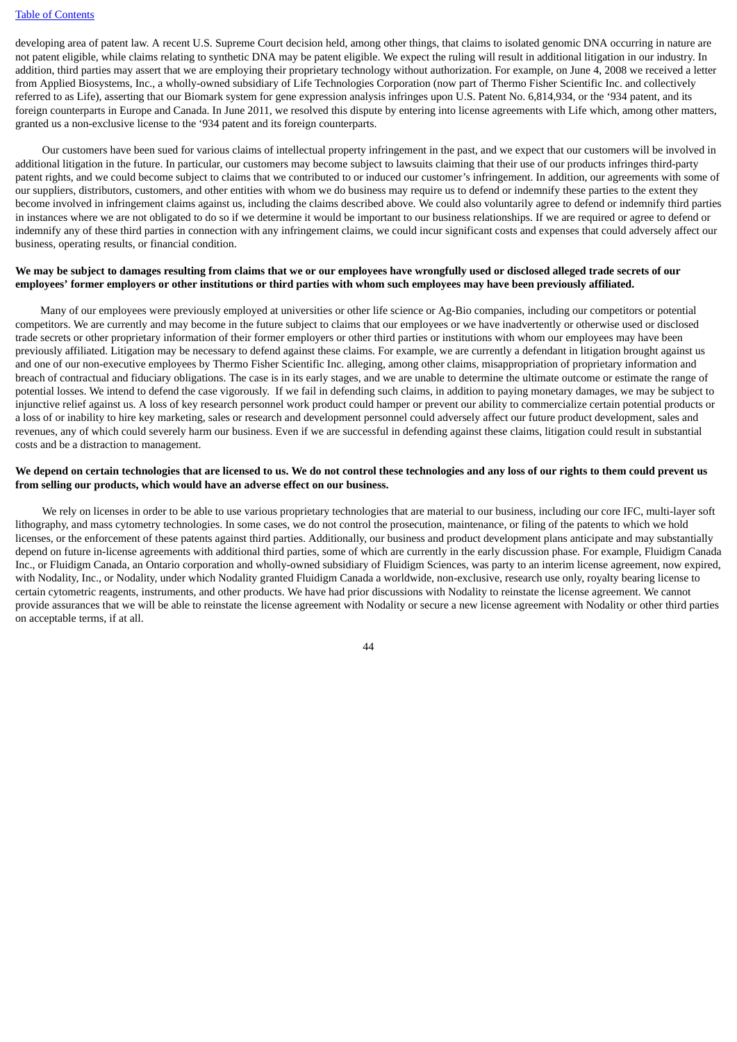developing area of patent law. A recent U.S. Supreme Court decision held, among other things, that claims to isolated genomic DNA occurring in nature are not patent eligible, while claims relating to synthetic DNA may be patent eligible. We expect the ruling will result in additional litigation in our industry. In addition, third parties may assert that we are employing their proprietary technology without authorization. For example, on June 4, 2008 we received a letter from Applied Biosystems, Inc., a wholly-owned subsidiary of Life Technologies Corporation (now part of Thermo Fisher Scientific Inc. and collectively referred to as Life), asserting that our Biomark system for gene expression analysis infringes upon U.S. Patent No. 6,814,934, or the '934 patent, and its foreign counterparts in Europe and Canada. In June 2011, we resolved this dispute by entering into license agreements with Life which, among other matters, granted us a non-exclusive license to the '934 patent and its foreign counterparts.

Our customers have been sued for various claims of intellectual property infringement in the past, and we expect that our customers will be involved in additional litigation in the future. In particular, our customers may become subject to lawsuits claiming that their use of our products infringes third-party patent rights, and we could become subject to claims that we contributed to or induced our customer's infringement. In addition, our agreements with some of our suppliers, distributors, customers, and other entities with whom we do business may require us to defend or indemnify these parties to the extent they become involved in infringement claims against us, including the claims described above. We could also voluntarily agree to defend or indemnify third parties in instances where we are not obligated to do so if we determine it would be important to our business relationships. If we are required or agree to defend or indemnify any of these third parties in connection with any infringement claims, we could incur significant costs and expenses that could adversely affect our business, operating results, or financial condition.

#### We may be subject to damages resulting from claims that we or our employees have wrongfully used or disclosed alleged trade secrets of our employees' former employers or other institutions or third parties with whom such employees may have been previously affiliated.

Many of our employees were previously employed at universities or other life science or Ag-Bio companies, including our competitors or potential competitors. We are currently and may become in the future subject to claims that our employees or we have inadvertently or otherwise used or disclosed trade secrets or other proprietary information of their former employers or other third parties or institutions with whom our employees may have been previously affiliated. Litigation may be necessary to defend against these claims. For example, we are currently a defendant in litigation brought against us and one of our non-executive employees by Thermo Fisher Scientific Inc. alleging, among other claims, misappropriation of proprietary information and breach of contractual and fiduciary obligations. The case is in its early stages, and we are unable to determine the ultimate outcome or estimate the range of potential losses. We intend to defend the case vigorously. If we fail in defending such claims, in addition to paying monetary damages, we may be subject to injunctive relief against us. A loss of key research personnel work product could hamper or prevent our ability to commercialize certain potential products or a loss of or inability to hire key marketing, sales or research and development personnel could adversely affect our future product development, sales and revenues, any of which could severely harm our business. Even if we are successful in defending against these claims, litigation could result in substantial costs and be a distraction to management.

#### We depend on certain technologies that are licensed to us. We do not control these technologies and any loss of our rights to them could prevent us **from selling our products, which would have an adverse effect on our business.**

We rely on licenses in order to be able to use various proprietary technologies that are material to our business, including our core IFC, multi-layer soft lithography, and mass cytometry technologies. In some cases, we do not control the prosecution, maintenance, or filing of the patents to which we hold licenses, or the enforcement of these patents against third parties. Additionally, our business and product development plans anticipate and may substantially depend on future in-license agreements with additional third parties, some of which are currently in the early discussion phase. For example, Fluidigm Canada Inc., or Fluidigm Canada, an Ontario corporation and wholly-owned subsidiary of Fluidigm Sciences, was party to an interim license agreement, now expired, with Nodality, Inc., or Nodality, under which Nodality granted Fluidigm Canada a worldwide, non-exclusive, research use only, royalty bearing license to certain cytometric reagents, instruments, and other products. We have had prior discussions with Nodality to reinstate the license agreement. We cannot provide assurances that we will be able to reinstate the license agreement with Nodality or secure a new license agreement with Nodality or other third parties on acceptable terms, if at all.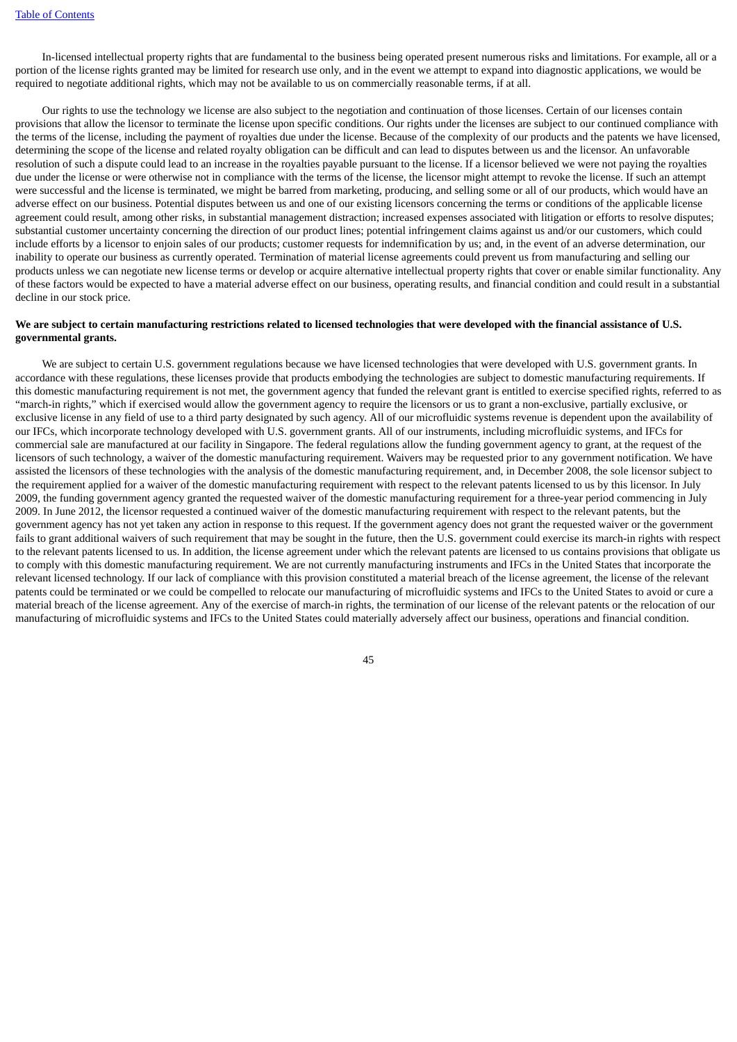In-licensed intellectual property rights that are fundamental to the business being operated present numerous risks and limitations. For example, all or a portion of the license rights granted may be limited for research use only, and in the event we attempt to expand into diagnostic applications, we would be required to negotiate additional rights, which may not be available to us on commercially reasonable terms, if at all.

Our rights to use the technology we license are also subject to the negotiation and continuation of those licenses. Certain of our licenses contain provisions that allow the licensor to terminate the license upon specific conditions. Our rights under the licenses are subject to our continued compliance with the terms of the license, including the payment of royalties due under the license. Because of the complexity of our products and the patents we have licensed, determining the scope of the license and related royalty obligation can be difficult and can lead to disputes between us and the licensor. An unfavorable resolution of such a dispute could lead to an increase in the royalties payable pursuant to the license. If a licensor believed we were not paying the royalties due under the license or were otherwise not in compliance with the terms of the license, the licensor might attempt to revoke the license. If such an attempt were successful and the license is terminated, we might be barred from marketing, producing, and selling some or all of our products, which would have an adverse effect on our business. Potential disputes between us and one of our existing licensors concerning the terms or conditions of the applicable license agreement could result, among other risks, in substantial management distraction; increased expenses associated with litigation or efforts to resolve disputes; substantial customer uncertainty concerning the direction of our product lines; potential infringement claims against us and/or our customers, which could include efforts by a licensor to enjoin sales of our products; customer requests for indemnification by us; and, in the event of an adverse determination, our inability to operate our business as currently operated. Termination of material license agreements could prevent us from manufacturing and selling our products unless we can negotiate new license terms or develop or acquire alternative intellectual property rights that cover or enable similar functionality. Any of these factors would be expected to have a material adverse effect on our business, operating results, and financial condition and could result in a substantial decline in our stock price.

### We are subject to certain manufacturing restrictions related to licensed technologies that were developed with the financial assistance of U.S. **governmental grants.**

We are subject to certain U.S. government regulations because we have licensed technologies that were developed with U.S. government grants. In accordance with these regulations, these licenses provide that products embodying the technologies are subject to domestic manufacturing requirements. If this domestic manufacturing requirement is not met, the government agency that funded the relevant grant is entitled to exercise specified rights, referred to as "march-in rights," which if exercised would allow the government agency to require the licensors or us to grant a non-exclusive, partially exclusive, or exclusive license in any field of use to a third party designated by such agency. All of our microfluidic systems revenue is dependent upon the availability of our IFCs, which incorporate technology developed with U.S. government grants. All of our instruments, including microfluidic systems, and IFCs for commercial sale are manufactured at our facility in Singapore. The federal regulations allow the funding government agency to grant, at the request of the licensors of such technology, a waiver of the domestic manufacturing requirement. Waivers may be requested prior to any government notification. We have assisted the licensors of these technologies with the analysis of the domestic manufacturing requirement, and, in December 2008, the sole licensor subject to the requirement applied for a waiver of the domestic manufacturing requirement with respect to the relevant patents licensed to us by this licensor. In July 2009, the funding government agency granted the requested waiver of the domestic manufacturing requirement for a three-year period commencing in July 2009. In June 2012, the licensor requested a continued waiver of the domestic manufacturing requirement with respect to the relevant patents, but the government agency has not yet taken any action in response to this request. If the government agency does not grant the requested waiver or the government fails to grant additional waivers of such requirement that may be sought in the future, then the U.S. government could exercise its march-in rights with respect to the relevant patents licensed to us. In addition, the license agreement under which the relevant patents are licensed to us contains provisions that obligate us to comply with this domestic manufacturing requirement. We are not currently manufacturing instruments and IFCs in the United States that incorporate the relevant licensed technology. If our lack of compliance with this provision constituted a material breach of the license agreement, the license of the relevant patents could be terminated or we could be compelled to relocate our manufacturing of microfluidic systems and IFCs to the United States to avoid or cure a material breach of the license agreement. Any of the exercise of march-in rights, the termination of our license of the relevant patents or the relocation of our manufacturing of microfluidic systems and IFCs to the United States could materially adversely affect our business, operations and financial condition.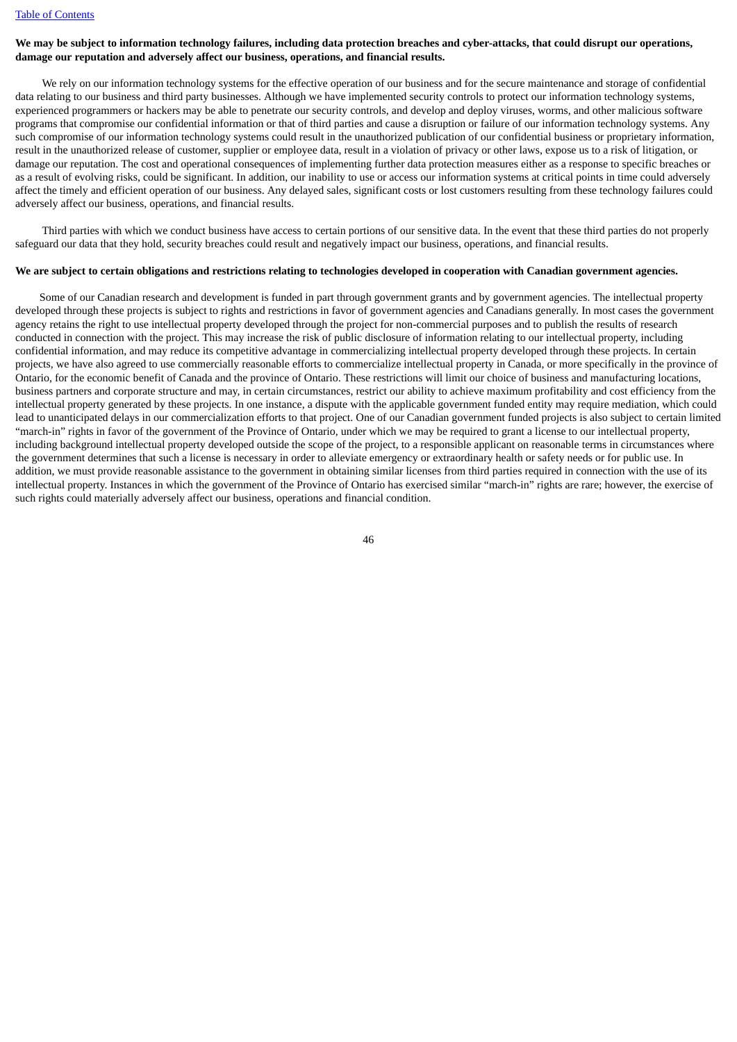# We may be subject to information technology failures, including data protection breaches and cyber-attacks, that could disrupt our operations, **damage our reputation and adversely affect our business, operations, and financial results.**

We rely on our information technology systems for the effective operation of our business and for the secure maintenance and storage of confidential data relating to our business and third party businesses. Although we have implemented security controls to protect our information technology systems, experienced programmers or hackers may be able to penetrate our security controls, and develop and deploy viruses, worms, and other malicious software programs that compromise our confidential information or that of third parties and cause a disruption or failure of our information technology systems. Any such compromise of our information technology systems could result in the unauthorized publication of our confidential business or proprietary information, result in the unauthorized release of customer, supplier or employee data, result in a violation of privacy or other laws, expose us to a risk of litigation, or damage our reputation. The cost and operational consequences of implementing further data protection measures either as a response to specific breaches or as a result of evolving risks, could be significant. In addition, our inability to use or access our information systems at critical points in time could adversely affect the timely and efficient operation of our business. Any delayed sales, significant costs or lost customers resulting from these technology failures could adversely affect our business, operations, and financial results.

Third parties with which we conduct business have access to certain portions of our sensitive data. In the event that these third parties do not properly safeguard our data that they hold, security breaches could result and negatively impact our business, operations, and financial results.

#### We are subject to certain obligations and restrictions relating to technologies developed in cooperation with Canadian government agencies.

Some of our Canadian research and development is funded in part through government grants and by government agencies. The intellectual property developed through these projects is subject to rights and restrictions in favor of government agencies and Canadians generally. In most cases the government agency retains the right to use intellectual property developed through the project for non-commercial purposes and to publish the results of research conducted in connection with the project. This may increase the risk of public disclosure of information relating to our intellectual property, including confidential information, and may reduce its competitive advantage in commercializing intellectual property developed through these projects. In certain projects, we have also agreed to use commercially reasonable efforts to commercialize intellectual property in Canada, or more specifically in the province of Ontario, for the economic benefit of Canada and the province of Ontario. These restrictions will limit our choice of business and manufacturing locations, business partners and corporate structure and may, in certain circumstances, restrict our ability to achieve maximum profitability and cost efficiency from the intellectual property generated by these projects. In one instance, a dispute with the applicable government funded entity may require mediation, which could lead to unanticipated delays in our commercialization efforts to that project. One of our Canadian government funded projects is also subject to certain limited "march-in" rights in favor of the government of the Province of Ontario, under which we may be required to grant a license to our intellectual property, including background intellectual property developed outside the scope of the project, to a responsible applicant on reasonable terms in circumstances where the government determines that such a license is necessary in order to alleviate emergency or extraordinary health or safety needs or for public use. In addition, we must provide reasonable assistance to the government in obtaining similar licenses from third parties required in connection with the use of its intellectual property. Instances in which the government of the Province of Ontario has exercised similar "march-in" rights are rare; however, the exercise of such rights could materially adversely affect our business, operations and financial condition.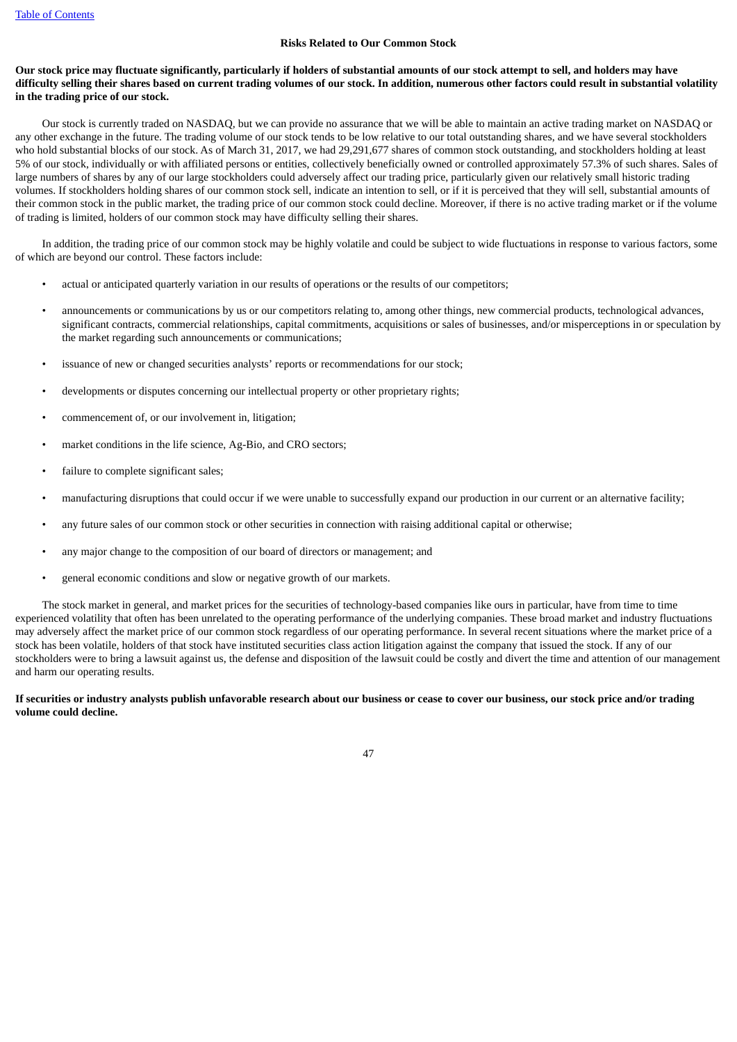### **Risks Related to Our Common Stock**

## Our stock price may fluctuate significantly, particularly if holders of substantial amounts of our stock attempt to sell, and holders may have difficulty selling their shares based on current trading volumes of our stock. In addition, numerous other factors could result in substantial volatility **in the trading price of our stock.**

Our stock is currently traded on NASDAQ, but we can provide no assurance that we will be able to maintain an active trading market on NASDAQ or any other exchange in the future. The trading volume of our stock tends to be low relative to our total outstanding shares, and we have several stockholders who hold substantial blocks of our stock. As of March 31, 2017, we had 29,291,677 shares of common stock outstanding, and stockholders holding at least 5% of our stock, individually or with affiliated persons or entities, collectively beneficially owned or controlled approximately 57.3% of such shares. Sales of large numbers of shares by any of our large stockholders could adversely affect our trading price, particularly given our relatively small historic trading volumes. If stockholders holding shares of our common stock sell, indicate an intention to sell, or if it is perceived that they will sell, substantial amounts of their common stock in the public market, the trading price of our common stock could decline. Moreover, if there is no active trading market or if the volume of trading is limited, holders of our common stock may have difficulty selling their shares.

In addition, the trading price of our common stock may be highly volatile and could be subject to wide fluctuations in response to various factors, some of which are beyond our control. These factors include:

- actual or anticipated quarterly variation in our results of operations or the results of our competitors;
- announcements or communications by us or our competitors relating to, among other things, new commercial products, technological advances, significant contracts, commercial relationships, capital commitments, acquisitions or sales of businesses, and/or misperceptions in or speculation by the market regarding such announcements or communications;
- issuance of new or changed securities analysts' reports or recommendations for our stock;
- developments or disputes concerning our intellectual property or other proprietary rights;
- commencement of, or our involvement in, litigation;
- market conditions in the life science, Ag-Bio, and CRO sectors;
- failure to complete significant sales;
- manufacturing disruptions that could occur if we were unable to successfully expand our production in our current or an alternative facility;
- any future sales of our common stock or other securities in connection with raising additional capital or otherwise;
- any major change to the composition of our board of directors or management; and
- general economic conditions and slow or negative growth of our markets.

The stock market in general, and market prices for the securities of technology-based companies like ours in particular, have from time to time experienced volatility that often has been unrelated to the operating performance of the underlying companies. These broad market and industry fluctuations may adversely affect the market price of our common stock regardless of our operating performance. In several recent situations where the market price of a stock has been volatile, holders of that stock have instituted securities class action litigation against the company that issued the stock. If any of our stockholders were to bring a lawsuit against us, the defense and disposition of the lawsuit could be costly and divert the time and attention of our management and harm our operating results.

#### If securities or industry analysts publish unfavorable research about our business or cease to cover our business, our stock price and/or trading **volume could decline.**

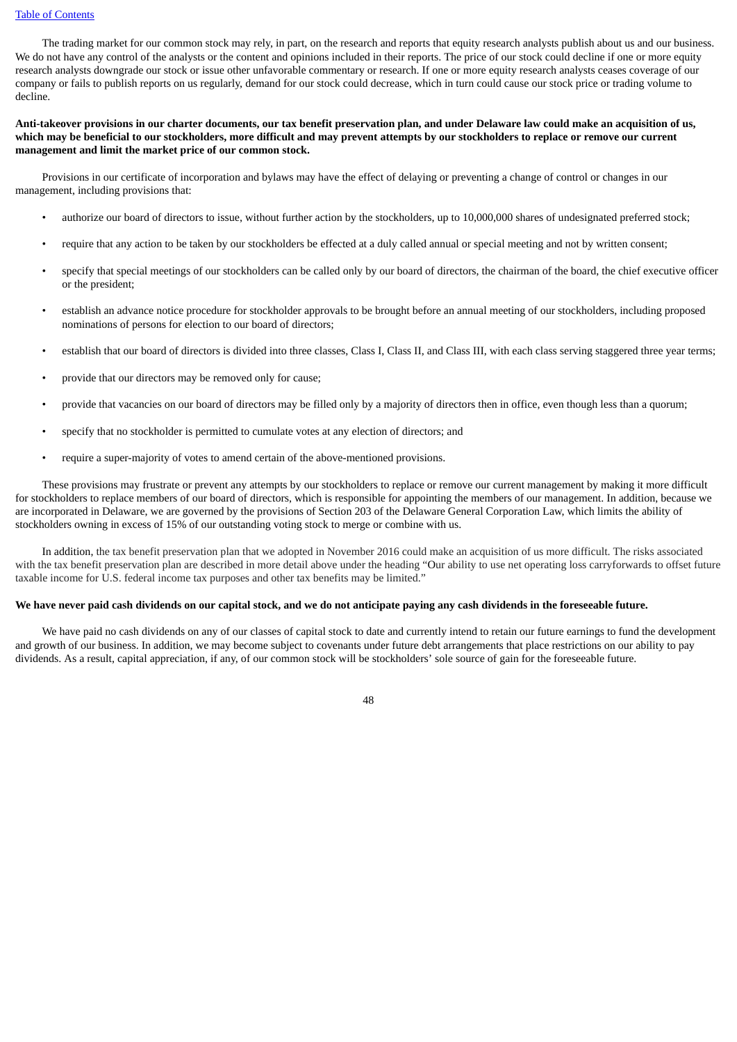#### Table of [Contents](#page-1-0)

The trading market for our common stock may rely, in part, on the research and reports that equity research analysts publish about us and our business. We do not have any control of the analysts or the content and opinions included in their reports. The price of our stock could decline if one or more equity research analysts downgrade our stock or issue other unfavorable commentary or research. If one or more equity research analysts ceases coverage of our company or fails to publish reports on us regularly, demand for our stock could decrease, which in turn could cause our stock price or trading volume to decline.

Anti-takeover provisions in our charter documents, our tax benefit preservation plan, and under Delaware law could make an acquisition of us, which may be beneficial to our stockholders, more difficult and may prevent attempts by our stockholders to replace or remove our current **management and limit the market price of our common stock.**

Provisions in our certificate of incorporation and bylaws may have the effect of delaying or preventing a change of control or changes in our management, including provisions that:

- authorize our board of directors to issue, without further action by the stockholders, up to 10,000,000 shares of undesignated preferred stock;
- require that any action to be taken by our stockholders be effected at a duly called annual or special meeting and not by written consent;
- specify that special meetings of our stockholders can be called only by our board of directors, the chairman of the board, the chief executive officer or the president;
- establish an advance notice procedure for stockholder approvals to be brought before an annual meeting of our stockholders, including proposed nominations of persons for election to our board of directors;
- establish that our board of directors is divided into three classes, Class I, Class II, and Class III, with each class serving staggered three year terms;
- provide that our directors may be removed only for cause;
- provide that vacancies on our board of directors may be filled only by a majority of directors then in office, even though less than a quorum;
- specify that no stockholder is permitted to cumulate votes at any election of directors; and
- require a super-majority of votes to amend certain of the above-mentioned provisions.

These provisions may frustrate or prevent any attempts by our stockholders to replace or remove our current management by making it more difficult for stockholders to replace members of our board of directors, which is responsible for appointing the members of our management. In addition, because we are incorporated in Delaware, we are governed by the provisions of Section 203 of the Delaware General Corporation Law, which limits the ability of stockholders owning in excess of 15% of our outstanding voting stock to merge or combine with us.

In addition, the tax benefit preservation plan that we adopted in November 2016 could make an acquisition of us more difficult. The risks associated with the tax benefit preservation plan are described in more detail above under the heading "Our ability to use net operating loss carryforwards to offset future taxable income for U.S. federal income tax purposes and other tax benefits may be limited."

## We have never paid cash dividends on our capital stock, and we do not anticipate paying any cash dividends in the foreseeable future.

We have paid no cash dividends on any of our classes of capital stock to date and currently intend to retain our future earnings to fund the development and growth of our business. In addition, we may become subject to covenants under future debt arrangements that place restrictions on our ability to pay dividends. As a result, capital appreciation, if any, of our common stock will be stockholders' sole source of gain for the foreseeable future.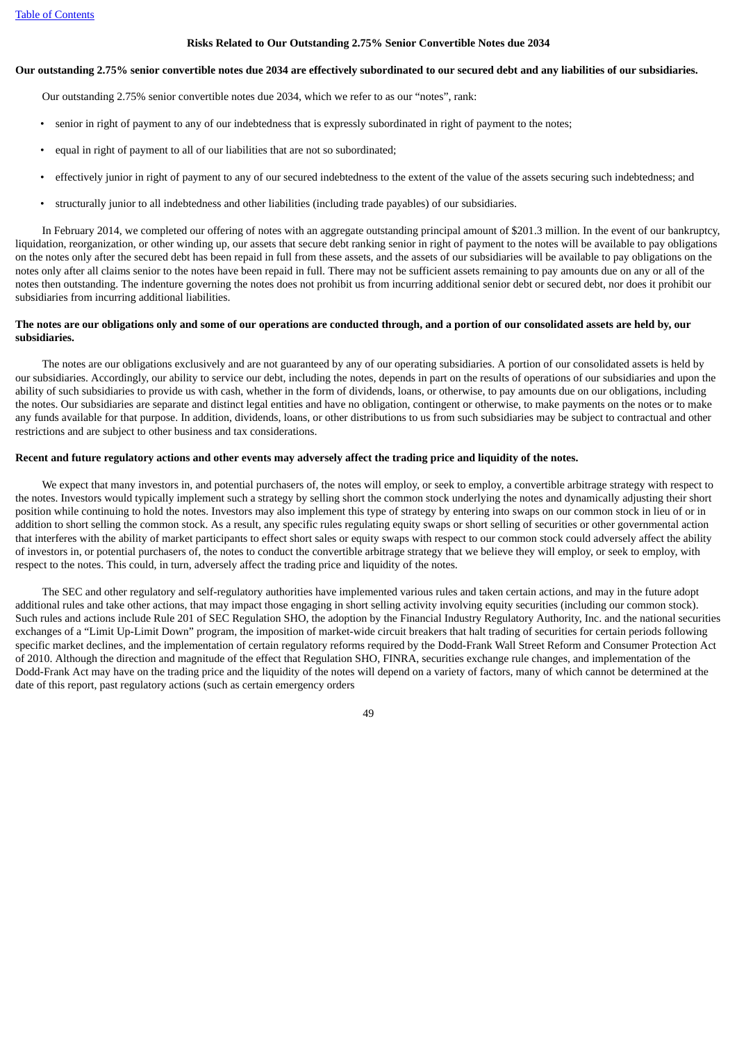#### **Risks Related to Our Outstanding 2.75% Senior Convertible Notes due 2034**

#### Our outstanding 2.75% senior convertible notes due 2034 are effectively subordinated to our secured debt and any liabilities of our subsidiaries.

Our outstanding 2.75% senior convertible notes due 2034, which we refer to as our "notes", rank:

- senior in right of payment to any of our indebtedness that is expressly subordinated in right of payment to the notes;
- equal in right of payment to all of our liabilities that are not so subordinated;
- effectively junior in right of payment to any of our secured indebtedness to the extent of the value of the assets securing such indebtedness; and
- structurally junior to all indebtedness and other liabilities (including trade payables) of our subsidiaries.

In February 2014, we completed our offering of notes with an aggregate outstanding principal amount of \$201.3 million. In the event of our bankruptcy, liquidation, reorganization, or other winding up, our assets that secure debt ranking senior in right of payment to the notes will be available to pay obligations on the notes only after the secured debt has been repaid in full from these assets, and the assets of our subsidiaries will be available to pay obligations on the notes only after all claims senior to the notes have been repaid in full. There may not be sufficient assets remaining to pay amounts due on any or all of the notes then outstanding. The indenture governing the notes does not prohibit us from incurring additional senior debt or secured debt, nor does it prohibit our subsidiaries from incurring additional liabilities.

### The notes are our obligations only and some of our operations are conducted through, and a portion of our consolidated assets are held by, our **subsidiaries.**

The notes are our obligations exclusively and are not guaranteed by any of our operating subsidiaries. A portion of our consolidated assets is held by our subsidiaries. Accordingly, our ability to service our debt, including the notes, depends in part on the results of operations of our subsidiaries and upon the ability of such subsidiaries to provide us with cash, whether in the form of dividends, loans, or otherwise, to pay amounts due on our obligations, including the notes. Our subsidiaries are separate and distinct legal entities and have no obligation, contingent or otherwise, to make payments on the notes or to make any funds available for that purpose. In addition, dividends, loans, or other distributions to us from such subsidiaries may be subject to contractual and other restrictions and are subject to other business and tax considerations.

#### Recent and future regulatory actions and other events may adversely affect the trading price and liquidity of the notes.

We expect that many investors in, and potential purchasers of, the notes will employ, or seek to employ, a convertible arbitrage strategy with respect to the notes. Investors would typically implement such a strategy by selling short the common stock underlying the notes and dynamically adjusting their short position while continuing to hold the notes. Investors may also implement this type of strategy by entering into swaps on our common stock in lieu of or in addition to short selling the common stock. As a result, any specific rules regulating equity swaps or short selling of securities or other governmental action that interferes with the ability of market participants to effect short sales or equity swaps with respect to our common stock could adversely affect the ability of investors in, or potential purchasers of, the notes to conduct the convertible arbitrage strategy that we believe they will employ, or seek to employ, with respect to the notes. This could, in turn, adversely affect the trading price and liquidity of the notes.

The SEC and other regulatory and self-regulatory authorities have implemented various rules and taken certain actions, and may in the future adopt additional rules and take other actions, that may impact those engaging in short selling activity involving equity securities (including our common stock). Such rules and actions include Rule 201 of SEC Regulation SHO, the adoption by the Financial Industry Regulatory Authority, Inc. and the national securities exchanges of a "Limit Up-Limit Down" program, the imposition of market-wide circuit breakers that halt trading of securities for certain periods following specific market declines, and the implementation of certain regulatory reforms required by the Dodd-Frank Wall Street Reform and Consumer Protection Act of 2010. Although the direction and magnitude of the effect that Regulation SHO, FINRA, securities exchange rule changes, and implementation of the Dodd-Frank Act may have on the trading price and the liquidity of the notes will depend on a variety of factors, many of which cannot be determined at the date of this report, past regulatory actions (such as certain emergency orders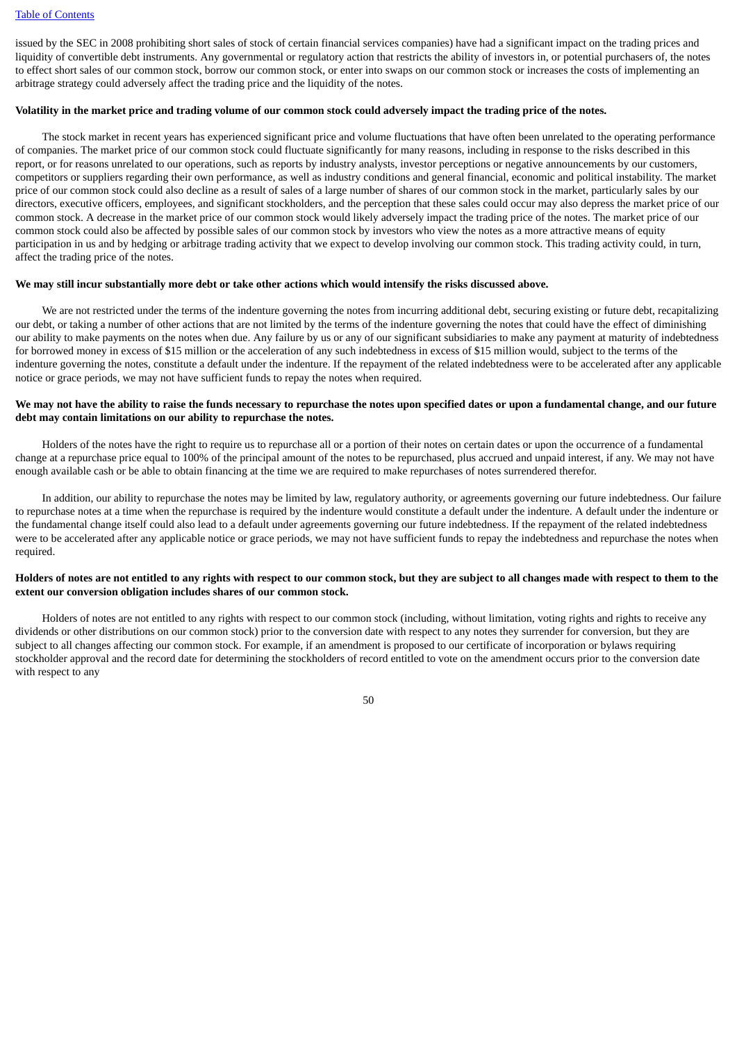issued by the SEC in 2008 prohibiting short sales of stock of certain financial services companies) have had a significant impact on the trading prices and liquidity of convertible debt instruments. Any governmental or regulatory action that restricts the ability of investors in, or potential purchasers of, the notes to effect short sales of our common stock, borrow our common stock, or enter into swaps on our common stock or increases the costs of implementing an arbitrage strategy could adversely affect the trading price and the liquidity of the notes.

#### Volatility in the market price and trading volume of our common stock could adversely impact the trading price of the notes.

The stock market in recent years has experienced significant price and volume fluctuations that have often been unrelated to the operating performance of companies. The market price of our common stock could fluctuate significantly for many reasons, including in response to the risks described in this report, or for reasons unrelated to our operations, such as reports by industry analysts, investor perceptions or negative announcements by our customers, competitors or suppliers regarding their own performance, as well as industry conditions and general financial, economic and political instability. The market price of our common stock could also decline as a result of sales of a large number of shares of our common stock in the market, particularly sales by our directors, executive officers, employees, and significant stockholders, and the perception that these sales could occur may also depress the market price of our common stock. A decrease in the market price of our common stock would likely adversely impact the trading price of the notes. The market price of our common stock could also be affected by possible sales of our common stock by investors who view the notes as a more attractive means of equity participation in us and by hedging or arbitrage trading activity that we expect to develop involving our common stock. This trading activity could, in turn, affect the trading price of the notes.

#### We may still incur substantially more debt or take other actions which would intensify the risks discussed above.

We are not restricted under the terms of the indenture governing the notes from incurring additional debt, securing existing or future debt, recapitalizing our debt, or taking a number of other actions that are not limited by the terms of the indenture governing the notes that could have the effect of diminishing our ability to make payments on the notes when due. Any failure by us or any of our significant subsidiaries to make any payment at maturity of indebtedness for borrowed money in excess of \$15 million or the acceleration of any such indebtedness in excess of \$15 million would, subject to the terms of the indenture governing the notes, constitute a default under the indenture. If the repayment of the related indebtedness were to be accelerated after any applicable notice or grace periods, we may not have sufficient funds to repay the notes when required.

#### We may not have the ability to raise the funds necessary to repurchase the notes upon specified dates or upon a fundamental change, and our future **debt may contain limitations on our ability to repurchase the notes.**

Holders of the notes have the right to require us to repurchase all or a portion of their notes on certain dates or upon the occurrence of a fundamental change at a repurchase price equal to 100% of the principal amount of the notes to be repurchased, plus accrued and unpaid interest, if any. We may not have enough available cash or be able to obtain financing at the time we are required to make repurchases of notes surrendered therefor.

In addition, our ability to repurchase the notes may be limited by law, regulatory authority, or agreements governing our future indebtedness. Our failure to repurchase notes at a time when the repurchase is required by the indenture would constitute a default under the indenture. A default under the indenture or the fundamental change itself could also lead to a default under agreements governing our future indebtedness. If the repayment of the related indebtedness were to be accelerated after any applicable notice or grace periods, we may not have sufficient funds to repay the indebtedness and repurchase the notes when required.

## Holders of notes are not entitled to any rights with respect to our common stock, but they are subject to all changes made with respect to them to the **extent our conversion obligation includes shares of our common stock.**

Holders of notes are not entitled to any rights with respect to our common stock (including, without limitation, voting rights and rights to receive any dividends or other distributions on our common stock) prior to the conversion date with respect to any notes they surrender for conversion, but they are subject to all changes affecting our common stock. For example, if an amendment is proposed to our certificate of incorporation or bylaws requiring stockholder approval and the record date for determining the stockholders of record entitled to vote on the amendment occurs prior to the conversion date with respect to any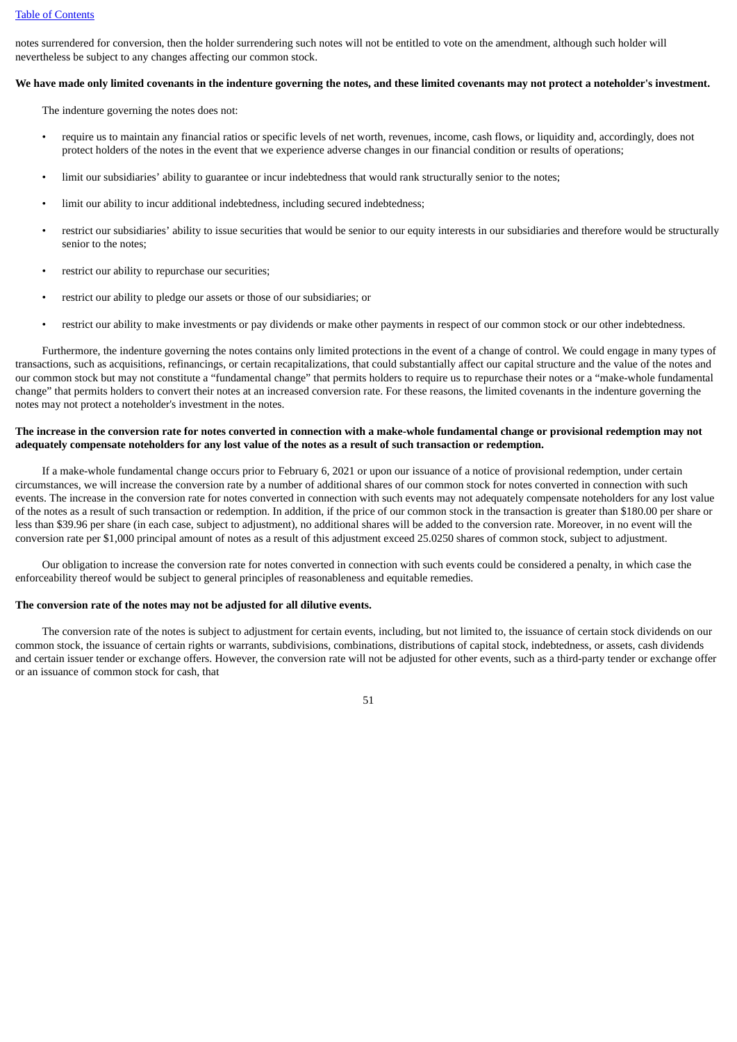notes surrendered for conversion, then the holder surrendering such notes will not be entitled to vote on the amendment, although such holder will nevertheless be subject to any changes affecting our common stock.

#### We have made only limited covenants in the indenture governing the notes, and these limited covenants may not protect a noteholder's investment.

The indenture governing the notes does not:

- require us to maintain any financial ratios or specific levels of net worth, revenues, income, cash flows, or liquidity and, accordingly, does not protect holders of the notes in the event that we experience adverse changes in our financial condition or results of operations;
- limit our subsidiaries' ability to guarantee or incur indebtedness that would rank structurally senior to the notes;
- limit our ability to incur additional indebtedness, including secured indebtedness;
- restrict our subsidiaries' ability to issue securities that would be senior to our equity interests in our subsidiaries and therefore would be structurally senior to the notes;
- restrict our ability to repurchase our securities;
- restrict our ability to pledge our assets or those of our subsidiaries; or
- restrict our ability to make investments or pay dividends or make other payments in respect of our common stock or our other indebtedness.

Furthermore, the indenture governing the notes contains only limited protections in the event of a change of control. We could engage in many types of transactions, such as acquisitions, refinancings, or certain recapitalizations, that could substantially affect our capital structure and the value of the notes and our common stock but may not constitute a "fundamental change" that permits holders to require us to repurchase their notes or a "make-whole fundamental change" that permits holders to convert their notes at an increased conversion rate. For these reasons, the limited covenants in the indenture governing the notes may not protect a noteholder's investment in the notes.

#### The increase in the conversion rate for notes converted in connection with a make-whole fundamental change or provisional redemption may not adequately compensate noteholders for any lost value of the notes as a result of such transaction or redemption.

If a make-whole fundamental change occurs prior to February 6, 2021 or upon our issuance of a notice of provisional redemption, under certain circumstances, we will increase the conversion rate by a number of additional shares of our common stock for notes converted in connection with such events. The increase in the conversion rate for notes converted in connection with such events may not adequately compensate noteholders for any lost value of the notes as a result of such transaction or redemption. In addition, if the price of our common stock in the transaction is greater than \$180.00 per share or less than \$39.96 per share (in each case, subject to adjustment), no additional shares will be added to the conversion rate. Moreover, in no event will the conversion rate per \$1,000 principal amount of notes as a result of this adjustment exceed 25.0250 shares of common stock, subject to adjustment.

Our obligation to increase the conversion rate for notes converted in connection with such events could be considered a penalty, in which case the enforceability thereof would be subject to general principles of reasonableness and equitable remedies.

## **The conversion rate of the notes may not be adjusted for all dilutive events.**

The conversion rate of the notes is subject to adjustment for certain events, including, but not limited to, the issuance of certain stock dividends on our common stock, the issuance of certain rights or warrants, subdivisions, combinations, distributions of capital stock, indebtedness, or assets, cash dividends and certain issuer tender or exchange offers. However, the conversion rate will not be adjusted for other events, such as a third-party tender or exchange offer or an issuance of common stock for cash, that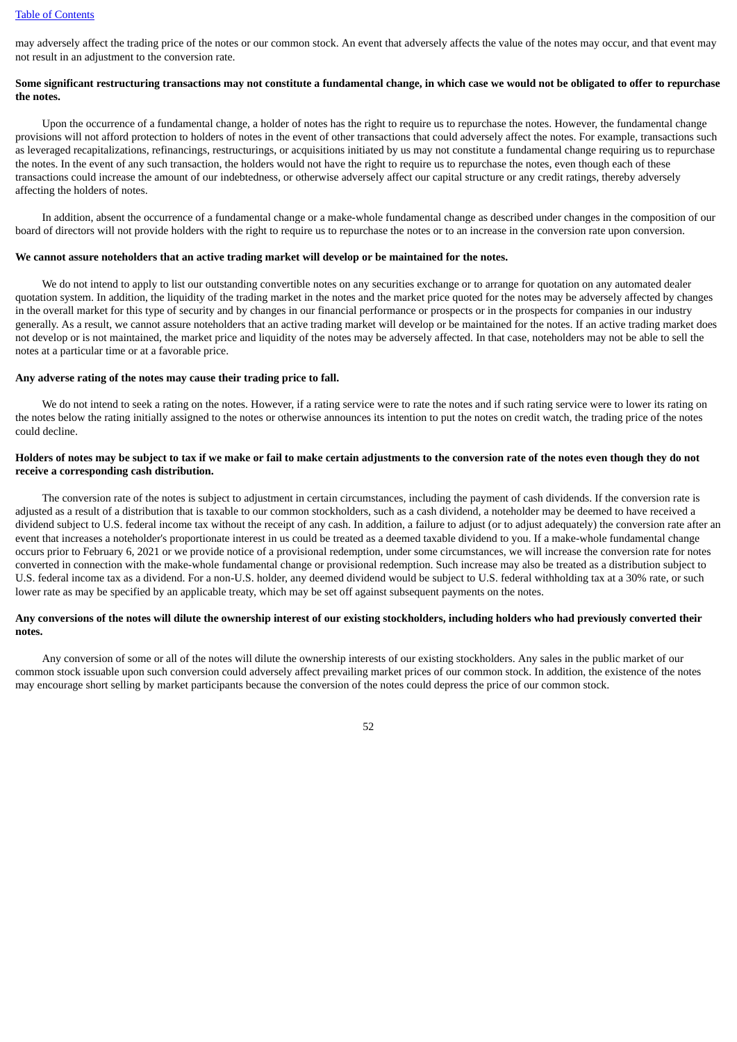may adversely affect the trading price of the notes or our common stock. An event that adversely affects the value of the notes may occur, and that event may not result in an adjustment to the conversion rate.

#### Some significant restructuring transactions may not constitute a fundamental change, in which case we would not be obligated to offer to repurchase **the notes.**

Upon the occurrence of a fundamental change, a holder of notes has the right to require us to repurchase the notes. However, the fundamental change provisions will not afford protection to holders of notes in the event of other transactions that could adversely affect the notes. For example, transactions such as leveraged recapitalizations, refinancings, restructurings, or acquisitions initiated by us may not constitute a fundamental change requiring us to repurchase the notes. In the event of any such transaction, the holders would not have the right to require us to repurchase the notes, even though each of these transactions could increase the amount of our indebtedness, or otherwise adversely affect our capital structure or any credit ratings, thereby adversely affecting the holders of notes.

In addition, absent the occurrence of a fundamental change or a make-whole fundamental change as described under changes in the composition of our board of directors will not provide holders with the right to require us to repurchase the notes or to an increase in the conversion rate upon conversion.

#### **We cannot assure noteholders that an active trading market will develop or be maintained for the notes.**

We do not intend to apply to list our outstanding convertible notes on any securities exchange or to arrange for quotation on any automated dealer quotation system. In addition, the liquidity of the trading market in the notes and the market price quoted for the notes may be adversely affected by changes in the overall market for this type of security and by changes in our financial performance or prospects or in the prospects for companies in our industry generally. As a result, we cannot assure noteholders that an active trading market will develop or be maintained for the notes. If an active trading market does not develop or is not maintained, the market price and liquidity of the notes may be adversely affected. In that case, noteholders may not be able to sell the notes at a particular time or at a favorable price.

#### **Any adverse rating of the notes may cause their trading price to fall.**

We do not intend to seek a rating on the notes. However, if a rating service were to rate the notes and if such rating service were to lower its rating on the notes below the rating initially assigned to the notes or otherwise announces its intention to put the notes on credit watch, the trading price of the notes could decline.

### Holders of notes may be subject to tax if we make or fail to make certain adjustments to the conversion rate of the notes even though they do not **receive a corresponding cash distribution.**

The conversion rate of the notes is subject to adjustment in certain circumstances, including the payment of cash dividends. If the conversion rate is adjusted as a result of a distribution that is taxable to our common stockholders, such as a cash dividend, a noteholder may be deemed to have received a dividend subject to U.S. federal income tax without the receipt of any cash. In addition, a failure to adjust (or to adjust adequately) the conversion rate after an event that increases a noteholder's proportionate interest in us could be treated as a deemed taxable dividend to you. If a make-whole fundamental change occurs prior to February 6, 2021 or we provide notice of a provisional redemption, under some circumstances, we will increase the conversion rate for notes converted in connection with the make-whole fundamental change or provisional redemption. Such increase may also be treated as a distribution subject to U.S. federal income tax as a dividend. For a non-U.S. holder, any deemed dividend would be subject to U.S. federal withholding tax at a 30% rate, or such lower rate as may be specified by an applicable treaty, which may be set off against subsequent payments on the notes.

## Any conversions of the notes will dilute the ownership interest of our existing stockholders, including holders who had previously converted their **notes.**

Any conversion of some or all of the notes will dilute the ownership interests of our existing stockholders. Any sales in the public market of our common stock issuable upon such conversion could adversely affect prevailing market prices of our common stock. In addition, the existence of the notes may encourage short selling by market participants because the conversion of the notes could depress the price of our common stock.

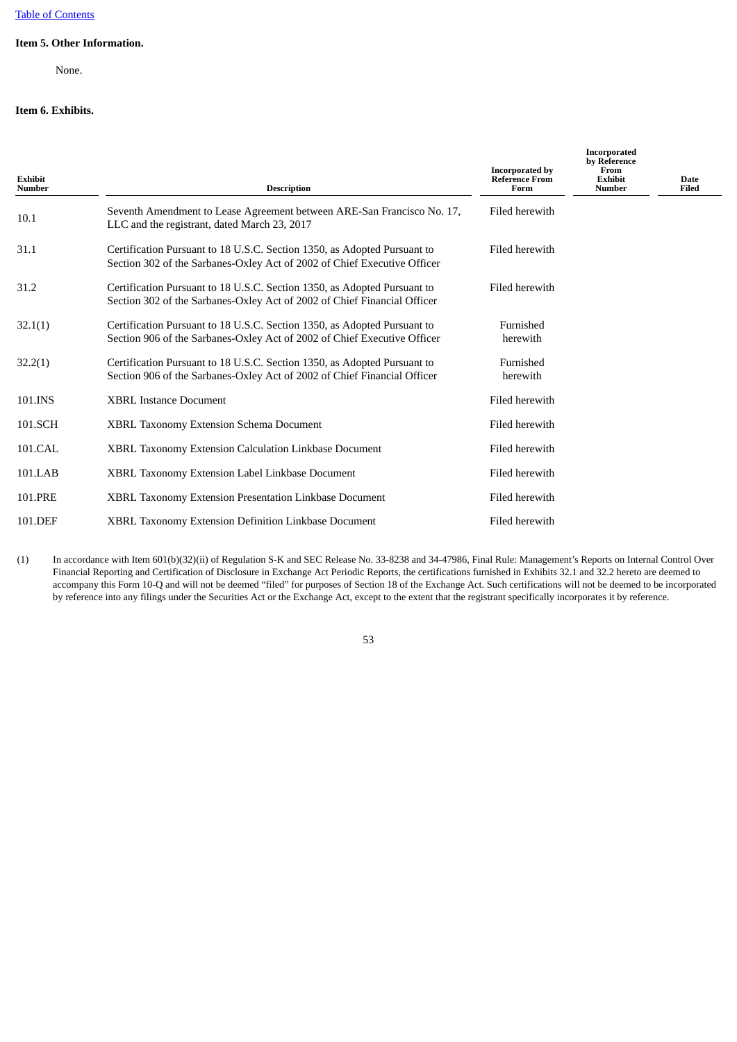# **Item 5. Other Information.**

None.

# <span id="page-52-0"></span>**Item 6. Exhibits.**

| Exhibit<br>Number | <b>Description</b>                                                                                                                                   | <b>Incorporated by</b><br><b>Reference From</b><br>Form | <b>Incorporated</b><br>by Reference<br>From<br><b>Exhibit</b><br><b>Number</b> | <b>Date</b><br><b>Filed</b> |
|-------------------|------------------------------------------------------------------------------------------------------------------------------------------------------|---------------------------------------------------------|--------------------------------------------------------------------------------|-----------------------------|
| 10.1              | Seventh Amendment to Lease Agreement between ARE-San Francisco No. 17,<br>LLC and the registrant, dated March 23, 2017                               | Filed herewith                                          |                                                                                |                             |
| 31.1              | Certification Pursuant to 18 U.S.C. Section 1350, as Adopted Pursuant to<br>Section 302 of the Sarbanes-Oxley Act of 2002 of Chief Executive Officer | Filed herewith                                          |                                                                                |                             |
| 31.2              | Certification Pursuant to 18 U.S.C. Section 1350, as Adopted Pursuant to<br>Section 302 of the Sarbanes-Oxley Act of 2002 of Chief Financial Officer | Filed herewith                                          |                                                                                |                             |
| 32.1(1)           | Certification Pursuant to 18 U.S.C. Section 1350, as Adopted Pursuant to<br>Section 906 of the Sarbanes-Oxley Act of 2002 of Chief Executive Officer | Furnished<br>herewith                                   |                                                                                |                             |
| 32.2(1)           | Certification Pursuant to 18 U.S.C. Section 1350, as Adopted Pursuant to<br>Section 906 of the Sarbanes-Oxley Act of 2002 of Chief Financial Officer | Furnished<br>herewith                                   |                                                                                |                             |
| 101.INS           | <b>XBRL Instance Document</b>                                                                                                                        | Filed herewith                                          |                                                                                |                             |
| 101.SCH           | XBRL Taxonomy Extension Schema Document                                                                                                              | Filed herewith                                          |                                                                                |                             |
| 101.CAL           | <b>XBRL Taxonomy Extension Calculation Linkbase Document</b>                                                                                         | Filed herewith                                          |                                                                                |                             |
| 101.LAB           | XBRL Taxonomy Extension Label Linkbase Document                                                                                                      | Filed herewith                                          |                                                                                |                             |
| 101.PRE           | XBRL Taxonomy Extension Presentation Linkbase Document                                                                                               | Filed herewith                                          |                                                                                |                             |
| 101.DEF           | XBRL Taxonomy Extension Definition Linkbase Document                                                                                                 | Filed herewith                                          |                                                                                |                             |

(1) In accordance with Item 601(b)(32)(ii) of Regulation S-K and SEC Release No. 33-8238 and 34-47986, Final Rule: Management's Reports on Internal Control Over Financial Reporting and Certification of Disclosure in Exchange Act Periodic Reports, the certifications furnished in Exhibits 32.1 and 32.2 hereto are deemed to accompany this Form 10-Q and will not be deemed "filed" for purposes of Section 18 of the Exchange Act. Such certifications will not be deemed to be incorporated by reference into any filings under the Securities Act or the Exchange Act, except to the extent that the registrant specifically incorporates it by reference.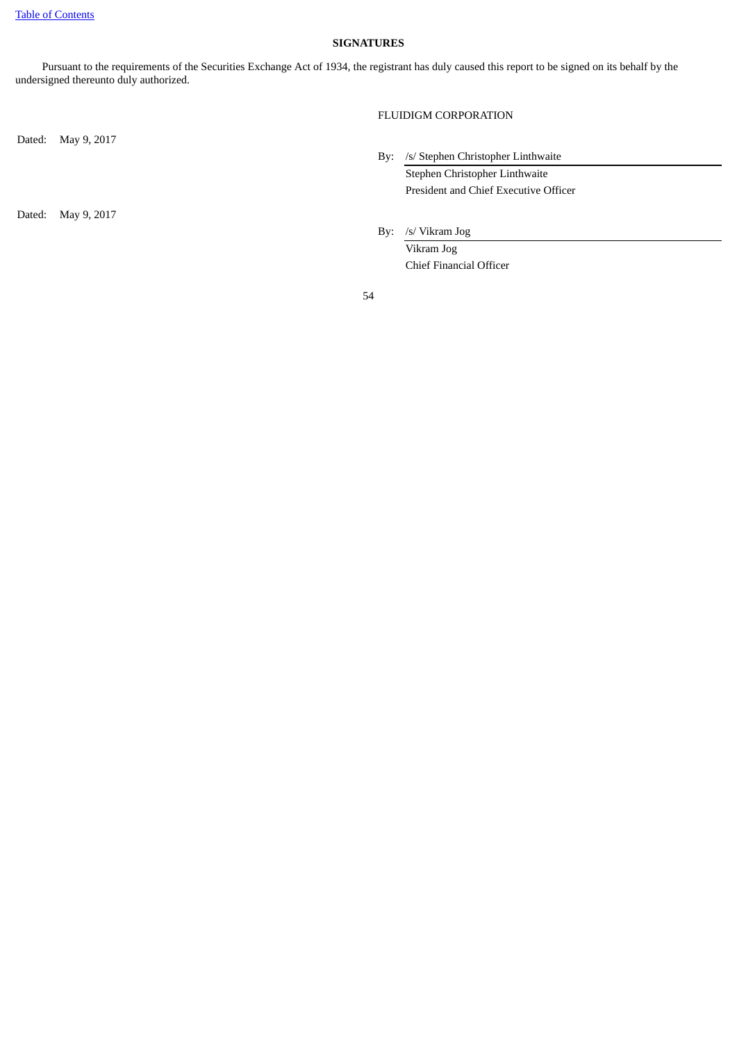## **SIGNATURES**

<span id="page-53-0"></span>Pursuant to the requirements of the Securities Exchange Act of 1934, the registrant has duly caused this report to be signed on its behalf by the undersigned thereunto duly authorized.

Dated: May 9, 2017

Dated: May 9, 2017

# FLUIDIGM CORPORATION

- By: /s/ Stephen Christopher Linthwaite Stephen Christopher Linthwaite President and Chief Executive Officer
- By: /s/ Vikram Jog

Vikram Jog Chief Financial Officer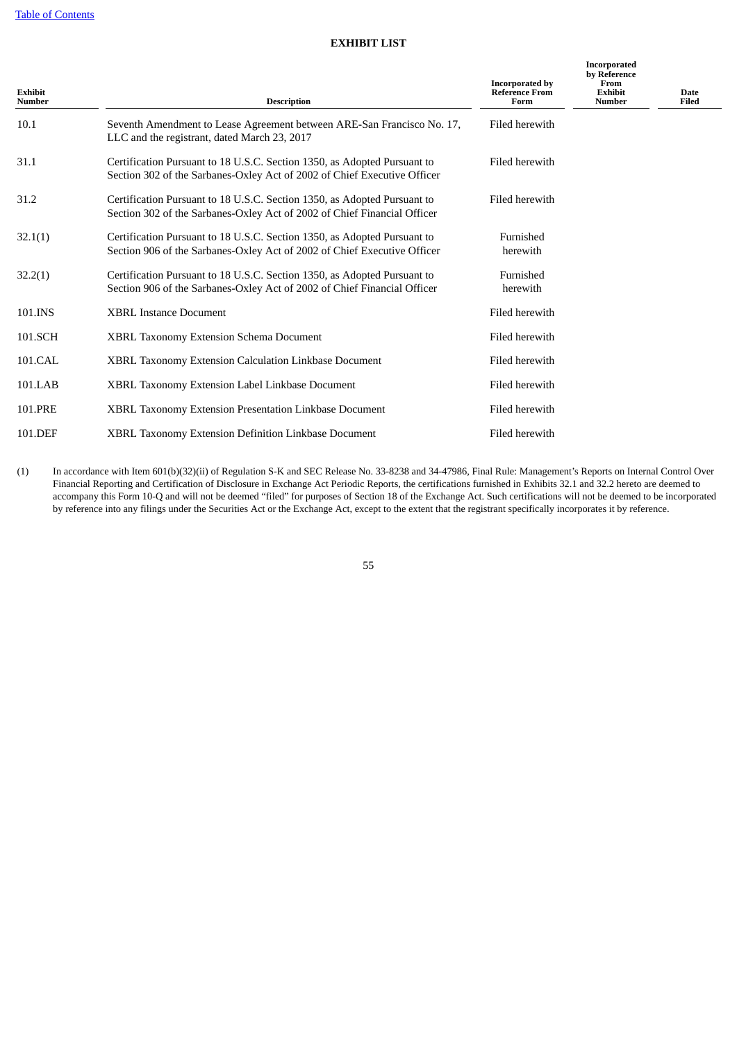# **EXHIBIT LIST**

<span id="page-54-0"></span>

| <b>Exhibit</b><br><b>Number</b> | <b>Description</b>                                                                                                                                   | <b>Incorporated by</b><br><b>Reference From</b><br>Form | Incorporated<br>by Reference<br>From<br><b>Exhibit</b><br><b>Number</b> | <b>Date</b><br>Filed |
|---------------------------------|------------------------------------------------------------------------------------------------------------------------------------------------------|---------------------------------------------------------|-------------------------------------------------------------------------|----------------------|
| 10.1                            | Seventh Amendment to Lease Agreement between ARE-San Francisco No. 17,<br>LLC and the registrant, dated March 23, 2017                               | Filed herewith                                          |                                                                         |                      |
| 31.1                            | Certification Pursuant to 18 U.S.C. Section 1350, as Adopted Pursuant to<br>Section 302 of the Sarbanes-Oxley Act of 2002 of Chief Executive Officer | Filed herewith                                          |                                                                         |                      |
| 31.2                            | Certification Pursuant to 18 U.S.C. Section 1350, as Adopted Pursuant to<br>Section 302 of the Sarbanes-Oxley Act of 2002 of Chief Financial Officer | Filed herewith                                          |                                                                         |                      |
| 32.1(1)                         | Certification Pursuant to 18 U.S.C. Section 1350, as Adopted Pursuant to<br>Section 906 of the Sarbanes-Oxley Act of 2002 of Chief Executive Officer | Furnished<br>herewith                                   |                                                                         |                      |
| 32.2(1)                         | Certification Pursuant to 18 U.S.C. Section 1350, as Adopted Pursuant to<br>Section 906 of the Sarbanes-Oxley Act of 2002 of Chief Financial Officer | Furnished<br>herewith                                   |                                                                         |                      |
| 101.INS                         | <b>XBRL Instance Document</b>                                                                                                                        | Filed herewith                                          |                                                                         |                      |
| 101.SCH                         | XBRL Taxonomy Extension Schema Document                                                                                                              | Filed herewith                                          |                                                                         |                      |
| 101.CAL                         | XBRL Taxonomy Extension Calculation Linkbase Document                                                                                                | Filed herewith                                          |                                                                         |                      |
| 101.LAB                         | XBRL Taxonomy Extension Label Linkbase Document                                                                                                      | Filed herewith                                          |                                                                         |                      |
| 101.PRE                         | XBRL Taxonomy Extension Presentation Linkbase Document                                                                                               | Filed herewith                                          |                                                                         |                      |
| 101.DEF                         | <b>XBRL Taxonomy Extension Definition Linkbase Document</b>                                                                                          | Filed herewith                                          |                                                                         |                      |

(1) In accordance with Item 601(b)(32)(ii) of Regulation S-K and SEC Release No. 33-8238 and 34-47986, Final Rule: Management's Reports on Internal Control Over Financial Reporting and Certification of Disclosure in Exchange Act Periodic Reports, the certifications furnished in Exhibits 32.1 and 32.2 hereto are deemed to accompany this Form 10-Q and will not be deemed "filed" for purposes of Section 18 of the Exchange Act. Such certifications will not be deemed to be incorporated by reference into any filings under the Securities Act or the Exchange Act, except to the extent that the registrant specifically incorporates it by reference.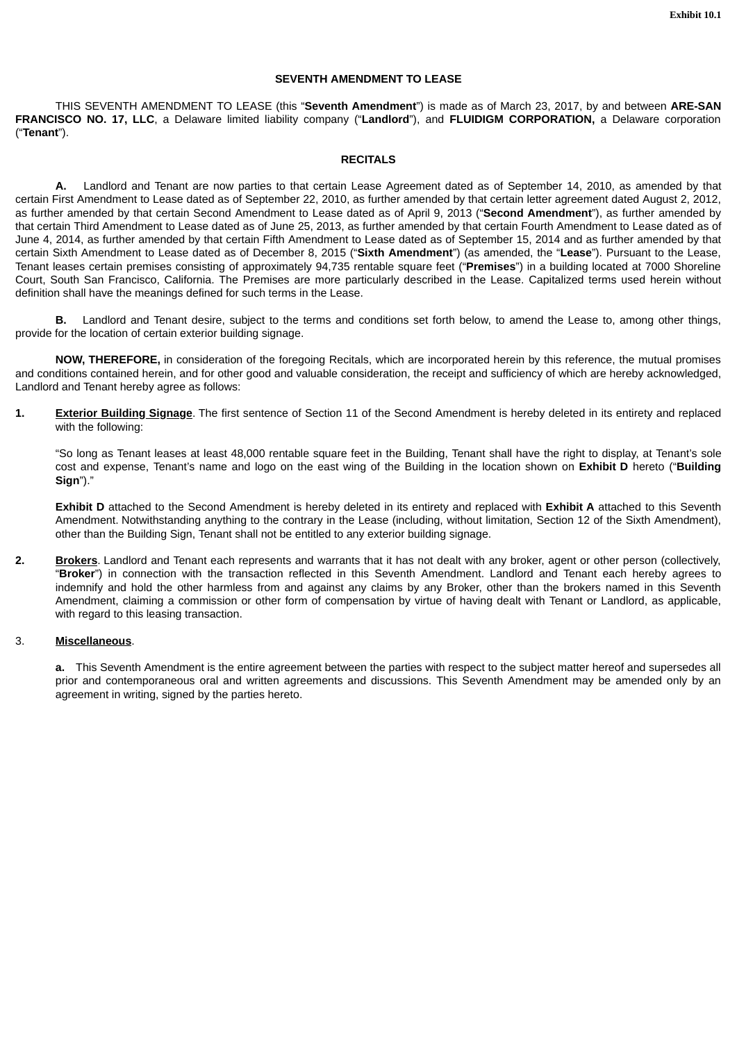## **SEVENTH AMENDMENT TO LEASE**

THIS SEVENTH AMENDMENT TO LEASE (this "**Seventh Amendment**") is made as of March 23, 2017, by and between **ARE-SAN FRANCISCO NO. 17, LLC**, a Delaware limited liability company ("**Landlord**"), and **FLUIDIGM CORPORATION,** a Delaware corporation ("**Tenant**").

### **RECITALS**

**A.** Landlord and Tenant are now parties to that certain Lease Agreement dated as of September 14, 2010, as amended by that certain First Amendment to Lease dated as of September 22, 2010, as further amended by that certain letter agreement dated August 2, 2012, as further amended by that certain Second Amendment to Lease dated as of April 9, 2013 ("**Second Amendment**"), as further amended by that certain Third Amendment to Lease dated as of June 25, 2013, as further amended by that certain Fourth Amendment to Lease dated as of June 4, 2014, as further amended by that certain Fifth Amendment to Lease dated as of September 15, 2014 and as further amended by that certain Sixth Amendment to Lease dated as of December 8, 2015 ("**Sixth Amendment**") (as amended, the "**Lease**"). Pursuant to the Lease, Tenant leases certain premises consisting of approximately 94,735 rentable square feet ("**Premises**") in a building located at 7000 Shoreline Court, South San Francisco, California. The Premises are more particularly described in the Lease. Capitalized terms used herein without definition shall have the meanings defined for such terms in the Lease.

**B.** Landlord and Tenant desire, subject to the terms and conditions set forth below, to amend the Lease to, among other things, provide for the location of certain exterior building signage.

**NOW, THEREFORE,** in consideration of the foregoing Recitals, which are incorporated herein by this reference, the mutual promises and conditions contained herein, and for other good and valuable consideration, the receipt and sufficiency of which are hereby acknowledged, Landlord and Tenant hereby agree as follows:

**1. Exterior Building Signage**. The first sentence of Section 11 of the Second Amendment is hereby deleted in its entirety and replaced with the following:

"So long as Tenant leases at least 48,000 rentable square feet in the Building, Tenant shall have the right to display, at Tenant's sole cost and expense, Tenant's name and logo on the east wing of the Building in the location shown on **Exhibit D** hereto ("**Building Sign**")."

**Exhibit D** attached to the Second Amendment is hereby deleted in its entirety and replaced with **Exhibit A** attached to this Seventh Amendment. Notwithstanding anything to the contrary in the Lease (including, without limitation, Section 12 of the Sixth Amendment), other than the Building Sign, Tenant shall not be entitled to any exterior building signage.

**2. Brokers**. Landlord and Tenant each represents and warrants that it has not dealt with any broker, agent or other person (collectively, "**Broker**") in connection with the transaction reflected in this Seventh Amendment. Landlord and Tenant each hereby agrees to indemnify and hold the other harmless from and against any claims by any Broker, other than the brokers named in this Seventh Amendment, claiming a commission or other form of compensation by virtue of having dealt with Tenant or Landlord, as applicable, with regard to this leasing transaction.

## 3. **Miscellaneous**.

**a.** This Seventh Amendment is the entire agreement between the parties with respect to the subject matter hereof and supersedes all prior and contemporaneous oral and written agreements and discussions. This Seventh Amendment may be amended only by an agreement in writing, signed by the parties hereto.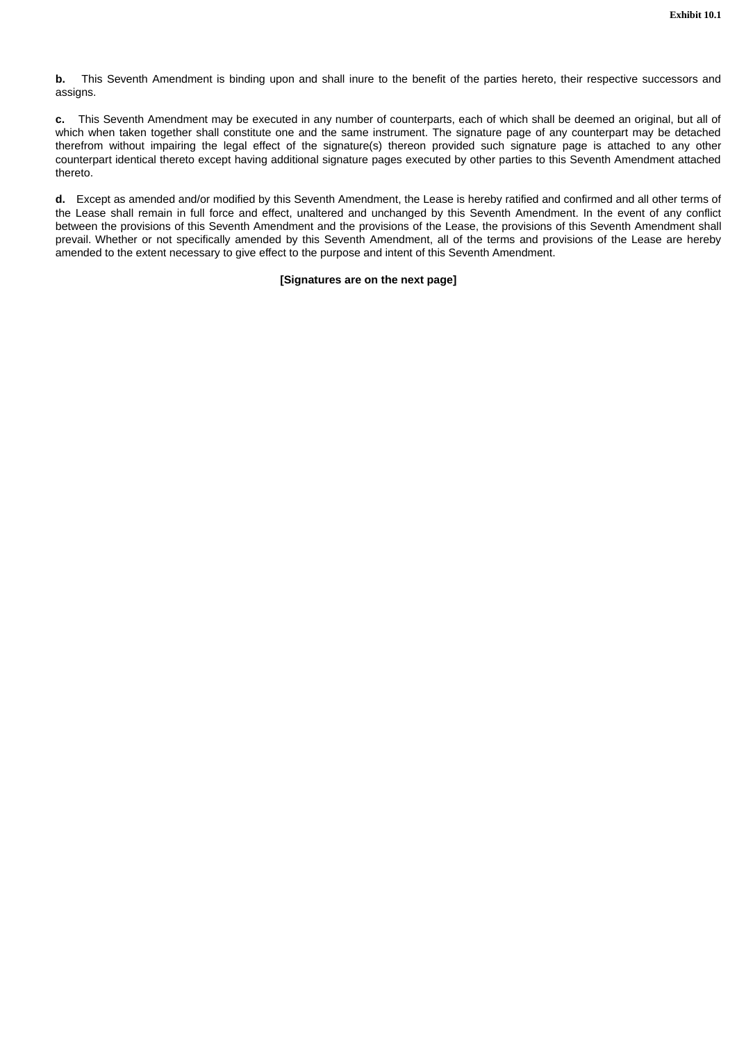**b.** This Seventh Amendment is binding upon and shall inure to the benefit of the parties hereto, their respective successors and assigns.

**c.** This Seventh Amendment may be executed in any number of counterparts, each of which shall be deemed an original, but all of which when taken together shall constitute one and the same instrument. The signature page of any counterpart may be detached therefrom without impairing the legal effect of the signature(s) thereon provided such signature page is attached to any other counterpart identical thereto except having additional signature pages executed by other parties to this Seventh Amendment attached thereto.

**d.** Except as amended and/or modified by this Seventh Amendment, the Lease is hereby ratified and confirmed and all other terms of the Lease shall remain in full force and effect, unaltered and unchanged by this Seventh Amendment. In the event of any conflict between the provisions of this Seventh Amendment and the provisions of the Lease, the provisions of this Seventh Amendment shall prevail. Whether or not specifically amended by this Seventh Amendment, all of the terms and provisions of the Lease are hereby amended to the extent necessary to give effect to the purpose and intent of this Seventh Amendment.

# **[Signatures are on the next page]**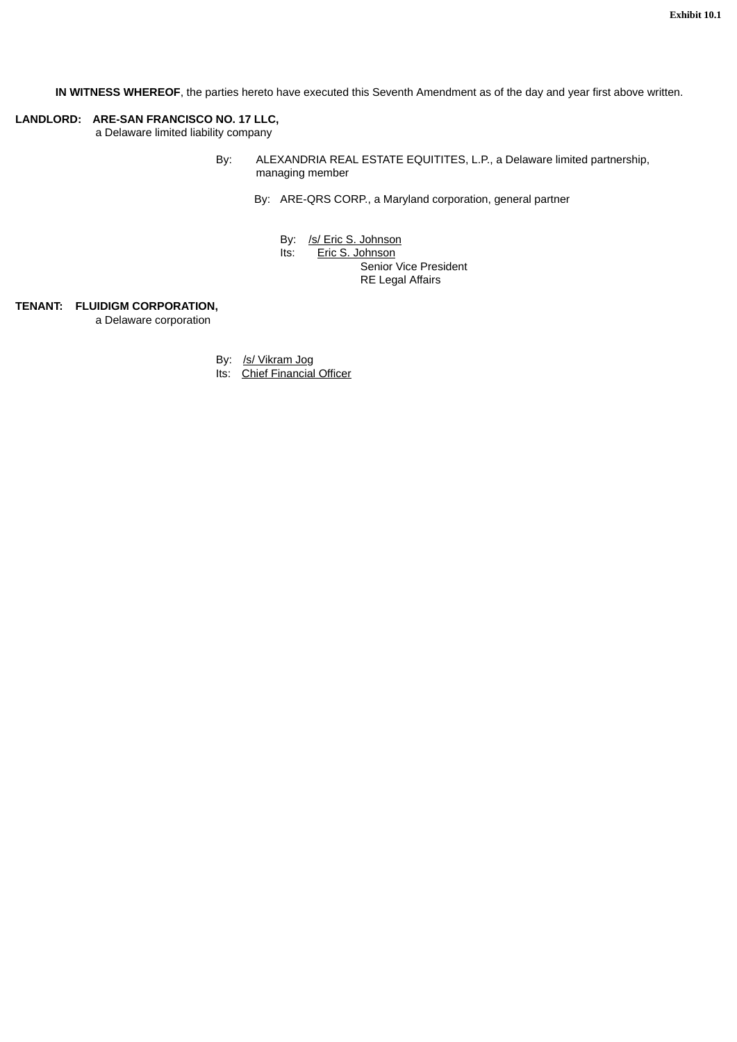**IN WITNESS WHEREOF**, the parties hereto have executed this Seventh Amendment as of the day and year first above written.

# **LANDLORD: ARE-SAN FRANCISCO NO. 17 LLC,**

a Delaware limited liability company

- By: ALEXANDRIA REAL ESTATE EQUITITES, L.P., a Delaware limited partnership, managing member
	- By: ARE-QRS CORP., a Maryland corporation, general partner
		- By: /s/ Eric S. Johnson

Its: Eric S. Johnson Senior Vice President

RE Legal Affairs

## **TENANT: FLUIDIGM CORPORATION,**

a Delaware corporation

By: /s/ Vikram Jog

Its: Chief Financial Officer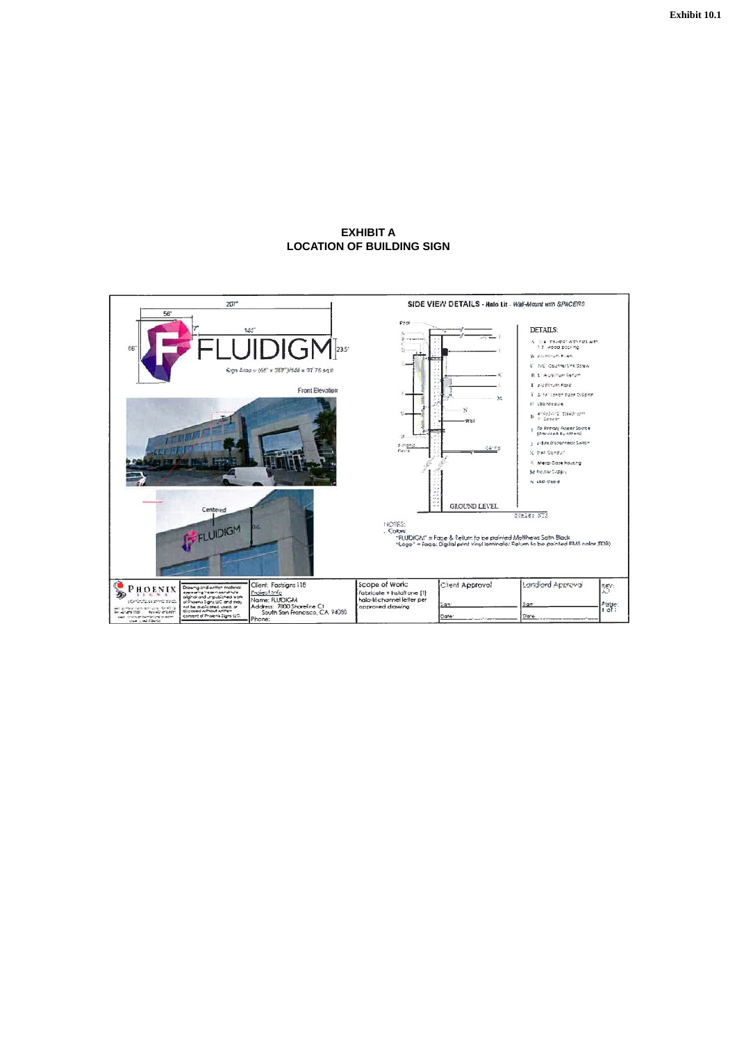## **EXHIBIT A LOCATION OF BUILDING SIGN**

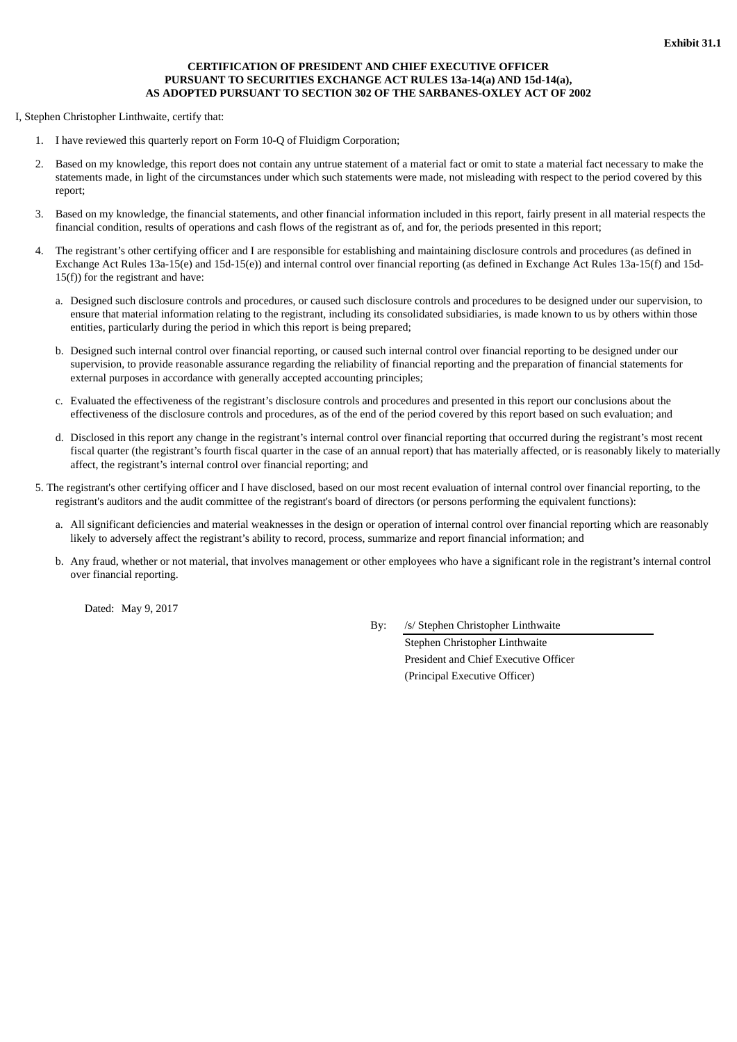# **CERTIFICATION OF PRESIDENT AND CHIEF EXECUTIVE OFFICER PURSUANT TO SECURITIES EXCHANGE ACT RULES 13a-14(a) AND 15d-14(a), AS ADOPTED PURSUANT TO SECTION 302 OF THE SARBANES-OXLEY ACT OF 2002**

I, Stephen Christopher Linthwaite, certify that:

- 1. I have reviewed this quarterly report on Form 10-Q of Fluidigm Corporation;
- 2. Based on my knowledge, this report does not contain any untrue statement of a material fact or omit to state a material fact necessary to make the statements made, in light of the circumstances under which such statements were made, not misleading with respect to the period covered by this report;
- 3. Based on my knowledge, the financial statements, and other financial information included in this report, fairly present in all material respects the financial condition, results of operations and cash flows of the registrant as of, and for, the periods presented in this report;
- 4. The registrant's other certifying officer and I are responsible for establishing and maintaining disclosure controls and procedures (as defined in Exchange Act Rules 13a-15(e) and 15d-15(e)) and internal control over financial reporting (as defined in Exchange Act Rules 13a-15(f) and 15d-15(f)) for the registrant and have:
	- a. Designed such disclosure controls and procedures, or caused such disclosure controls and procedures to be designed under our supervision, to ensure that material information relating to the registrant, including its consolidated subsidiaries, is made known to us by others within those entities, particularly during the period in which this report is being prepared;
	- b. Designed such internal control over financial reporting, or caused such internal control over financial reporting to be designed under our supervision, to provide reasonable assurance regarding the reliability of financial reporting and the preparation of financial statements for external purposes in accordance with generally accepted accounting principles;
	- c. Evaluated the effectiveness of the registrant's disclosure controls and procedures and presented in this report our conclusions about the effectiveness of the disclosure controls and procedures, as of the end of the period covered by this report based on such evaluation; and
	- d. Disclosed in this report any change in the registrant's internal control over financial reporting that occurred during the registrant's most recent fiscal quarter (the registrant's fourth fiscal quarter in the case of an annual report) that has materially affected, or is reasonably likely to materially affect, the registrant's internal control over financial reporting; and
- 5. The registrant's other certifying officer and I have disclosed, based on our most recent evaluation of internal control over financial reporting, to the registrant's auditors and the audit committee of the registrant's board of directors (or persons performing the equivalent functions):
	- a. All significant deficiencies and material weaknesses in the design or operation of internal control over financial reporting which are reasonably likely to adversely affect the registrant's ability to record, process, summarize and report financial information; and
	- b. Any fraud, whether or not material, that involves management or other employees who have a significant role in the registrant's internal control over financial reporting.

Dated: May 9, 2017

By: /s/ Stephen Christopher Linthwaite

Stephen Christopher Linthwaite President and Chief Executive Officer (Principal Executive Officer)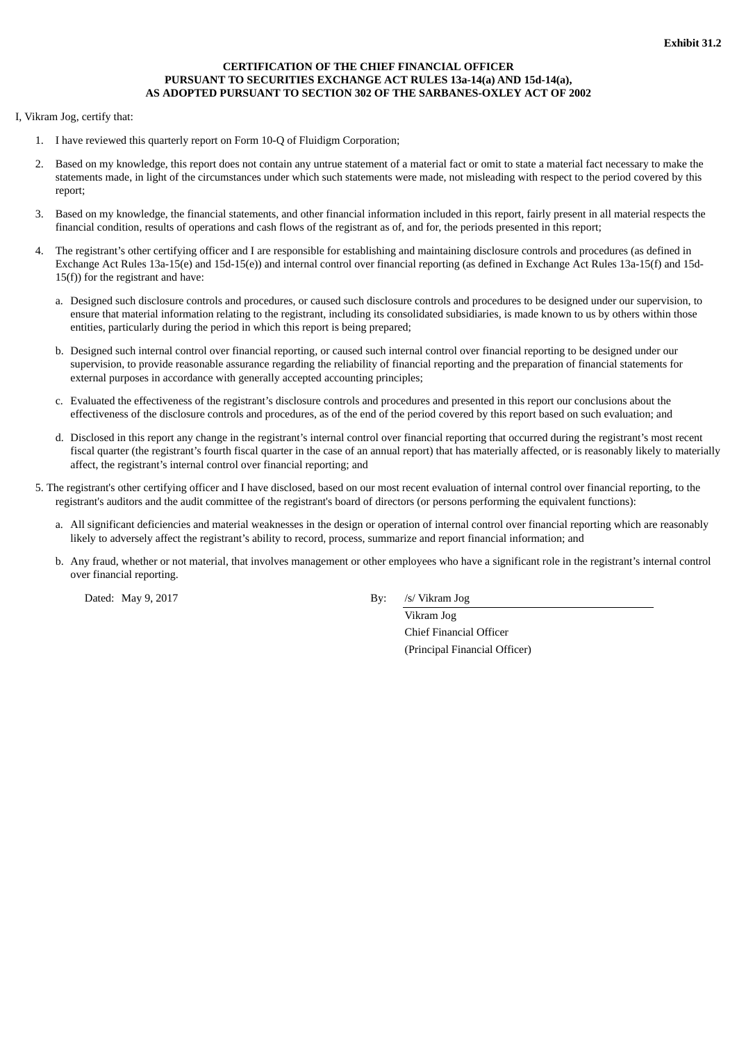# **CERTIFICATION OF THE CHIEF FINANCIAL OFFICER PURSUANT TO SECURITIES EXCHANGE ACT RULES 13a-14(a) AND 15d-14(a), AS ADOPTED PURSUANT TO SECTION 302 OF THE SARBANES-OXLEY ACT OF 2002**

I, Vikram Jog, certify that:

- 1. I have reviewed this quarterly report on Form 10-Q of Fluidigm Corporation;
- 2. Based on my knowledge, this report does not contain any untrue statement of a material fact or omit to state a material fact necessary to make the statements made, in light of the circumstances under which such statements were made, not misleading with respect to the period covered by this report;
- 3. Based on my knowledge, the financial statements, and other financial information included in this report, fairly present in all material respects the financial condition, results of operations and cash flows of the registrant as of, and for, the periods presented in this report;
- 4. The registrant's other certifying officer and I are responsible for establishing and maintaining disclosure controls and procedures (as defined in Exchange Act Rules 13a-15(e) and 15d-15(e)) and internal control over financial reporting (as defined in Exchange Act Rules 13a-15(f) and 15d-15(f)) for the registrant and have:
	- a. Designed such disclosure controls and procedures, or caused such disclosure controls and procedures to be designed under our supervision, to ensure that material information relating to the registrant, including its consolidated subsidiaries, is made known to us by others within those entities, particularly during the period in which this report is being prepared;
	- b. Designed such internal control over financial reporting, or caused such internal control over financial reporting to be designed under our supervision, to provide reasonable assurance regarding the reliability of financial reporting and the preparation of financial statements for external purposes in accordance with generally accepted accounting principles;
	- c. Evaluated the effectiveness of the registrant's disclosure controls and procedures and presented in this report our conclusions about the effectiveness of the disclosure controls and procedures, as of the end of the period covered by this report based on such evaluation; and
	- d. Disclosed in this report any change in the registrant's internal control over financial reporting that occurred during the registrant's most recent fiscal quarter (the registrant's fourth fiscal quarter in the case of an annual report) that has materially affected, or is reasonably likely to materially affect, the registrant's internal control over financial reporting; and
- 5. The registrant's other certifying officer and I have disclosed, based on our most recent evaluation of internal control over financial reporting, to the registrant's auditors and the audit committee of the registrant's board of directors (or persons performing the equivalent functions):
	- a. All significant deficiencies and material weaknesses in the design or operation of internal control over financial reporting which are reasonably likely to adversely affect the registrant's ability to record, process, summarize and report financial information; and
	- b. Any fraud, whether or not material, that involves management or other employees who have a significant role in the registrant's internal control over financial reporting.

Dated: May 9, 2017 By: /s/ Vikram Jog

Vikram Jog Chief Financial Officer (Principal Financial Officer)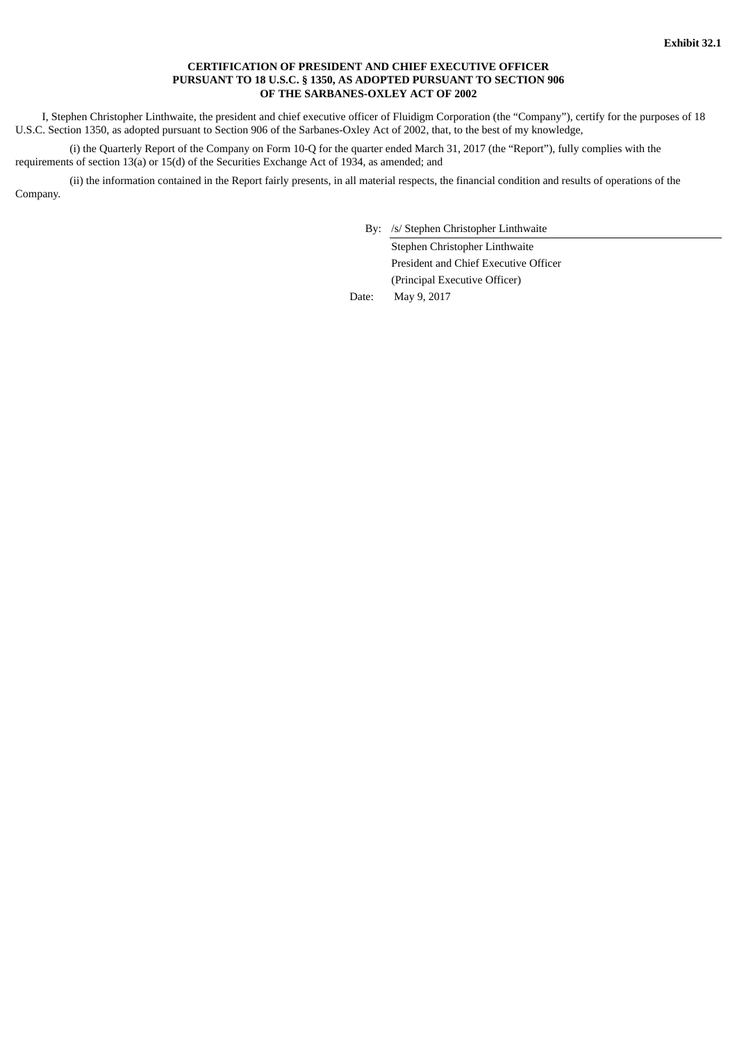## **CERTIFICATION OF PRESIDENT AND CHIEF EXECUTIVE OFFICER PURSUANT TO 18 U.S.C. § 1350, AS ADOPTED PURSUANT TO SECTION 906 OF THE SARBANES-OXLEY ACT OF 2002**

I, Stephen Christopher Linthwaite, the president and chief executive officer of Fluidigm Corporation (the "Company"), certify for the purposes of 18 U.S.C. Section 1350, as adopted pursuant to Section 906 of the Sarbanes-Oxley Act of 2002, that, to the best of my knowledge,

(i) the Quarterly Report of the Company on Form 10-Q for the quarter ended March 31, 2017 (the "Report"), fully complies with the requirements of section 13(a) or 15(d) of the Securities Exchange Act of 1934, as amended; and

(ii) the information contained in the Report fairly presents, in all material respects, the financial condition and results of operations of the Company.

By: /s/ Stephen Christopher Linthwaite

Stephen Christopher Linthwaite President and Chief Executive Officer (Principal Executive Officer)

Date: May 9, 2017